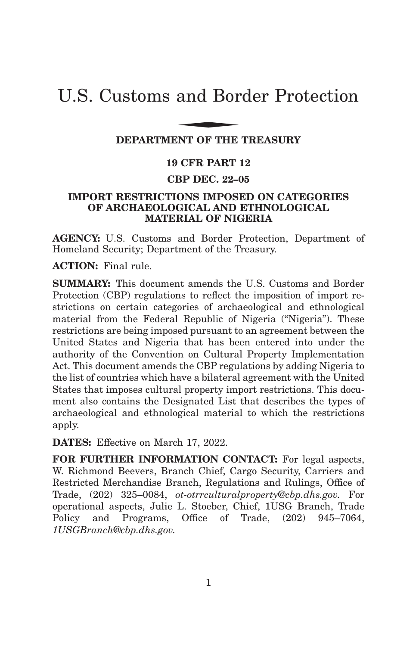# U.S. Customs and Border Protection and Bor

## **DEPARTMENT OF THE TREASURY**

# **19 CFR PART 12**

## **CBP DEC. 22–05**

## **IMPORT RESTRICTIONS IMPOSED ON CATEGORIES OF ARCHAEOLOGICAL AND ETHNOLOGICAL MATERIAL OF NIGERIA**

**AGENCY:** U.S. Customs and Border Protection, Department of Homeland Security; Department of the Treasury.

**ACTION:** Final rule.

**SUMMARY:** This document amends the U.S. Customs and Border Protection (CBP) regulations to reflect the imposition of import restrictions on certain categories of archaeological and ethnological material from the Federal Republic of Nigeria (''Nigeria''). These restrictions are being imposed pursuant to an agreement between the United States and Nigeria that has been entered into under the authority of the Convention on Cultural Property Implementation Act. This document amends the CBP regulations by adding Nigeria to the list of countries which have a bilateral agreement with the United States that imposes cultural property import restrictions. This document also contains the Designated List that describes the types of archaeological and ethnological material to which the restrictions apply.

**DATES:** Effective on March 17, 2022.

**FOR FURTHER INFORMATION CONTACT:** For legal aspects, W. Richmond Beevers, Branch Chief, Cargo Security, Carriers and Restricted Merchandise Branch, Regulations and Rulings, Office of Trade, (202) 325–0084, *ot-otrrculturalproperty@cbp.dhs.gov.* For operational aspects, Julie L. Stoeber, Chief, 1USG Branch, Trade Policy and Programs, Office of Trade, (202) 945–7064, *1USGBranch@cbp.dhs.gov.*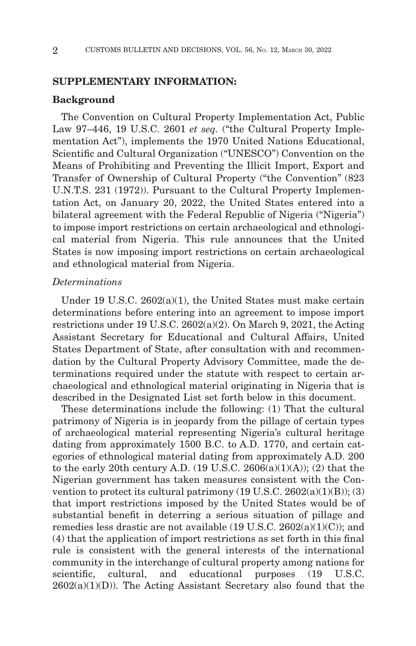## **SUPPLEMENTARY INFORMATION:**

## **Background**

The Convention on Cultural Property Implementation Act, Public Law 97-446, 19 U.S.C. 2601 *et seq.* ("the Cultural Property Implementation Act''), implements the 1970 United Nations Educational, Scientific and Cultural Organization ("UNESCO") Convention on the Means of Prohibiting and Preventing the Illicit Import, Export and Transfer of Ownership of Cultural Property ("the Convention" (823) U.N.T.S. 231 (1972)). Pursuant to the Cultural Property Implementation Act, on January 20, 2022, the United States entered into a bilateral agreement with the Federal Republic of Nigeria ("Nigeria") to impose import restrictions on certain archaeological and ethnological material from Nigeria. This rule announces that the United States is now imposing import restrictions on certain archaeological and ethnological material from Nigeria.

## *Determinations*

Under 19 U.S.C. 2602(a)(1), the United States must make certain determinations before entering into an agreement to impose import restrictions under 19 U.S.C. 2602(a)(2). On March 9, 2021, the Acting Assistant Secretary for Educational and Cultural Affairs, United States Department of State, after consultation with and recommendation by the Cultural Property Advisory Committee, made the determinations required under the statute with respect to certain archaeological and ethnological material originating in Nigeria that is described in the Designated List set forth below in this document.

These determinations include the following: (1) That the cultural patrimony of Nigeria is in jeopardy from the pillage of certain types of archaeological material representing Nigeria's cultural heritage dating from approximately 1500 B.C. to A.D. 1770, and certain categories of ethnological material dating from approximately A.D. 200 to the early 20th century A.D. (19 U.S.C. 2606(a)(1)(A)); (2) that the Nigerian government has taken measures consistent with the Convention to protect its cultural patrimony  $(19 \text{ U.S.C. } 2602(a)(1)(B));$   $(3)$ that import restrictions imposed by the United States would be of substantial benefit in deterring a serious situation of pillage and remedies less drastic are not available (19 U.S.C. 2602(a)(1)(C)); and (4) that the application of import restrictions as set forth in this final rule is consistent with the general interests of the international community in the interchange of cultural property among nations for scientific, cultural, and educational purposes (19 U.S.C.)  $2602(a)(1)(D)$ ). The Acting Assistant Secretary also found that the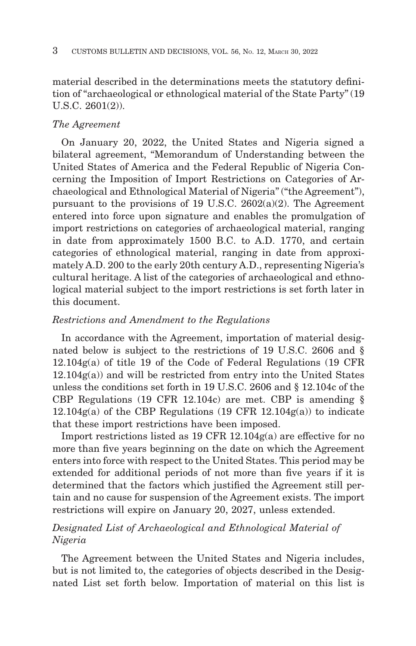material described in the determinations meets the statutory definition of ''archaeological or ethnological material of the State Party'' (19 U.S.C. 2601(2)).

#### *The Agreement*

On January 20, 2022, the United States and Nigeria signed a bilateral agreement, ''Memorandum of Understanding between the United States of America and the Federal Republic of Nigeria Concerning the Imposition of Import Restrictions on Categories of Archaeological and Ethnological Material of Nigeria'' (''the Agreement''), pursuant to the provisions of 19 U.S.C.  $2602(a)(2)$ . The Agreement entered into force upon signature and enables the promulgation of import restrictions on categories of archaeological material, ranging in date from approximately 1500 B.C. to A.D. 1770, and certain categories of ethnological material, ranging in date from approximately A.D. 200 to the early 20th century A.D., representing Nigeria's cultural heritage. A list of the categories of archaeological and ethnological material subject to the import restrictions is set forth later in this document.

## *Restrictions and Amendment to the Regulations*

In accordance with the Agreement, importation of material designated below is subject to the restrictions of 19 U.S.C. 2606 and § 12.104g(a) of title 19 of the Code of Federal Regulations (19 CFR 12.104g(a)) and will be restricted from entry into the United States unless the conditions set forth in 19 U.S.C. 2606 and § 12.104c of the CBP Regulations (19 CFR 12.104c) are met. CBP is amending §  $12.104g(a)$  of the CBP Regulations (19 CFR 12.104 $g(a)$ ) to indicate that these import restrictions have been imposed.

Import restrictions listed as 19 CFR 12.104g(a) are effective for no more than five years beginning on the date on which the Agreement enters into force with respect to the United States. This period may be extended for additional periods of not more than five years if it is determined that the factors which justified the Agreement still pertain and no cause for suspension of the Agreement exists. The import restrictions will expire on January 20, 2027, unless extended.

# *Designated List of Archaeological and Ethnological Material of Nigeria*

The Agreement between the United States and Nigeria includes, but is not limited to, the categories of objects described in the Designated List set forth below. Importation of material on this list is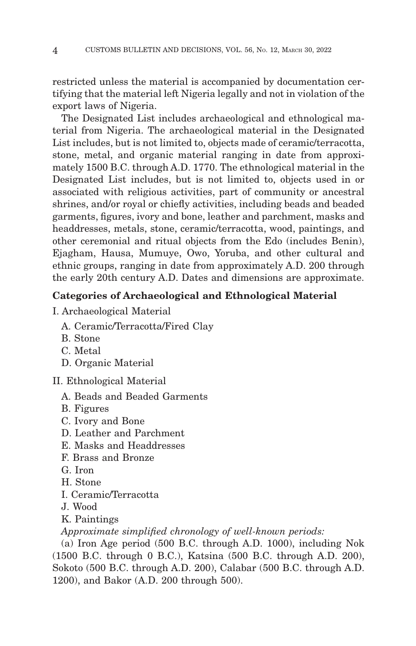restricted unless the material is accompanied by documentation certifying that the material left Nigeria legally and not in violation of the export laws of Nigeria.

The Designated List includes archaeological and ethnological material from Nigeria. The archaeological material in the Designated List includes, but is not limited to, objects made of ceramic/terracotta, stone, metal, and organic material ranging in date from approximately 1500 B.C. through A.D. 1770. The ethnological material in the Designated List includes, but is not limited to, objects used in or associated with religious activities, part of community or ancestral shrines, and/or royal or chiefly activities, including beads and beaded garments, figures, ivory and bone, leather and parchment, masks and headdresses, metals, stone, ceramic/terracotta, wood, paintings, and other ceremonial and ritual objects from the Edo (includes Benin), Ejagham, Hausa, Mumuye, Owo, Yoruba, and other cultural and ethnic groups, ranging in date from approximately A.D. 200 through the early 20th century A.D. Dates and dimensions are approximate.

# **Categories of Archaeological and Ethnological Material**

- I. Archaeological Material
	- A. Ceramic/Terracotta/Fired Clay
	- B. Stone
	- C. Metal
	- D. Organic Material

II. Ethnological Material

- A. Beads and Beaded Garments
- B. Figures
- C. Ivory and Bone
- D. Leather and Parchment
- E. Masks and Headdresses
- F. Brass and Bronze
- G. Iron
- H. Stone
- I. Ceramic/Terracotta
- J. Wood
- K. Paintings

*Approximate simplified chronology of well-known periods:*

(a) Iron Age period (500 B.C. through A.D. 1000), including Nok (1500 B.C. through 0 B.C.), Katsina (500 B.C. through A.D. 200), Sokoto (500 B.C. through A.D. 200), Calabar (500 B.C. through A.D. 1200), and Bakor (A.D. 200 through 500).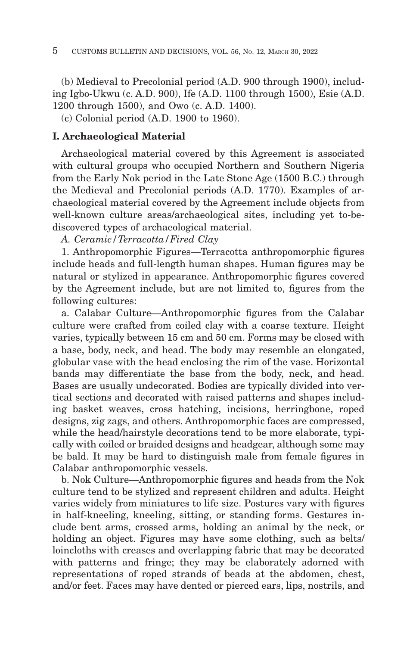(b) Medieval to Precolonial period (A.D. 900 through 1900), including Igbo-Ukwu (c. A.D. 900), Ife (A.D. 1100 through 1500), Esie (A.D. 1200 through 1500), and Owo (c. A.D. 1400).

(c) Colonial period (A.D. 1900 to 1960).

## **I. Archaeological Material**

Archaeological material covered by this Agreement is associated with cultural groups who occupied Northern and Southern Nigeria from the Early Nok period in the Late Stone Age (1500 B.C.) through the Medieval and Precolonial periods (A.D. 1770). Examples of archaeological material covered by the Agreement include objects from well-known culture areas/archaeological sites, including yet to-bediscovered types of archaeological material.

*A. Ceramic/Terracotta/Fired Clay*

1. Anthropomorphic Figures—Terracotta anthropomorphic figures include heads and full-length human shapes. Human figures may be natural or stylized in appearance. Anthropomorphic figures covered by the Agreement include, but are not limited to, figures from the following cultures:

a. Calabar Culture—Anthropomorphic figures from the Calabar culture were crafted from coiled clay with a coarse texture. Height varies, typically between 15 cm and 50 cm. Forms may be closed with a base, body, neck, and head. The body may resemble an elongated, globular vase with the head enclosing the rim of the vase. Horizontal bands may differentiate the base from the body, neck, and head. Bases are usually undecorated. Bodies are typically divided into vertical sections and decorated with raised patterns and shapes including basket weaves, cross hatching, incisions, herringbone, roped designs, zig zags, and others. Anthropomorphic faces are compressed, while the head/hairstyle decorations tend to be more elaborate, typically with coiled or braided designs and headgear, although some may be bald. It may be hard to distinguish male from female figures in Calabar anthropomorphic vessels.

b. Nok Culture—Anthropomorphic figures and heads from the Nok culture tend to be stylized and represent children and adults. Height varies widely from miniatures to life size. Postures vary with figures in half-kneeling, kneeling, sitting, or standing forms. Gestures include bent arms, crossed arms, holding an animal by the neck, or holding an object. Figures may have some clothing, such as belts/ loincloths with creases and overlapping fabric that may be decorated with patterns and fringe; they may be elaborately adorned with representations of roped strands of beads at the abdomen, chest, and/or feet. Faces may have dented or pierced ears, lips, nostrils, and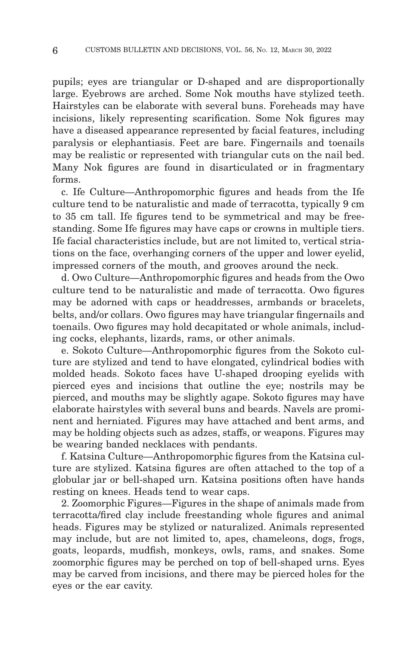pupils; eyes are triangular or D-shaped and are disproportionally large. Eyebrows are arched. Some Nok mouths have stylized teeth. Hairstyles can be elaborate with several buns. Foreheads may have incisions, likely representing scarification. Some Nok figures may have a diseased appearance represented by facial features, including paralysis or elephantiasis. Feet are bare. Fingernails and toenails may be realistic or represented with triangular cuts on the nail bed. Many Nok figures are found in disarticulated or in fragmentary forms.

c. Ife Culture—Anthropomorphic figures and heads from the Ife culture tend to be naturalistic and made of terracotta, typically 9 cm to 35 cm tall. Ife figures tend to be symmetrical and may be freestanding. Some Ife figures may have caps or crowns in multiple tiers. Ife facial characteristics include, but are not limited to, vertical striations on the face, overhanging corners of the upper and lower eyelid, impressed corners of the mouth, and grooves around the neck.

d. Owo Culture—Anthropomorphic figures and heads from the Owo culture tend to be naturalistic and made of terracotta. Owo figures may be adorned with caps or headdresses, armbands or bracelets, belts, and/or collars. Owo figures may have triangular fingernails and toenails. Owo figures may hold decapitated or whole animals, including cocks, elephants, lizards, rams, or other animals.

e. Sokoto Culture—Anthropomorphic figures from the Sokoto culture are stylized and tend to have elongated, cylindrical bodies with molded heads. Sokoto faces have U-shaped drooping eyelids with pierced eyes and incisions that outline the eye; nostrils may be pierced, and mouths may be slightly agape. Sokoto figures may have elaborate hairstyles with several buns and beards. Navels are prominent and herniated. Figures may have attached and bent arms, and may be holding objects such as adzes, staffs, or weapons. Figures may be wearing banded necklaces with pendants.

f. Katsina Culture—Anthropomorphic figures from the Katsina culture are stylized. Katsina figures are often attached to the top of a globular jar or bell-shaped urn. Katsina positions often have hands resting on knees. Heads tend to wear caps.

2. Zoomorphic Figures—Figures in the shape of animals made from terracotta/fired clay include freestanding whole figures and animal heads. Figures may be stylized or naturalized. Animals represented may include, but are not limited to, apes, chameleons, dogs, frogs, goats, leopards, mudfish, monkeys, owls, rams, and snakes. Some zoomorphic figures may be perched on top of bell-shaped urns. Eyes may be carved from incisions, and there may be pierced holes for the eyes or the ear cavity.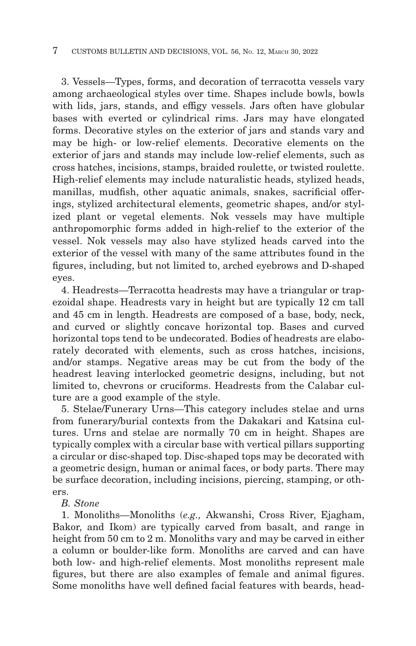3. Vessels—Types, forms, and decoration of terracotta vessels vary among archaeological styles over time. Shapes include bowls, bowls with lids, jars, stands, and effigy vessels. Jars often have globular bases with everted or cylindrical rims. Jars may have elongated forms. Decorative styles on the exterior of jars and stands vary and may be high- or low-relief elements. Decorative elements on the exterior of jars and stands may include low-relief elements, such as cross hatches, incisions, stamps, braided roulette, or twisted roulette. High-relief elements may include naturalistic heads, stylized heads, manillas, mudfish, other aquatic animals, snakes, sacrificial offerings, stylized architectural elements, geometric shapes, and/or stylized plant or vegetal elements. Nok vessels may have multiple anthropomorphic forms added in high-relief to the exterior of the vessel. Nok vessels may also have stylized heads carved into the exterior of the vessel with many of the same attributes found in the figures, including, but not limited to, arched eyebrows and D-shaped eyes.

4. Headrests—Terracotta headrests may have a triangular or trapezoidal shape. Headrests vary in height but are typically 12 cm tall and 45 cm in length. Headrests are composed of a base, body, neck, and curved or slightly concave horizontal top. Bases and curved horizontal tops tend to be undecorated. Bodies of headrests are elaborately decorated with elements, such as cross hatches, incisions, and/or stamps. Negative areas may be cut from the body of the headrest leaving interlocked geometric designs, including, but not limited to, chevrons or cruciforms. Headrests from the Calabar culture are a good example of the style.

5. Stelae/Funerary Urns—This category includes stelae and urns from funerary/burial contexts from the Dakakari and Katsina cultures. Urns and stelae are normally 70 cm in height. Shapes are typically complex with a circular base with vertical pillars supporting a circular or disc-shaped top. Disc-shaped tops may be decorated with a geometric design, human or animal faces, or body parts. There may be surface decoration, including incisions, piercing, stamping, or others.

## *B. Stone*

1. Monoliths—Monoliths (*e.g.,* Akwanshi, Cross River, Ejagham, Bakor, and Ikom) are typically carved from basalt, and range in height from 50 cm to 2 m. Monoliths vary and may be carved in either a column or boulder-like form. Monoliths are carved and can have both low- and high-relief elements. Most monoliths represent male figures, but there are also examples of female and animal figures. Some monoliths have well defined facial features with beards, head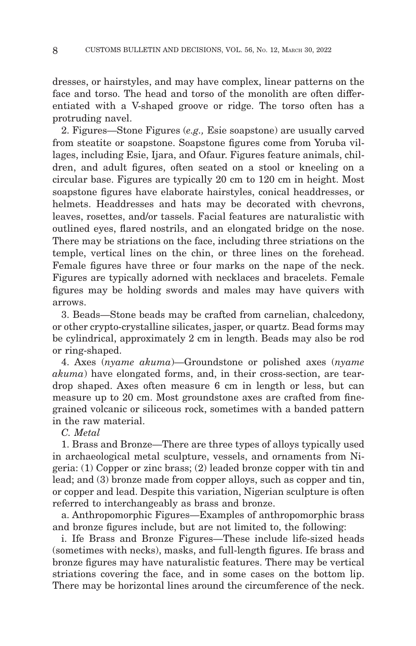dresses, or hairstyles, and may have complex, linear patterns on the face and torso. The head and torso of the monolith are often differentiated with a V-shaped groove or ridge. The torso often has a protruding navel.

2. Figures—Stone Figures (*e.g.,* Esie soapstone) are usually carved from steatite or soapstone. Soapstone figures come from Yoruba villages, including Esie, Ijara, and Ofaur. Figures feature animals, children, and adult figures, often seated on a stool or kneeling on a circular base. Figures are typically 20 cm to 120 cm in height. Most soapstone figures have elaborate hairstyles, conical headdresses, or helmets. Headdresses and hats may be decorated with chevrons, leaves, rosettes, and/or tassels. Facial features are naturalistic with outlined eyes, flared nostrils, and an elongated bridge on the nose. There may be striations on the face, including three striations on the temple, vertical lines on the chin, or three lines on the forehead. Female figures have three or four marks on the nape of the neck. Figures are typically adorned with necklaces and bracelets. Female figures may be holding swords and males may have quivers with arrows.

3. Beads—Stone beads may be crafted from carnelian, chalcedony, or other crypto-crystalline silicates, jasper, or quartz. Bead forms may be cylindrical, approximately 2 cm in length. Beads may also be rod or ring-shaped.

4. Axes (*nyame akuma*)—Groundstone or polished axes (*nyame akuma*) have elongated forms, and, in their cross-section, are teardrop shaped. Axes often measure 6 cm in length or less, but can measure up to 20 cm. Most groundstone axes are crafted from finegrained volcanic or siliceous rock, sometimes with a banded pattern in the raw material.

*C. Metal*

1. Brass and Bronze—There are three types of alloys typically used in archaeological metal sculpture, vessels, and ornaments from Nigeria: (1) Copper or zinc brass; (2) leaded bronze copper with tin and lead; and (3) bronze made from copper alloys, such as copper and tin, or copper and lead. Despite this variation, Nigerian sculpture is often referred to interchangeably as brass and bronze.

a. Anthropomorphic Figures—Examples of anthropomorphic brass and bronze figures include, but are not limited to, the following:

i. Ife Brass and Bronze Figures—These include life-sized heads (sometimes with necks), masks, and full-length figures. Ife brass and bronze figures may have naturalistic features. There may be vertical striations covering the face, and in some cases on the bottom lip. There may be horizontal lines around the circumference of the neck.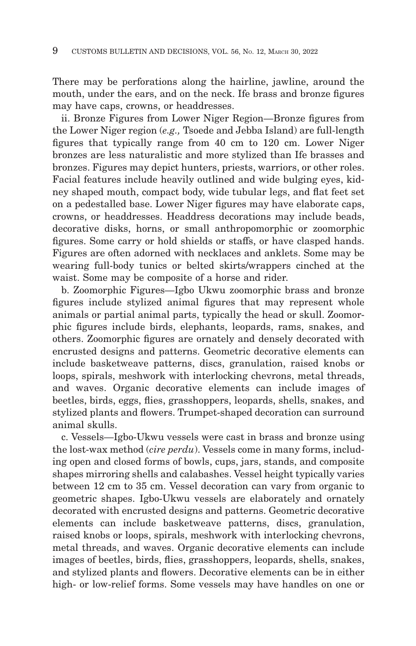There may be perforations along the hairline, jawline, around the mouth, under the ears, and on the neck. Ife brass and bronze figures may have caps, crowns, or headdresses.

ii. Bronze Figures from Lower Niger Region—Bronze figures from the Lower Niger region (*e.g.,* Tsoede and Jebba Island) are full-length figures that typically range from 40 cm to 120 cm. Lower Niger bronzes are less naturalistic and more stylized than Ife brasses and bronzes. Figures may depict hunters, priests, warriors, or other roles. Facial features include heavily outlined and wide bulging eyes, kidney shaped mouth, compact body, wide tubular legs, and flat feet set on a pedestalled base. Lower Niger figures may have elaborate caps, crowns, or headdresses. Headdress decorations may include beads, decorative disks, horns, or small anthropomorphic or zoomorphic figures. Some carry or hold shields or staffs, or have clasped hands. Figures are often adorned with necklaces and anklets. Some may be wearing full-body tunics or belted skirts/wrappers cinched at the waist. Some may be composite of a horse and rider.

b. Zoomorphic Figures—Igbo Ukwu zoomorphic brass and bronze figures include stylized animal figures that may represent whole animals or partial animal parts, typically the head or skull. Zoomorphic figures include birds, elephants, leopards, rams, snakes, and others. Zoomorphic figures are ornately and densely decorated with encrusted designs and patterns. Geometric decorative elements can include basketweave patterns, discs, granulation, raised knobs or loops, spirals, meshwork with interlocking chevrons, metal threads, and waves. Organic decorative elements can include images of beetles, birds, eggs, flies, grasshoppers, leopards, shells, snakes, and stylized plants and flowers. Trumpet-shaped decoration can surround animal skulls.

c. Vessels—Igbo-Ukwu vessels were cast in brass and bronze using the lost-wax method (*cire perdu*). Vessels come in many forms, including open and closed forms of bowls, cups, jars, stands, and composite shapes mirroring shells and calabashes. Vessel height typically varies between 12 cm to 35 cm. Vessel decoration can vary from organic to geometric shapes. Igbo-Ukwu vessels are elaborately and ornately decorated with encrusted designs and patterns. Geometric decorative elements can include basketweave patterns, discs, granulation, raised knobs or loops, spirals, meshwork with interlocking chevrons, metal threads, and waves. Organic decorative elements can include images of beetles, birds, flies, grasshoppers, leopards, shells, snakes, and stylized plants and flowers. Decorative elements can be in either high- or low-relief forms. Some vessels may have handles on one or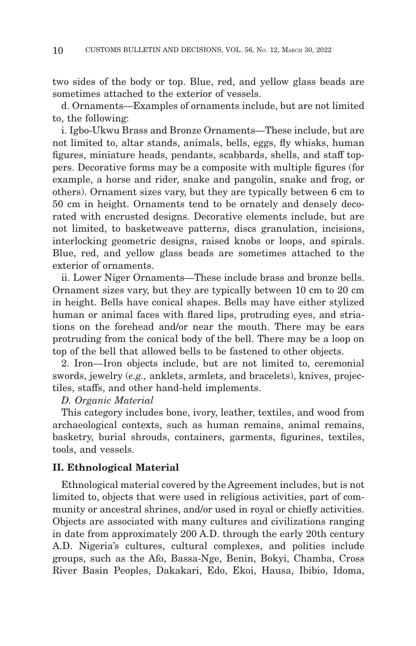two sides of the body or top. Blue, red, and yellow glass beads are sometimes attached to the exterior of vessels.

d. Ornaments—Examples of ornaments include, but are not limited to, the following:

i. Igbo-Ukwu Brass and Bronze Ornaments—These include, but are not limited to, altar stands, animals, bells, eggs, fly whisks, human figures, miniature heads, pendants, scabbards, shells, and staff toppers. Decorative forms may be a composite with multiple figures (for example, a horse and rider, snake and pangolin, snake and frog, or others). Ornament sizes vary, but they are typically between 6 cm to 50 cm in height. Ornaments tend to be ornately and densely decorated with encrusted designs. Decorative elements include, but are not limited, to basketweave patterns, discs granulation, incisions, interlocking geometric designs, raised knobs or loops, and spirals. Blue, red, and yellow glass beads are sometimes attached to the exterior of ornaments.

ii. Lower Niger Ornaments—These include brass and bronze bells. Ornament sizes vary, but they are typically between 10 cm to 20 cm in height. Bells have conical shapes. Bells may have either stylized human or animal faces with flared lips, protruding eyes, and striations on the forehead and/or near the mouth. There may be ears protruding from the conical body of the bell. There may be a loop on top of the bell that allowed bells to be fastened to other objects.

2. Iron—Iron objects include, but are not limited to, ceremonial swords, jewelry (*e.g.,* anklets, armlets, and bracelets), knives, projectiles, staffs, and other hand-held implements.

#### *D. Organic Material*

This category includes bone, ivory, leather, textiles, and wood from archaeological contexts, such as human remains, animal remains, basketry, burial shrouds, containers, garments, figurines, textiles, tools, and vessels.

#### **II. Ethnological Material**

Ethnological material covered by the Agreement includes, but is not limited to, objects that were used in religious activities, part of community or ancestral shrines, and/or used in royal or chiefly activities. Objects are associated with many cultures and civilizations ranging in date from approximately 200 A.D. through the early 20th century A.D. Nigeria's cultures, cultural complexes, and polities include groups, such as the Afo, Bassa-Nge, Benin, Bokyi, Chamba, Cross River Basin Peoples, Dakakari, Edo, Ekoi, Hausa, Ibibio, Idoma,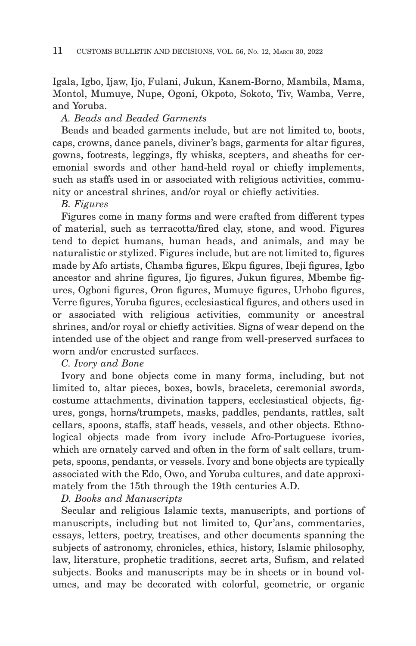Igala, Igbo, Ijaw, Ijo, Fulani, Jukun, Kanem-Borno, Mambila, Mama, Montol, Mumuye, Nupe, Ogoni, Okpoto, Sokoto, Tiv, Wamba, Verre, and Yoruba.

## *A. Beads and Beaded Garments*

Beads and beaded garments include, but are not limited to, boots, caps, crowns, dance panels, diviner's bags, garments for altar figures, gowns, footrests, leggings, fly whisks, scepters, and sheaths for ceremonial swords and other hand-held royal or chiefly implements, such as staffs used in or associated with religious activities, community or ancestral shrines, and/or royal or chiefly activities.

#### *B. Figures*

Figures come in many forms and were crafted from different types of material, such as terracotta/fired clay, stone, and wood. Figures tend to depict humans, human heads, and animals, and may be naturalistic or stylized. Figures include, but are not limited to, figures made by Afo artists, Chamba figures, Ekpu figures, Ibeji figures, Igbo ancestor and shrine figures, Ijo figures, Jukun figures, Mbembe figures, Ogboni figures, Oron figures, Mumuye figures, Urhobo figures, Verre figures, Yoruba figures, ecclesiastical figures, and others used in or associated with religious activities, community or ancestral shrines, and/or royal or chiefly activities. Signs of wear depend on the intended use of the object and range from well-preserved surfaces to worn and/or encrusted surfaces.

#### *C. Ivory and Bone*

Ivory and bone objects come in many forms, including, but not limited to, altar pieces, boxes, bowls, bracelets, ceremonial swords, costume attachments, divination tappers, ecclesiastical objects, figures, gongs, horns/trumpets, masks, paddles, pendants, rattles, salt cellars, spoons, staffs, staff heads, vessels, and other objects. Ethnological objects made from ivory include Afro-Portuguese ivories, which are ornately carved and often in the form of salt cellars, trumpets, spoons, pendants, or vessels. Ivory and bone objects are typically associated with the Edo, Owo, and Yoruba cultures, and date approximately from the 15th through the 19th centuries A.D.

## *D. Books and Manuscripts*

Secular and religious Islamic texts, manuscripts, and portions of manuscripts, including but not limited to, Qur'ans, commentaries, essays, letters, poetry, treatises, and other documents spanning the subjects of astronomy, chronicles, ethics, history, Islamic philosophy, law, literature, prophetic traditions, secret arts, Sufism, and related subjects. Books and manuscripts may be in sheets or in bound volumes, and may be decorated with colorful, geometric, or organic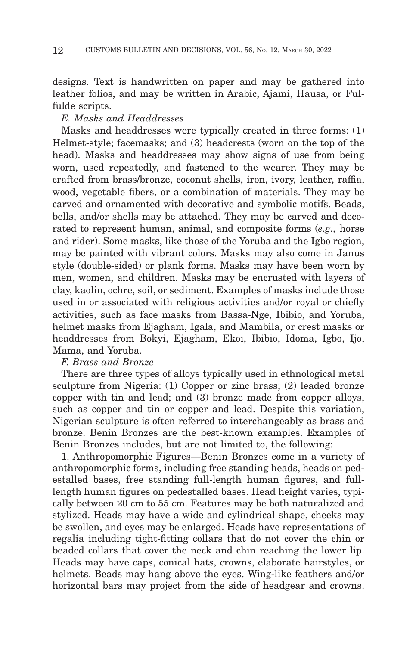designs. Text is handwritten on paper and may be gathered into leather folios, and may be written in Arabic, Ajami, Hausa, or Fulfulde scripts.

## *E. Masks and Headdresses*

Masks and headdresses were typically created in three forms: (1) Helmet-style; facemasks; and (3) headcrests (worn on the top of the head). Masks and headdresses may show signs of use from being worn, used repeatedly, and fastened to the wearer. They may be crafted from brass/bronze, coconut shells, iron, ivory, leather, raffia, wood, vegetable fibers, or a combination of materials. They may be carved and ornamented with decorative and symbolic motifs. Beads, bells, and/or shells may be attached. They may be carved and decorated to represent human, animal, and composite forms (*e.g.,* horse and rider). Some masks, like those of the Yoruba and the Igbo region, may be painted with vibrant colors. Masks may also come in Janus style (double-sided) or plank forms. Masks may have been worn by men, women, and children. Masks may be encrusted with layers of clay, kaolin, ochre, soil, or sediment. Examples of masks include those used in or associated with religious activities and/or royal or chiefly activities, such as face masks from Bassa-Nge, Ibibio, and Yoruba, helmet masks from Ejagham, Igala, and Mambila, or crest masks or headdresses from Bokyi, Ejagham, Ekoi, Ibibio, Idoma, Igbo, Ijo, Mama, and Yoruba.

## *F. Brass and Bronze*

There are three types of alloys typically used in ethnological metal sculpture from Nigeria: (1) Copper or zinc brass; (2) leaded bronze copper with tin and lead; and (3) bronze made from copper alloys, such as copper and tin or copper and lead. Despite this variation, Nigerian sculpture is often referred to interchangeably as brass and bronze. Benin Bronzes are the best-known examples. Examples of Benin Bronzes includes, but are not limited to, the following:

1. Anthropomorphic Figures—Benin Bronzes come in a variety of anthropomorphic forms, including free standing heads, heads on pedestalled bases, free standing full-length human figures, and fulllength human figures on pedestalled bases. Head height varies, typically between 20 cm to 55 cm. Features may be both naturalized and stylized. Heads may have a wide and cylindrical shape, cheeks may be swollen, and eyes may be enlarged. Heads have representations of regalia including tight-fitting collars that do not cover the chin or beaded collars that cover the neck and chin reaching the lower lip. Heads may have caps, conical hats, crowns, elaborate hairstyles, or helmets. Beads may hang above the eyes. Wing-like feathers and/or horizontal bars may project from the side of headgear and crowns.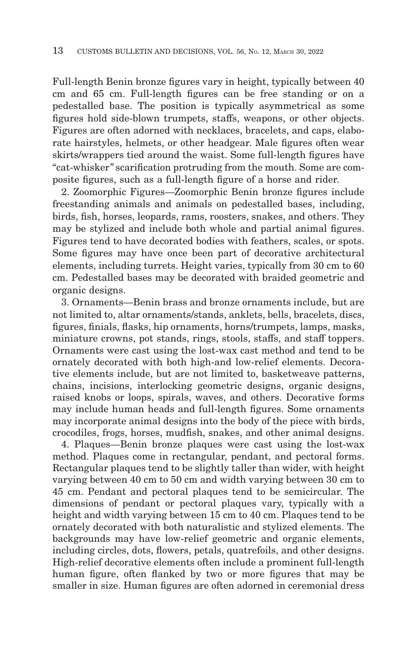Full-length Benin bronze figures vary in height, typically between 40 cm and 65 cm. Full-length figures can be free standing or on a pedestalled base. The position is typically asymmetrical as some figures hold side-blown trumpets, staffs, weapons, or other objects. Figures are often adorned with necklaces, bracelets, and caps, elaborate hairstyles, helmets, or other headgear. Male figures often wear skirts/wrappers tied around the waist. Some full-length figures have ''cat-whisker'' scarification protruding from the mouth. Some are composite figures, such as a full-length figure of a horse and rider.

2. Zoomorphic Figures—Zoomorphic Benin bronze figures include freestanding animals and animals on pedestalled bases, including, birds, fish, horses, leopards, rams, roosters, snakes, and others. They may be stylized and include both whole and partial animal figures. Figures tend to have decorated bodies with feathers, scales, or spots. Some figures may have once been part of decorative architectural elements, including turrets. Height varies, typically from 30 cm to 60 cm. Pedestalled bases may be decorated with braided geometric and organic designs.

3. Ornaments—Benin brass and bronze ornaments include, but are not limited to, altar ornaments/stands, anklets, bells, bracelets, discs, figures, finials, flasks, hip ornaments, horns/trumpets, lamps, masks, miniature crowns, pot stands, rings, stools, staffs, and staff toppers. Ornaments were cast using the lost-wax cast method and tend to be ornately decorated with both high-and low-relief elements. Decorative elements include, but are not limited to, basketweave patterns, chains, incisions, interlocking geometric designs, organic designs, raised knobs or loops, spirals, waves, and others. Decorative forms may include human heads and full-length figures. Some ornaments may incorporate animal designs into the body of the piece with birds, crocodiles, frogs, horses, mudfish, snakes, and other animal designs.

4. Plaques—Benin bronze plaques were cast using the lost-wax method. Plaques come in rectangular, pendant, and pectoral forms. Rectangular plaques tend to be slightly taller than wider, with height varying between 40 cm to 50 cm and width varying between 30 cm to 45 cm. Pendant and pectoral plaques tend to be semicircular. The dimensions of pendant or pectoral plaques vary, typically with a height and width varying between 15 cm to 40 cm. Plaques tend to be ornately decorated with both naturalistic and stylized elements. The backgrounds may have low-relief geometric and organic elements, including circles, dots, flowers, petals, quatrefoils, and other designs. High-relief decorative elements often include a prominent full-length human figure, often flanked by two or more figures that may be smaller in size. Human figures are often adorned in ceremonial dress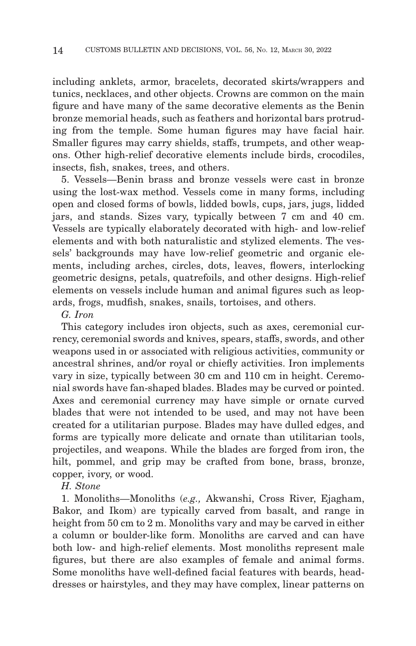including anklets, armor, bracelets, decorated skirts/wrappers and tunics, necklaces, and other objects. Crowns are common on the main figure and have many of the same decorative elements as the Benin bronze memorial heads, such as feathers and horizontal bars protruding from the temple. Some human figures may have facial hair. Smaller figures may carry shields, staffs, trumpets, and other weapons. Other high-relief decorative elements include birds, crocodiles, insects, fish, snakes, trees, and others.

5. Vessels—Benin brass and bronze vessels were cast in bronze using the lost-wax method. Vessels come in many forms, including open and closed forms of bowls, lidded bowls, cups, jars, jugs, lidded jars, and stands. Sizes vary, typically between 7 cm and 40 cm. Vessels are typically elaborately decorated with high- and low-relief elements and with both naturalistic and stylized elements. The vessels' backgrounds may have low-relief geometric and organic elements, including arches, circles, dots, leaves, flowers, interlocking geometric designs, petals, quatrefoils, and other designs. High-relief elements on vessels include human and animal figures such as leopards, frogs, mudfish, snakes, snails, tortoises, and others.

*G. Iron*

This category includes iron objects, such as axes, ceremonial currency, ceremonial swords and knives, spears, staffs, swords, and other weapons used in or associated with religious activities, community or ancestral shrines, and/or royal or chiefly activities. Iron implements vary in size, typically between 30 cm and 110 cm in height. Ceremonial swords have fan-shaped blades. Blades may be curved or pointed. Axes and ceremonial currency may have simple or ornate curved blades that were not intended to be used, and may not have been created for a utilitarian purpose. Blades may have dulled edges, and forms are typically more delicate and ornate than utilitarian tools, projectiles, and weapons. While the blades are forged from iron, the hilt, pommel, and grip may be crafted from bone, brass, bronze, copper, ivory, or wood.

*H. Stone*

1. Monoliths—Monoliths (*e.g.,* Akwanshi, Cross River, Ejagham, Bakor, and Ikom) are typically carved from basalt, and range in height from 50 cm to 2 m. Monoliths vary and may be carved in either a column or boulder-like form. Monoliths are carved and can have both low- and high-relief elements. Most monoliths represent male figures, but there are also examples of female and animal forms. Some monoliths have well-defined facial features with beards, headdresses or hairstyles, and they may have complex, linear patterns on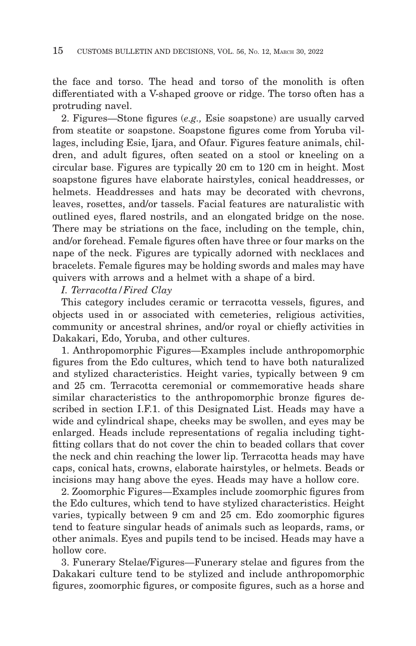the face and torso. The head and torso of the monolith is often differentiated with a V-shaped groove or ridge. The torso often has a protruding navel.

2. Figures—Stone figures (*e.g.,* Esie soapstone) are usually carved from steatite or soapstone. Soapstone figures come from Yoruba villages, including Esie, Ijara, and Ofaur. Figures feature animals, children, and adult figures, often seated on a stool or kneeling on a circular base. Figures are typically 20 cm to 120 cm in height. Most soapstone figures have elaborate hairstyles, conical headdresses, or helmets. Headdresses and hats may be decorated with chevrons, leaves, rosettes, and/or tassels. Facial features are naturalistic with outlined eyes, flared nostrils, and an elongated bridge on the nose. There may be striations on the face, including on the temple, chin, and/or forehead. Female figures often have three or four marks on the nape of the neck. Figures are typically adorned with necklaces and bracelets. Female figures may be holding swords and males may have quivers with arrows and a helmet with a shape of a bird.

#### *I. Terracotta/Fired Clay*

This category includes ceramic or terracotta vessels, figures, and objects used in or associated with cemeteries, religious activities, community or ancestral shrines, and/or royal or chiefly activities in Dakakari, Edo, Yoruba, and other cultures.

1. Anthropomorphic Figures—Examples include anthropomorphic figures from the Edo cultures, which tend to have both naturalized and stylized characteristics. Height varies, typically between 9 cm and 25 cm. Terracotta ceremonial or commemorative heads share similar characteristics to the anthropomorphic bronze figures described in section I.F.1. of this Designated List. Heads may have a wide and cylindrical shape, cheeks may be swollen, and eyes may be enlarged. Heads include representations of regalia including tightfitting collars that do not cover the chin to beaded collars that cover the neck and chin reaching the lower lip. Terracotta heads may have caps, conical hats, crowns, elaborate hairstyles, or helmets. Beads or incisions may hang above the eyes. Heads may have a hollow core.

2. Zoomorphic Figures—Examples include zoomorphic figures from the Edo cultures, which tend to have stylized characteristics. Height varies, typically between 9 cm and 25 cm. Edo zoomorphic figures tend to feature singular heads of animals such as leopards, rams, or other animals. Eyes and pupils tend to be incised. Heads may have a hollow core.

3. Funerary Stelae/Figures—Funerary stelae and figures from the Dakakari culture tend to be stylized and include anthropomorphic figures, zoomorphic figures, or composite figures, such as a horse and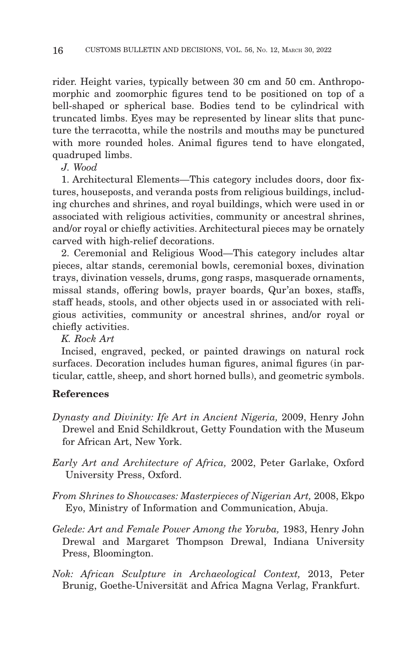rider. Height varies, typically between 30 cm and 50 cm. Anthropomorphic and zoomorphic figures tend to be positioned on top of a bell-shaped or spherical base. Bodies tend to be cylindrical with truncated limbs. Eyes may be represented by linear slits that puncture the terracotta, while the nostrils and mouths may be punctured with more rounded holes. Animal figures tend to have elongated, quadruped limbs.

*J. Wood*

1. Architectural Elements—This category includes doors, door fixtures, houseposts, and veranda posts from religious buildings, including churches and shrines, and royal buildings, which were used in or associated with religious activities, community or ancestral shrines, and/or royal or chiefly activities. Architectural pieces may be ornately carved with high-relief decorations.

2. Ceremonial and Religious Wood—This category includes altar pieces, altar stands, ceremonial bowls, ceremonial boxes, divination trays, divination vessels, drums, gong rasps, masquerade ornaments, missal stands, offering bowls, prayer boards, Qur'an boxes, staffs, staff heads, stools, and other objects used in or associated with religious activities, community or ancestral shrines, and/or royal or chiefly activities.

*K. Rock Art*

Incised, engraved, pecked, or painted drawings on natural rock surfaces. Decoration includes human figures, animal figures (in particular, cattle, sheep, and short horned bulls), and geometric symbols.

## **References**

- *Dynasty and Divinity: Ife Art in Ancient Nigeria,* 2009, Henry John Drewel and Enid Schildkrout, Getty Foundation with the Museum for African Art, New York.
- *Early Art and Architecture of Africa,* 2002, Peter Garlake, Oxford University Press, Oxford.
- *From Shrines to Showcases: Masterpieces of Nigerian Art,* 2008, Ekpo Eyo, Ministry of Information and Communication, Abuja.
- *Gelede: Art and Female Power Among the Yoruba,* 1983, Henry John Drewal and Margaret Thompson Drewal, Indiana University Press, Bloomington.
- *Nok: African Sculpture in Archaeological Context,* 2013, Peter Brunig, Goethe-Universität and Africa Magna Verlag, Frankfurt.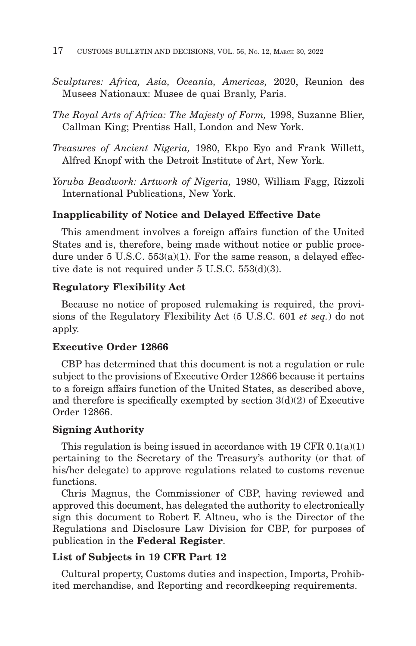- *Sculptures: Africa, Asia, Oceania, Americas,* 2020, Reunion des Musees Nationaux: Musee de quai Branly, Paris.
- *The Royal Arts of Africa: The Majesty of Form,* 1998, Suzanne Blier, Callman King; Prentiss Hall, London and New York.
- *Treasures of Ancient Nigeria,* 1980, Ekpo Eyo and Frank Willett, Alfred Knopf with the Detroit Institute of Art, New York.
- *Yoruba Beadwork: Artwork of Nigeria,* 1980, William Fagg, Rizzoli International Publications, New York.

### **Inapplicability of Notice and Delayed Effective Date**

This amendment involves a foreign affairs function of the United States and is, therefore, being made without notice or public procedure under 5 U.S.C. 553(a)(1). For the same reason, a delayed effective date is not required under 5 U.S.C. 553(d)(3).

## **Regulatory Flexibility Act**

Because no notice of proposed rulemaking is required, the provisions of the Regulatory Flexibility Act (5 U.S.C. 601 *et seq.*) do not apply.

#### **Executive Order 12866**

CBP has determined that this document is not a regulation or rule subject to the provisions of Executive Order 12866 because it pertains to a foreign affairs function of the United States, as described above, and therefore is specifically exempted by section  $3(d)(2)$  of Executive Order 12866.

#### **Signing Authority**

This regulation is being issued in accordance with 19 CFR  $0.1(a)(1)$ pertaining to the Secretary of the Treasury's authority (or that of his/her delegate) to approve regulations related to customs revenue functions.

Chris Magnus, the Commissioner of CBP, having reviewed and approved this document, has delegated the authority to electronically sign this document to Robert F. Altneu, who is the Director of the Regulations and Disclosure Law Division for CBP, for purposes of publication in the **Federal Register**.

## **List of Subjects in 19 CFR Part 12**

Cultural property, Customs duties and inspection, Imports, Prohibited merchandise, and Reporting and recordkeeping requirements.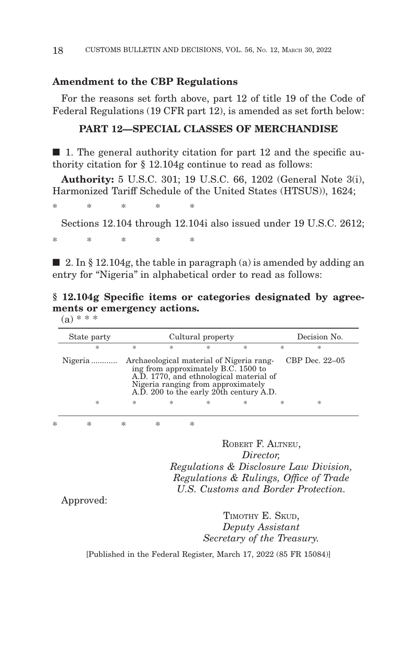#### **Amendment to the CBP Regulations**

For the reasons set forth above, part 12 of title 19 of the Code of Federal Regulations (19 CFR part 12), is amended as set forth below:

## **PART 12—SPECIAL CLASSES OF MERCHANDISE**

 $\blacksquare$  1. The general authority citation for part 12 and the specific authority citation for § 12.104g continue to read as follows:

**Authority:** 5 U.S.C. 301; 19 U.S.C. 66, 1202 (General Note 3(i), Harmonized Tariff Schedule of the United States (HTSUS)), 1624;

\*\*\*\* \*

Sections 12.104 through 12.104i also issued under 19 U.S.C. 2612;

\*\*\*\* \*

 $\blacksquare$  2. In § 12.104g, the table in paragraph (a) is amended by adding an entry for "Nigeria" in alphabetical order to read as follows:

**§ 12.104g Specific items or categories designated by agreements or emergency actions.**

 $(a) * * *$ 

| State party                                                                                                                                                                                                                              |                       | Cultural property |   | Decision No. |   |   |  |  |  |
|------------------------------------------------------------------------------------------------------------------------------------------------------------------------------------------------------------------------------------------|-----------------------|-------------------|---|--------------|---|---|--|--|--|
| *                                                                                                                                                                                                                                        | $\frac{1}{2\sqrt{3}}$ | *                 | 冰 | $\ast$       | 宋 | 永 |  |  |  |
| CBP Dec. $22-05$<br>Nigeria  Archaeological material of Nigeria rang-<br>ing from approximately B.C. 1500 to<br>A.D. 1770, and ethnological material of<br>Nigeria ranging from approximately<br>A.D. 200 to the early 20th century A.D. |                       |                   |   |              |   |   |  |  |  |
| *                                                                                                                                                                                                                                        | 永                     | *                 | 宋 | 冰            | 宋 | * |  |  |  |

\*\*\*\* \*

ROBERT F. ALTNEU, *Director, Regulations & Disclosure Law Division, Regulations & Rulings, Office of Trade U.S. Customs and Border Protection.*

Approved:

TIMOTHY E. SKUD, *Deputy Assistant Secretary of the Treasury.*

[Published in the Federal Register, March 17, 2022 (85 FR 15084)]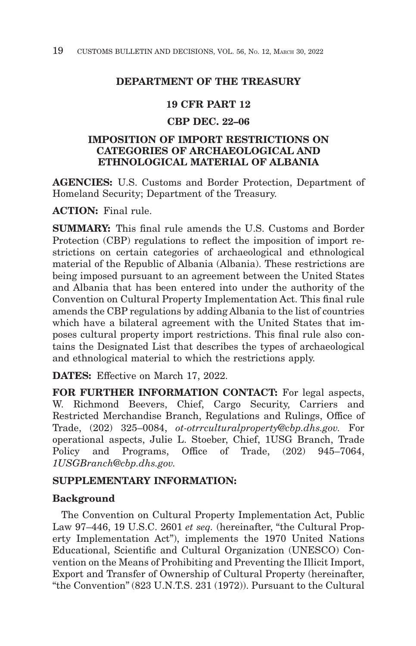# **DEPARTMENT OF THE TREASURY**

## **19 CFR PART 12**

# **CBP DEC. 22–06**

# **IMPOSITION OF IMPORT RESTRICTIONS ON CATEGORIES OF ARCHAEOLOGICAL AND ETHNOLOGICAL MATERIAL OF ALBANIA**

**AGENCIES:** U.S. Customs and Border Protection, Department of Homeland Security; Department of the Treasury.

**ACTION:** Final rule.

**SUMMARY:** This final rule amends the U.S. Customs and Border Protection (CBP) regulations to reflect the imposition of import restrictions on certain categories of archaeological and ethnological material of the Republic of Albania (Albania). These restrictions are being imposed pursuant to an agreement between the United States and Albania that has been entered into under the authority of the Convention on Cultural Property Implementation Act. This final rule amends the CBP regulations by adding Albania to the list of countries which have a bilateral agreement with the United States that imposes cultural property import restrictions. This final rule also contains the Designated List that describes the types of archaeological and ethnological material to which the restrictions apply.

**DATES:** Effective on March 17, 2022.

**FOR FURTHER INFORMATION CONTACT:** For legal aspects, W. Richmond Beevers, Chief, Cargo Security, Carriers and Restricted Merchandise Branch, Regulations and Rulings, Office of Trade, (202) 325–0084, *ot-otrrculturalproperty@cbp.dhs.gov.* For operational aspects, Julie L. Stoeber, Chief, 1USG Branch, Trade Policy and Programs, Office of Trade, (202) 945–7064, *1USGBranch@cbp.dhs.gov.*

## **SUPPLEMENTARY INFORMATION:**

# **Background**

The Convention on Cultural Property Implementation Act, Public Law 97-446, 19 U.S.C. 2601 *et seq.* (hereinafter, "the Cultural Property Implementation Act''), implements the 1970 United Nations Educational, Scientific and Cultural Organization (UNESCO) Convention on the Means of Prohibiting and Preventing the Illicit Import, Export and Transfer of Ownership of Cultural Property (hereinafter, ''the Convention'' (823 U.N.T.S. 231 (1972)). Pursuant to the Cultural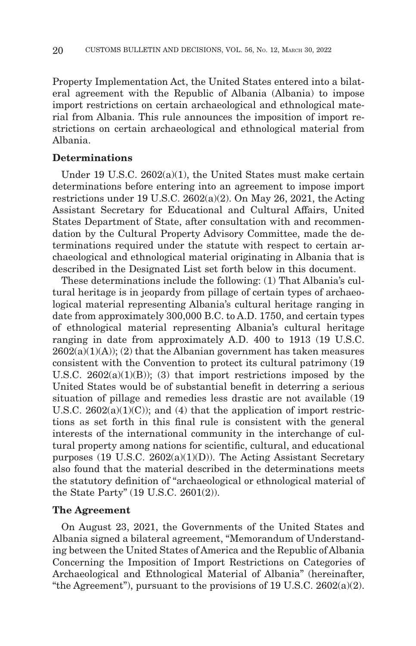Property Implementation Act, the United States entered into a bilateral agreement with the Republic of Albania (Albania) to impose import restrictions on certain archaeological and ethnological material from Albania. This rule announces the imposition of import restrictions on certain archaeological and ethnological material from Albania.

## **Determinations**

Under 19 U.S.C. 2602(a)(1), the United States must make certain determinations before entering into an agreement to impose import restrictions under 19 U.S.C. 2602(a)(2). On May 26, 2021, the Acting Assistant Secretary for Educational and Cultural Affairs, United States Department of State, after consultation with and recommendation by the Cultural Property Advisory Committee, made the determinations required under the statute with respect to certain archaeological and ethnological material originating in Albania that is described in the Designated List set forth below in this document.

These determinations include the following: (1) That Albania's cultural heritage is in jeopardy from pillage of certain types of archaeological material representing Albania's cultural heritage ranging in date from approximately 300,000 B.C. to A.D. 1750, and certain types of ethnological material representing Albania's cultural heritage ranging in date from approximately A.D. 400 to 1913 (19 U.S.C.  $2602(a)(1)(A)$ ; (2) that the Albanian government has taken measures consistent with the Convention to protect its cultural patrimony (19 U.S.C.  $2602(a)(1)(B)$ ; (3) that import restrictions imposed by the United States would be of substantial benefit in deterring a serious situation of pillage and remedies less drastic are not available (19 U.S.C.  $2602(a)(1)(C)$ ; and (4) that the application of import restrictions as set forth in this final rule is consistent with the general interests of the international community in the interchange of cultural property among nations for scientific, cultural, and educational purposes (19 U.S.C. 2602(a)(1)(D)). The Acting Assistant Secretary also found that the material described in the determinations meets the statutory definition of ''archaeological or ethnological material of the State Party'' (19 U.S.C. 2601(2)).

#### **The Agreement**

On August 23, 2021, the Governments of the United States and Albania signed a bilateral agreement, ''Memorandum of Understanding between the United States of America and the Republic of Albania Concerning the Imposition of Import Restrictions on Categories of Archaeological and Ethnological Material of Albania'' (hereinafter, "the Agreement"), pursuant to the provisions of 19 U.S.C.  $2602(a)(2)$ .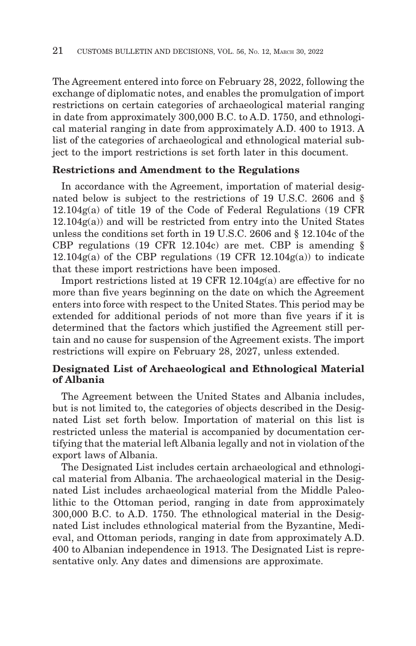The Agreement entered into force on February 28, 2022, following the exchange of diplomatic notes, and enables the promulgation of import restrictions on certain categories of archaeological material ranging in date from approximately 300,000 B.C. to A.D. 1750, and ethnological material ranging in date from approximately A.D. 400 to 1913. A list of the categories of archaeological and ethnological material subject to the import restrictions is set forth later in this document.

## **Restrictions and Amendment to the Regulations**

In accordance with the Agreement, importation of material designated below is subject to the restrictions of 19 U.S.C. 2606 and § 12.104g(a) of title 19 of the Code of Federal Regulations (19 CFR  $12.104g(a)$  and will be restricted from entry into the United States unless the conditions set forth in 19 U.S.C. 2606 and § 12.104c of the CBP regulations (19 CFR 12.104c) are met. CBP is amending §  $12.104g(a)$  of the CBP regulations (19 CFR 12.104 $g(a)$ ) to indicate that these import restrictions have been imposed.

Import restrictions listed at 19 CFR 12.104g(a) are effective for no more than five years beginning on the date on which the Agreement enters into force with respect to the United States. This period may be extended for additional periods of not more than five years if it is determined that the factors which justified the Agreement still pertain and no cause for suspension of the Agreement exists. The import restrictions will expire on February 28, 2027, unless extended.

# **Designated List of Archaeological and Ethnological Material of Albania**

The Agreement between the United States and Albania includes, but is not limited to, the categories of objects described in the Designated List set forth below. Importation of material on this list is restricted unless the material is accompanied by documentation certifying that the material left Albania legally and not in violation of the export laws of Albania.

The Designated List includes certain archaeological and ethnological material from Albania. The archaeological material in the Designated List includes archaeological material from the Middle Paleolithic to the Ottoman period, ranging in date from approximately 300,000 B.C. to A.D. 1750. The ethnological material in the Designated List includes ethnological material from the Byzantine, Medieval, and Ottoman periods, ranging in date from approximately A.D. 400 to Albanian independence in 1913. The Designated List is representative only. Any dates and dimensions are approximate.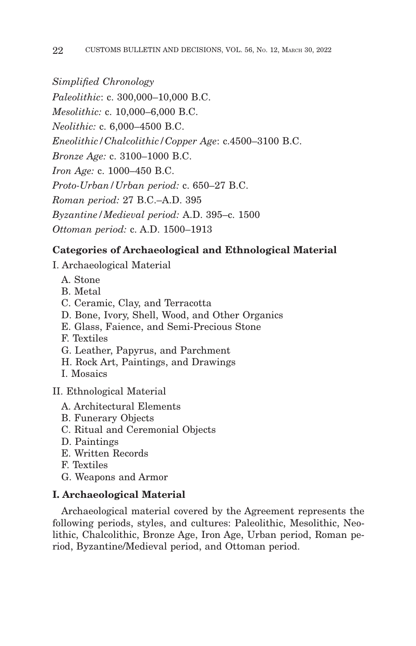*Simplified Chronology*

*Paleolithic*: c. 300,000–10,000 B.C. *Mesolithic:* c. 10,000–6,000 B.C. *Neolithic:* c. 6,000–4500 B.C. *Eneolithic/Chalcolithic/Copper Age*: c.4500–3100 B.C. *Bronze Age:* c. 3100–1000 B.C. *Iron Age:* c. 1000–450 B.C. *Proto-Urban/Urban period:* c. 650–27 B.C. *Roman period:* 27 B.C.–A.D. 395 *Byzantine/Medieval period:* A.D. 395–c. 1500 *Ottoman period:* c. A.D. 1500–1913

# **Categories of Archaeological and Ethnological Material**

- I. Archaeological Material
	- A. Stone
	- B. Metal
	- C. Ceramic, Clay, and Terracotta
	- D. Bone, Ivory, Shell, Wood, and Other Organics
	- E. Glass, Faience, and Semi-Precious Stone
	- F. Textiles
	- G. Leather, Papyrus, and Parchment
	- H. Rock Art, Paintings, and Drawings
	- I. Mosaics

II. Ethnological Material

- A. Architectural Elements
- B. Funerary Objects
- C. Ritual and Ceremonial Objects
- D. Paintings
- E. Written Records
- F. Textiles
- G. Weapons and Armor

# **I. Archaeological Material**

Archaeological material covered by the Agreement represents the following periods, styles, and cultures: Paleolithic, Mesolithic, Neolithic, Chalcolithic, Bronze Age, Iron Age, Urban period, Roman period, Byzantine/Medieval period, and Ottoman period.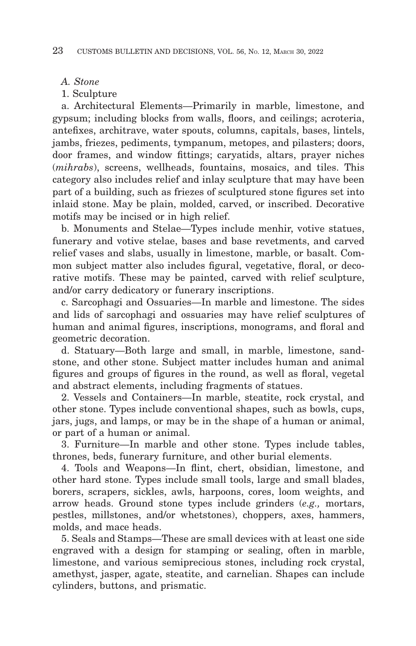- *A. Stone*
- 1. Sculpture

a. Architectural Elements—Primarily in marble, limestone, and gypsum; including blocks from walls, floors, and ceilings; acroteria, antefixes, architrave, water spouts, columns, capitals, bases, lintels, jambs, friezes, pediments, tympanum, metopes, and pilasters; doors, door frames, and window fittings; caryatids, altars, prayer niches (*mihrabs*), screens, wellheads, fountains, mosaics, and tiles. This category also includes relief and inlay sculpture that may have been part of a building, such as friezes of sculptured stone figures set into inlaid stone. May be plain, molded, carved, or inscribed. Decorative motifs may be incised or in high relief.

b. Monuments and Stelae—Types include menhir, votive statues, funerary and votive stelae, bases and base revetments, and carved relief vases and slabs, usually in limestone, marble, or basalt. Common subject matter also includes figural, vegetative, floral, or decorative motifs. These may be painted, carved with relief sculpture, and/or carry dedicatory or funerary inscriptions.

c. Sarcophagi and Ossuaries—In marble and limestone. The sides and lids of sarcophagi and ossuaries may have relief sculptures of human and animal figures, inscriptions, monograms, and floral and geometric decoration.

d. Statuary—Both large and small, in marble, limestone, sandstone, and other stone. Subject matter includes human and animal figures and groups of figures in the round, as well as floral, vegetal and abstract elements, including fragments of statues.

2. Vessels and Containers—In marble, steatite, rock crystal, and other stone. Types include conventional shapes, such as bowls, cups, jars, jugs, and lamps, or may be in the shape of a human or animal, or part of a human or animal.

3. Furniture—In marble and other stone. Types include tables, thrones, beds, funerary furniture, and other burial elements.

4. Tools and Weapons—In flint, chert, obsidian, limestone, and other hard stone. Types include small tools, large and small blades, borers, scrapers, sickles, awls, harpoons, cores, loom weights, and arrow heads. Ground stone types include grinders (*e.g.,* mortars, pestles, millstones, and/or whetstones), choppers, axes, hammers, molds, and mace heads.

5. Seals and Stamps—These are small devices with at least one side engraved with a design for stamping or sealing, often in marble, limestone, and various semiprecious stones, including rock crystal, amethyst, jasper, agate, steatite, and carnelian. Shapes can include cylinders, buttons, and prismatic.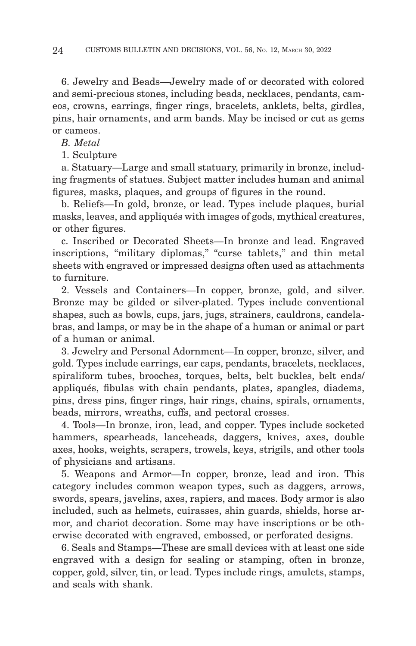6. Jewelry and Beads—Jewelry made of or decorated with colored and semi-precious stones, including beads, necklaces, pendants, cameos, crowns, earrings, finger rings, bracelets, anklets, belts, girdles, pins, hair ornaments, and arm bands. May be incised or cut as gems or cameos.

*B. Metal*

1. Sculpture

a. Statuary—Large and small statuary, primarily in bronze, including fragments of statues. Subject matter includes human and animal figures, masks, plaques, and groups of figures in the round.

b. Reliefs—In gold, bronze, or lead. Types include plaques, burial masks, leaves, and appliqués with images of gods, mythical creatures, or other figures.

c. Inscribed or Decorated Sheets—In bronze and lead. Engraved inscriptions, "military diplomas," "curse tablets," and thin metal sheets with engraved or impressed designs often used as attachments to furniture.

2. Vessels and Containers—In copper, bronze, gold, and silver. Bronze may be gilded or silver-plated. Types include conventional shapes, such as bowls, cups, jars, jugs, strainers, cauldrons, candelabras, and lamps, or may be in the shape of a human or animal or part of a human or animal.

3. Jewelry and Personal Adornment—In copper, bronze, silver, and gold. Types include earrings, ear caps, pendants, bracelets, necklaces, spiraliform tubes, brooches, torques, belts, belt buckles, belt ends/ appliqués, fibulas with chain pendants, plates, spangles, diadems, pins, dress pins, finger rings, hair rings, chains, spirals, ornaments, beads, mirrors, wreaths, cuffs, and pectoral crosses.

4. Tools—In bronze, iron, lead, and copper. Types include socketed hammers, spearheads, lanceheads, daggers, knives, axes, double axes, hooks, weights, scrapers, trowels, keys, strigils, and other tools of physicians and artisans.

5. Weapons and Armor—In copper, bronze, lead and iron. This category includes common weapon types, such as daggers, arrows, swords, spears, javelins, axes, rapiers, and maces. Body armor is also included, such as helmets, cuirasses, shin guards, shields, horse armor, and chariot decoration. Some may have inscriptions or be otherwise decorated with engraved, embossed, or perforated designs.

6. Seals and Stamps—These are small devices with at least one side engraved with a design for sealing or stamping, often in bronze, copper, gold, silver, tin, or lead. Types include rings, amulets, stamps, and seals with shank.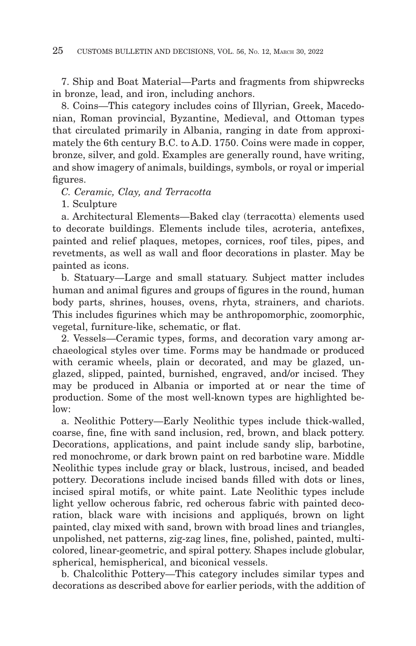7. Ship and Boat Material—Parts and fragments from shipwrecks in bronze, lead, and iron, including anchors.

8. Coins—This category includes coins of Illyrian, Greek, Macedonian, Roman provincial, Byzantine, Medieval, and Ottoman types that circulated primarily in Albania, ranging in date from approximately the 6th century B.C. to A.D. 1750. Coins were made in copper, bronze, silver, and gold. Examples are generally round, have writing, and show imagery of animals, buildings, symbols, or royal or imperial figures.

*C. Ceramic, Clay, and Terracotta*

1. Sculpture

a. Architectural Elements—Baked clay (terracotta) elements used to decorate buildings. Elements include tiles, acroteria, antefixes, painted and relief plaques, metopes, cornices, roof tiles, pipes, and revetments, as well as wall and floor decorations in plaster. May be painted as icons.

b. Statuary—Large and small statuary. Subject matter includes human and animal figures and groups of figures in the round, human body parts, shrines, houses, ovens, rhyta, strainers, and chariots. This includes figurines which may be anthropomorphic, zoomorphic, vegetal, furniture-like, schematic, or flat.

2. Vessels—Ceramic types, forms, and decoration vary among archaeological styles over time. Forms may be handmade or produced with ceramic wheels, plain or decorated, and may be glazed, unglazed, slipped, painted, burnished, engraved, and/or incised. They may be produced in Albania or imported at or near the time of production. Some of the most well-known types are highlighted below:

a. Neolithic Pottery—Early Neolithic types include thick-walled, coarse, fine, fine with sand inclusion, red, brown, and black pottery. Decorations, applications, and paint include sandy slip, barbotine, red monochrome, or dark brown paint on red barbotine ware. Middle Neolithic types include gray or black, lustrous, incised, and beaded pottery. Decorations include incised bands filled with dots or lines, incised spiral motifs, or white paint. Late Neolithic types include light yellow ocherous fabric, red ocherous fabric with painted decoration, black ware with incisions and appliqués, brown on light painted, clay mixed with sand, brown with broad lines and triangles, unpolished, net patterns, zig-zag lines, fine, polished, painted, multicolored, linear-geometric, and spiral pottery. Shapes include globular, spherical, hemispherical, and biconical vessels.

b. Chalcolithic Pottery—This category includes similar types and decorations as described above for earlier periods, with the addition of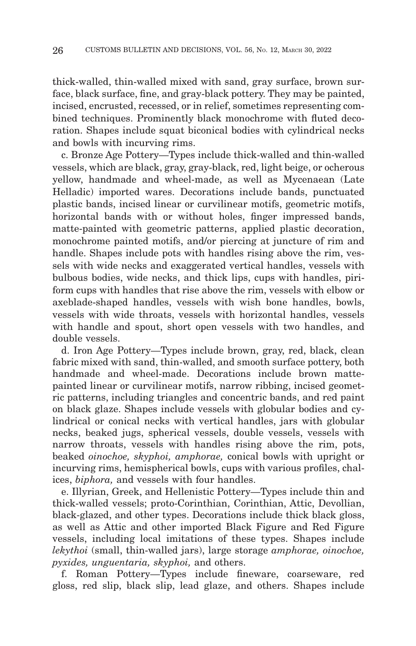thick-walled, thin-walled mixed with sand, gray surface, brown surface, black surface, fine, and gray-black pottery. They may be painted, incised, encrusted, recessed, or in relief, sometimes representing combined techniques. Prominently black monochrome with fluted decoration. Shapes include squat biconical bodies with cylindrical necks and bowls with incurving rims.

c. Bronze Age Pottery—Types include thick-walled and thin-walled vessels, which are black, gray, gray-black, red, light beige, or ocherous yellow, handmade and wheel-made, as well as Mycenaean (Late Helladic) imported wares. Decorations include bands, punctuated plastic bands, incised linear or curvilinear motifs, geometric motifs, horizontal bands with or without holes, finger impressed bands, matte-painted with geometric patterns, applied plastic decoration, monochrome painted motifs, and/or piercing at juncture of rim and handle. Shapes include pots with handles rising above the rim, vessels with wide necks and exaggerated vertical handles, vessels with bulbous bodies, wide necks, and thick lips, cups with handles, piriform cups with handles that rise above the rim, vessels with elbow or axeblade-shaped handles, vessels with wish bone handles, bowls, vessels with wide throats, vessels with horizontal handles, vessels with handle and spout, short open vessels with two handles, and double vessels.

d. Iron Age Pottery—Types include brown, gray, red, black, clean fabric mixed with sand, thin-walled, and smooth surface pottery, both handmade and wheel-made. Decorations include brown mattepainted linear or curvilinear motifs, narrow ribbing, incised geometric patterns, including triangles and concentric bands, and red paint on black glaze. Shapes include vessels with globular bodies and cylindrical or conical necks with vertical handles, jars with globular necks, beaked jugs, spherical vessels, double vessels, vessels with narrow throats, vessels with handles rising above the rim, pots, beaked *oinochoe, skyphoi, amphorae,* conical bowls with upright or incurving rims, hemispherical bowls, cups with various profiles, chalices, *biphora,* and vessels with four handles.

e. Illyrian, Greek, and Hellenistic Pottery—Types include thin and thick-walled vessels; proto-Corinthian, Corinthian, Attic, Devollian, black-glazed, and other types. Decorations include thick black gloss, as well as Attic and other imported Black Figure and Red Figure vessels, including local imitations of these types. Shapes include *lekythoi* (small, thin-walled jars), large storage *amphorae, oinochoe, pyxides, unguentaria, skyphoi,* and others.

f. Roman Pottery—Types include fineware, coarseware, red gloss, red slip, black slip, lead glaze, and others. Shapes include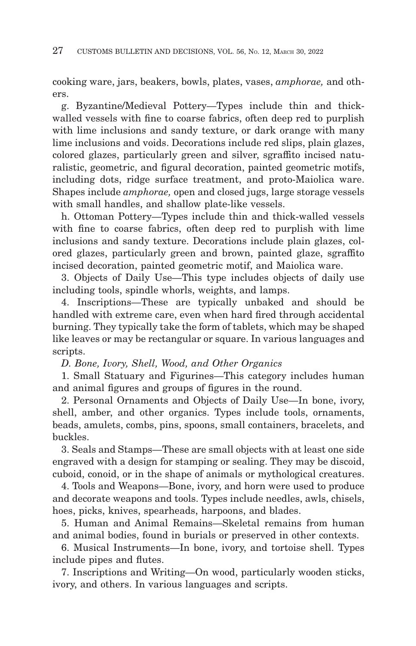cooking ware, jars, beakers, bowls, plates, vases, *amphorae,* and others.

g. Byzantine/Medieval Pottery—Types include thin and thickwalled vessels with fine to coarse fabrics, often deep red to purplish with lime inclusions and sandy texture, or dark orange with many lime inclusions and voids. Decorations include red slips, plain glazes, colored glazes, particularly green and silver, sgraffito incised naturalistic, geometric, and figural decoration, painted geometric motifs, including dots, ridge surface treatment, and proto-Maiolica ware. Shapes include *amphorae,* open and closed jugs, large storage vessels with small handles, and shallow plate-like vessels.

h. Ottoman Pottery—Types include thin and thick-walled vessels with fine to coarse fabrics, often deep red to purplish with lime inclusions and sandy texture. Decorations include plain glazes, colored glazes, particularly green and brown, painted glaze, sgraffito incised decoration, painted geometric motif, and Maiolica ware.

3. Objects of Daily Use—This type includes objects of daily use including tools, spindle whorls, weights, and lamps.

4. Inscriptions—These are typically unbaked and should be handled with extreme care, even when hard fired through accidental burning. They typically take the form of tablets, which may be shaped like leaves or may be rectangular or square. In various languages and scripts.

*D. Bone, Ivory, Shell, Wood, and Other Organics*

1. Small Statuary and Figurines—This category includes human and animal figures and groups of figures in the round.

2. Personal Ornaments and Objects of Daily Use—In bone, ivory, shell, amber, and other organics. Types include tools, ornaments, beads, amulets, combs, pins, spoons, small containers, bracelets, and buckles.

3. Seals and Stamps—These are small objects with at least one side engraved with a design for stamping or sealing. They may be discoid, cuboid, conoid, or in the shape of animals or mythological creatures.

4. Tools and Weapons—Bone, ivory, and horn were used to produce and decorate weapons and tools. Types include needles, awls, chisels, hoes, picks, knives, spearheads, harpoons, and blades.

5. Human and Animal Remains—Skeletal remains from human and animal bodies, found in burials or preserved in other contexts.

6. Musical Instruments—In bone, ivory, and tortoise shell. Types include pipes and flutes.

7. Inscriptions and Writing—On wood, particularly wooden sticks, ivory, and others. In various languages and scripts.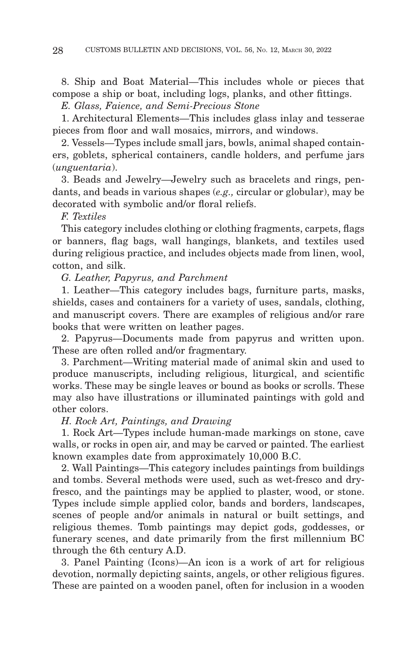8. Ship and Boat Material—This includes whole or pieces that compose a ship or boat, including logs, planks, and other fittings.

*E. Glass, Faience, and Semi-Precious Stone*

1. Architectural Elements—This includes glass inlay and tesserae pieces from floor and wall mosaics, mirrors, and windows.

2. Vessels—Types include small jars, bowls, animal shaped containers, goblets, spherical containers, candle holders, and perfume jars (*unguentaria*).

3. Beads and Jewelry—Jewelry such as bracelets and rings, pendants, and beads in various shapes (*e.g.,* circular or globular), may be decorated with symbolic and/or floral reliefs.

*F. Textiles*

This category includes clothing or clothing fragments, carpets, flags or banners, flag bags, wall hangings, blankets, and textiles used during religious practice, and includes objects made from linen, wool, cotton, and silk.

*G. Leather, Papyrus, and Parchment*

1. Leather—This category includes bags, furniture parts, masks, shields, cases and containers for a variety of uses, sandals, clothing, and manuscript covers. There are examples of religious and/or rare books that were written on leather pages.

2. Papyrus—Documents made from papyrus and written upon. These are often rolled and/or fragmentary.

3. Parchment—Writing material made of animal skin and used to produce manuscripts, including religious, liturgical, and scientific works. These may be single leaves or bound as books or scrolls. These may also have illustrations or illuminated paintings with gold and other colors.

*H. Rock Art, Paintings, and Drawing*

1. Rock Art—Types include human-made markings on stone, cave walls, or rocks in open air, and may be carved or painted. The earliest known examples date from approximately 10,000 B.C.

2. Wall Paintings—This category includes paintings from buildings and tombs. Several methods were used, such as wet-fresco and dryfresco, and the paintings may be applied to plaster, wood, or stone. Types include simple applied color, bands and borders, landscapes, scenes of people and/or animals in natural or built settings, and religious themes. Tomb paintings may depict gods, goddesses, or funerary scenes, and date primarily from the first millennium BC through the 6th century A.D.

3. Panel Painting (Icons)—An icon is a work of art for religious devotion, normally depicting saints, angels, or other religious figures. These are painted on a wooden panel, often for inclusion in a wooden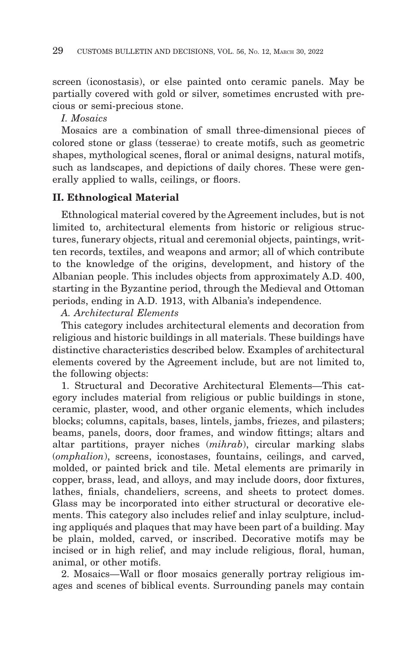screen (iconostasis), or else painted onto ceramic panels. May be partially covered with gold or silver, sometimes encrusted with precious or semi-precious stone.

*I. Mosaics*

Mosaics are a combination of small three-dimensional pieces of colored stone or glass (tesserae) to create motifs, such as geometric shapes, mythological scenes, floral or animal designs, natural motifs, such as landscapes, and depictions of daily chores. These were generally applied to walls, ceilings, or floors.

# **II. Ethnological Material**

Ethnological material covered by the Agreement includes, but is not limited to, architectural elements from historic or religious structures, funerary objects, ritual and ceremonial objects, paintings, written records, textiles, and weapons and armor; all of which contribute to the knowledge of the origins, development, and history of the Albanian people. This includes objects from approximately A.D. 400, starting in the Byzantine period, through the Medieval and Ottoman periods, ending in A.D. 1913, with Albania's independence.

## *A. Architectural Elements*

This category includes architectural elements and decoration from religious and historic buildings in all materials. These buildings have distinctive characteristics described below. Examples of architectural elements covered by the Agreement include, but are not limited to, the following objects:

1. Structural and Decorative Architectural Elements—This category includes material from religious or public buildings in stone, ceramic, plaster, wood, and other organic elements, which includes blocks; columns, capitals, bases, lintels, jambs, friezes, and pilasters; beams, panels, doors, door frames, and window fittings; altars and altar partitions, prayer niches (*mihrab*), circular marking slabs (*omphalion*), screens, iconostases, fountains, ceilings, and carved, molded, or painted brick and tile. Metal elements are primarily in copper, brass, lead, and alloys, and may include doors, door fixtures, lathes, finials, chandeliers, screens, and sheets to protect domes. Glass may be incorporated into either structural or decorative elements. This category also includes relief and inlay sculpture, including appliqués and plaques that may have been part of a building. May be plain, molded, carved, or inscribed. Decorative motifs may be incised or in high relief, and may include religious, floral, human, animal, or other motifs.

2. Mosaics—Wall or floor mosaics generally portray religious images and scenes of biblical events. Surrounding panels may contain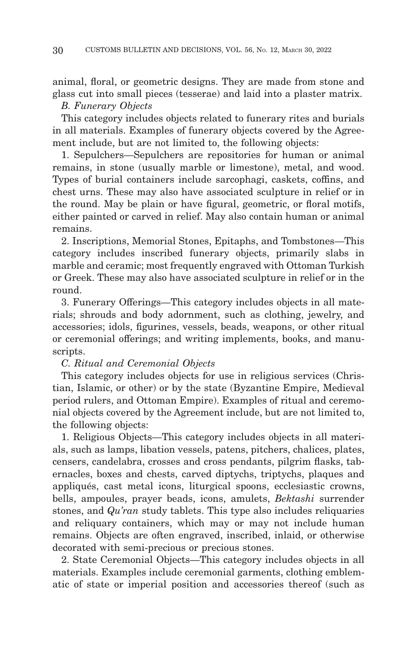animal, floral, or geometric designs. They are made from stone and glass cut into small pieces (tesserae) and laid into a plaster matrix. *B. Funerary Objects*

This category includes objects related to funerary rites and burials in all materials. Examples of funerary objects covered by the Agreement include, but are not limited to, the following objects:

1. Sepulchers—Sepulchers are repositories for human or animal remains, in stone (usually marble or limestone), metal, and wood. Types of burial containers include sarcophagi, caskets, coffins, and chest urns. These may also have associated sculpture in relief or in the round. May be plain or have figural, geometric, or floral motifs, either painted or carved in relief. May also contain human or animal remains.

2. Inscriptions, Memorial Stones, Epitaphs, and Tombstones—This category includes inscribed funerary objects, primarily slabs in marble and ceramic; most frequently engraved with Ottoman Turkish or Greek. These may also have associated sculpture in relief or in the round.

3. Funerary Offerings—This category includes objects in all materials; shrouds and body adornment, such as clothing, jewelry, and accessories; idols, figurines, vessels, beads, weapons, or other ritual or ceremonial offerings; and writing implements, books, and manuscripts.

## *C. Ritual and Ceremonial Objects*

This category includes objects for use in religious services (Christian, Islamic, or other) or by the state (Byzantine Empire, Medieval period rulers, and Ottoman Empire). Examples of ritual and ceremonial objects covered by the Agreement include, but are not limited to, the following objects:

1. Religious Objects—This category includes objects in all materials, such as lamps, libation vessels, patens, pitchers, chalices, plates, censers, candelabra, crosses and cross pendants, pilgrim flasks, tabernacles, boxes and chests, carved diptychs, triptychs, plaques and appliqués, cast metal icons, liturgical spoons, ecclesiastic crowns, bells, ampoules, prayer beads, icons, amulets, *Bektashi* surrender stones, and *Qu'ran* study tablets. This type also includes reliquaries and reliquary containers, which may or may not include human remains. Objects are often engraved, inscribed, inlaid, or otherwise decorated with semi-precious or precious stones.

2. State Ceremonial Objects—This category includes objects in all materials. Examples include ceremonial garments, clothing emblematic of state or imperial position and accessories thereof (such as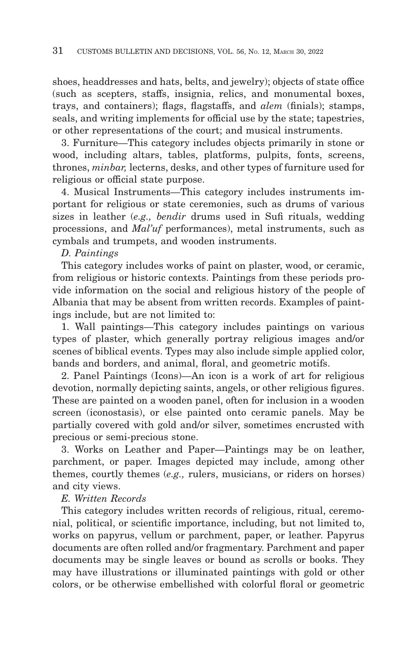shoes, headdresses and hats, belts, and jewelry); objects of state office (such as scepters, staffs, insignia, relics, and monumental boxes, trays, and containers); flags, flagstaffs, and *alem* (finials); stamps, seals, and writing implements for official use by the state; tapestries, or other representations of the court; and musical instruments.

3. Furniture—This category includes objects primarily in stone or wood, including altars, tables, platforms, pulpits, fonts, screens, thrones, *minbar,* lecterns, desks, and other types of furniture used for religious or official state purpose.

4. Musical Instruments—This category includes instruments important for religious or state ceremonies, such as drums of various sizes in leather (*e.g., bendir* drums used in Sufi rituals, wedding processions, and *Mal'uf* performances), metal instruments, such as cymbals and trumpets, and wooden instruments.

# *D. Paintings*

This category includes works of paint on plaster, wood, or ceramic, from religious or historic contexts. Paintings from these periods provide information on the social and religious history of the people of Albania that may be absent from written records. Examples of paintings include, but are not limited to:

1. Wall paintings—This category includes paintings on various types of plaster, which generally portray religious images and/or scenes of biblical events. Types may also include simple applied color, bands and borders, and animal, floral, and geometric motifs.

2. Panel Paintings (Icons)—An icon is a work of art for religious devotion, normally depicting saints, angels, or other religious figures. These are painted on a wooden panel, often for inclusion in a wooden screen (iconostasis), or else painted onto ceramic panels. May be partially covered with gold and/or silver, sometimes encrusted with precious or semi-precious stone.

3. Works on Leather and Paper—Paintings may be on leather, parchment, or paper. Images depicted may include, among other themes, courtly themes (*e.g.,* rulers, musicians, or riders on horses) and city views.

# *E. Written Records*

This category includes written records of religious, ritual, ceremonial, political, or scientific importance, including, but not limited to, works on papyrus, vellum or parchment, paper, or leather. Papyrus documents are often rolled and/or fragmentary. Parchment and paper documents may be single leaves or bound as scrolls or books. They may have illustrations or illuminated paintings with gold or other colors, or be otherwise embellished with colorful floral or geometric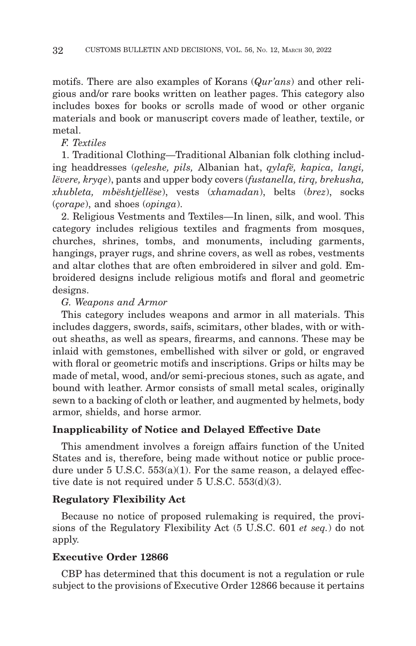motifs. There are also examples of Korans (*Qur'ans*) and other religious and/or rare books written on leather pages. This category also includes boxes for books or scrolls made of wood or other organic materials and book or manuscript covers made of leather, textile, or metal.

# *F. Textiles*

1. Traditional Clothing—Traditional Albanian folk clothing including headdresses (*qeleshe, pils,* Albanian hat, *qylafë, kapica, langi, lëvere, kryqe*), pants and upper body covers (*fustanella, tirq, brekusha, xhubleta, mbështjellëse*), vests (*xhamadan*), belts (*brez*), socks (*çorape*), and shoes (*opinga*).

2. Religious Vestments and Textiles—In linen, silk, and wool. This category includes religious textiles and fragments from mosques, churches, shrines, tombs, and monuments, including garments, hangings, prayer rugs, and shrine covers, as well as robes, vestments and altar clothes that are often embroidered in silver and gold. Embroidered designs include religious motifs and floral and geometric designs.

#### *G. Weapons and Armor*

This category includes weapons and armor in all materials. This includes daggers, swords, saifs, scimitars, other blades, with or without sheaths, as well as spears, firearms, and cannons. These may be inlaid with gemstones, embellished with silver or gold, or engraved with floral or geometric motifs and inscriptions. Grips or hilts may be made of metal, wood, and/or semi-precious stones, such as agate, and bound with leather. Armor consists of small metal scales, originally sewn to a backing of cloth or leather, and augmented by helmets, body armor, shields, and horse armor.

## **Inapplicability of Notice and Delayed Effective Date**

This amendment involves a foreign affairs function of the United States and is, therefore, being made without notice or public procedure under  $5 \text{ U.S.C. } 553(a)(1)$ . For the same reason, a delayed effective date is not required under 5 U.S.C. 553(d)(3).

## **Regulatory Flexibility Act**

Because no notice of proposed rulemaking is required, the provisions of the Regulatory Flexibility Act (5 U.S.C. 601 *et seq.*) do not apply.

## **Executive Order 12866**

CBP has determined that this document is not a regulation or rule subject to the provisions of Executive Order 12866 because it pertains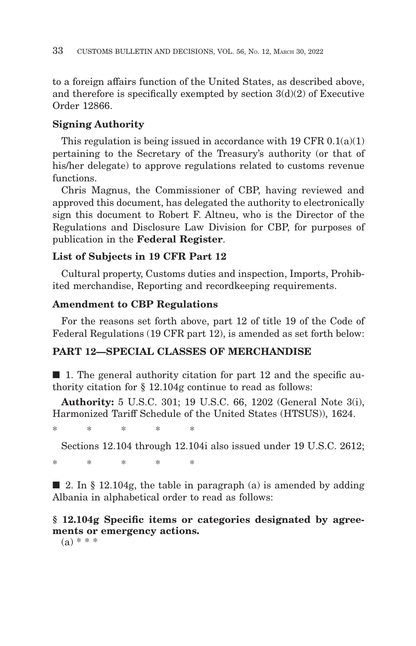to a foreign affairs function of the United States, as described above, and therefore is specifically exempted by section  $3(d)(2)$  of Executive Order 12866.

# **Signing Authority**

This regulation is being issued in accordance with 19 CFR 0.1(a)(1) pertaining to the Secretary of the Treasury's authority (or that of his/her delegate) to approve regulations related to customs revenue functions.

Chris Magnus, the Commissioner of CBP, having reviewed and approved this document, has delegated the authority to electronically sign this document to Robert F. Altneu, who is the Director of the Regulations and Disclosure Law Division for CBP, for purposes of publication in the **Federal Register**.

# **List of Subjects in 19 CFR Part 12**

Cultural property, Customs duties and inspection, Imports, Prohibited merchandise, Reporting and recordkeeping requirements.

# **Amendment to CBP Regulations**

For the reasons set forth above, part 12 of title 19 of the Code of Federal Regulations (19 CFR part 12), is amended as set forth below:

# **PART 12—SPECIAL CLASSES OF MERCHANDISE**

 $\blacksquare$  1. The general authority citation for part 12 and the specific authority citation for § 12.104g continue to read as follows:

**Authority:** 5 U.S.C. 301; 19 U.S.C. 66, 1202 (General Note 3(i), Harmonized Tariff Schedule of the United States (HTSUS)), 1624.

\*\*\*\* \*

Sections 12.104 through 12.104i also issued under 19 U.S.C. 2612;

\*\*\*\* \*

 $\Box$  2. In § 12.104g, the table in paragraph (a) is amended by adding Albania in alphabetical order to read as follows:

# **§ 12.104g Specific items or categories designated by agreements or emergency actions.**

 $(a) * * *$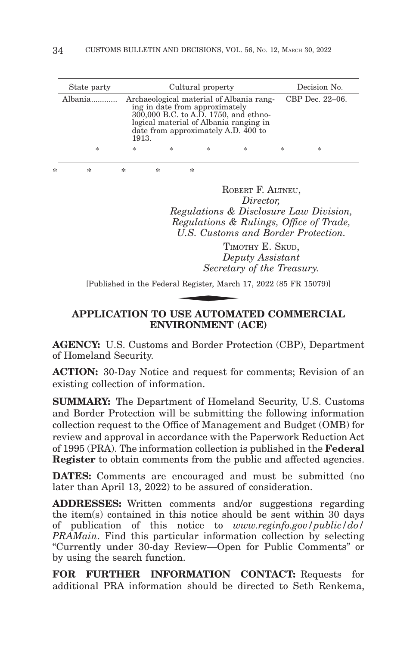| State party |        | Cultural property                                                                                                                                                                                    |        | Decision No.    |   |
|-------------|--------|------------------------------------------------------------------------------------------------------------------------------------------------------------------------------------------------------|--------|-----------------|---|
| Albania     | 1913.  | Archaeological material of Albania rang-<br>ing in date from approximately<br>300,000 B.C. to A.D. 1750, and ethno-<br>logical material of Albania ranging in<br>date from approximately A.D. 400 to |        | CBP Dec. 22–06. |   |
| *           | $\ast$ | *<br>*                                                                                                                                                                                               | $\ast$ | *               | * |

\*\*\*\* \*

ROBERT F. ALTNEU, *Director, Regulations & Disclosure Law Division, Regulations & Rulings, Office of Trade, U.S. Customs and Border Protection.*

TIMOTHY E. SKUD *Deputy Assistant Secretary of the Treasury.* U.S. Customs<br>TIMO<br>Dep<br>Secretar<br>Secretar<br>REF AUTOMA

[Published in the Federal Register, March 17, 2022 (85 FR 15079)]

# **APPLICATION TO USE AUTOMATED COMMERCIAL ENVIRONMENT (ACE)**

**AGENCY:** U.S. Customs and Border Protection (CBP), Department of Homeland Security.

**ACTION:** 30-Day Notice and request for comments; Revision of an existing collection of information.

**SUMMARY:** The Department of Homeland Security, U.S. Customs and Border Protection will be submitting the following information collection request to the Office of Management and Budget (OMB) for review and approval in accordance with the Paperwork Reduction Act of 1995 (PRA). The information collection is published in the **Federal Register** to obtain comments from the public and affected agencies.

**DATES:** Comments are encouraged and must be submitted (no later than April 13, 2022) to be assured of consideration.

**ADDRESSES:** Written comments and/or suggestions regarding the item(s) contained in this notice should be sent within 30 days of publication of this notice to *www.reginfo.gov/public/do/ PRAMain*. Find this particular information collection by selecting ''Currently under 30-day Review—Open for Public Comments'' or by using the search function.

**FOR FURTHER INFORMATION CONTACT:** Requests for additional PRA information should be directed to Seth Renkema,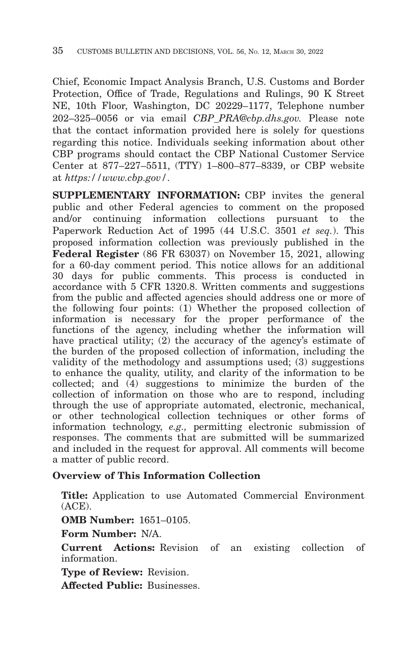Chief, Economic Impact Analysis Branch, U.S. Customs and Border Protection, Office of Trade, Regulations and Rulings, 90 K Street NE, 10th Floor, Washington, DC 20229–1177, Telephone number 202–325–0056 or via email *CBP\_PRA@cbp.dhs.gov.* Please note that the contact information provided here is solely for questions regarding this notice. Individuals seeking information about other CBP programs should contact the CBP National Customer Service Center at 877–227–5511, (TTY) 1–800–877–8339, or CBP website at *https://www.cbp.gov/*.

**SUPPLEMENTARY INFORMATION:** CBP invites the general public and other Federal agencies to comment on the proposed and/or continuing information collections pursuant to the Paperwork Reduction Act of 1995 (44 U.S.C. 3501 *et seq.*). This proposed information collection was previously published in the **Federal Register** (86 FR 63037) on November 15, 2021, allowing for a 60-day comment period. This notice allows for an additional 30 days for public comments. This process is conducted in accordance with 5 CFR 1320.8. Written comments and suggestions from the public and affected agencies should address one or more of the following four points: (1) Whether the proposed collection of information is necessary for the proper performance of the functions of the agency, including whether the information will have practical utility;  $(2)$  the accuracy of the agency's estimate of the burden of the proposed collection of information, including the validity of the methodology and assumptions used; (3) suggestions to enhance the quality, utility, and clarity of the information to be collected; and (4) suggestions to minimize the burden of the collection of information on those who are to respond, including through the use of appropriate automated, electronic, mechanical, or other technological collection techniques or other forms of information technology, *e.g.,* permitting electronic submission of responses. The comments that are submitted will be summarized and included in the request for approval. All comments will become a matter of public record.

# **Overview of This Information Collection**

**Title:** Application to use Automated Commercial Environment (ACE).

**OMB Number:** 1651–0105.

**Form Number:** N/A.

**Current Actions:** Revision of an existing collection of information.

**Type of Review:** Revision.

**Affected Public:** Businesses.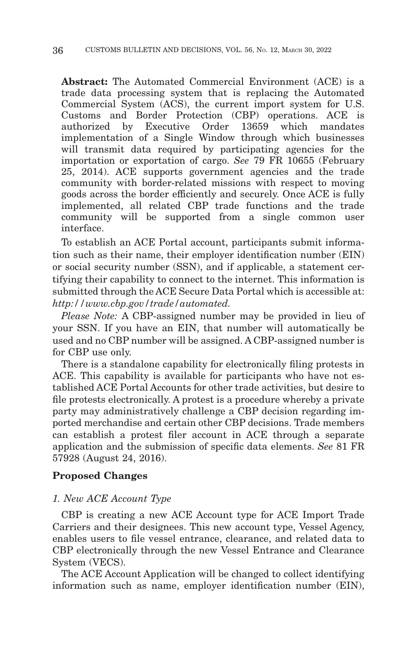**Abstract:** The Automated Commercial Environment (ACE) is a trade data processing system that is replacing the Automated Commercial System (ACS), the current import system for U.S. Customs and Border Protection (CBP) operations. ACE is authorized by Executive Order 13659 which mandates implementation of a Single Window through which businesses will transmit data required by participating agencies for the importation or exportation of cargo. *See* 79 FR 10655 (February 25, 2014). ACE supports government agencies and the trade community with border-related missions with respect to moving goods across the border efficiently and securely. Once ACE is fully implemented, all related CBP trade functions and the trade community will be supported from a single common user interface.

To establish an ACE Portal account, participants submit information such as their name, their employer identification number (EIN) or social security number (SSN), and if applicable, a statement certifying their capability to connect to the internet. This information is submitted through the ACE Secure Data Portal which is accessible at: *http://www.cbp.gov/trade/automated.*

*Please Note:* A CBP-assigned number may be provided in lieu of your SSN. If you have an EIN, that number will automatically be used and no CBP number will be assigned. A CBP-assigned number is for CBP use only.

There is a standalone capability for electronically filing protests in ACE. This capability is available for participants who have not established ACE Portal Accounts for other trade activities, but desire to file protests electronically. A protest is a procedure whereby a private party may administratively challenge a CBP decision regarding imported merchandise and certain other CBP decisions. Trade members can establish a protest filer account in ACE through a separate application and the submission of specific data elements. *See* 81 FR 57928 (August 24, 2016).

## **Proposed Changes**

#### *1. New ACE Account Type*

CBP is creating a new ACE Account type for ACE Import Trade Carriers and their designees. This new account type, Vessel Agency, enables users to file vessel entrance, clearance, and related data to CBP electronically through the new Vessel Entrance and Clearance System (VECS).

The ACE Account Application will be changed to collect identifying information such as name, employer identification number (EIN),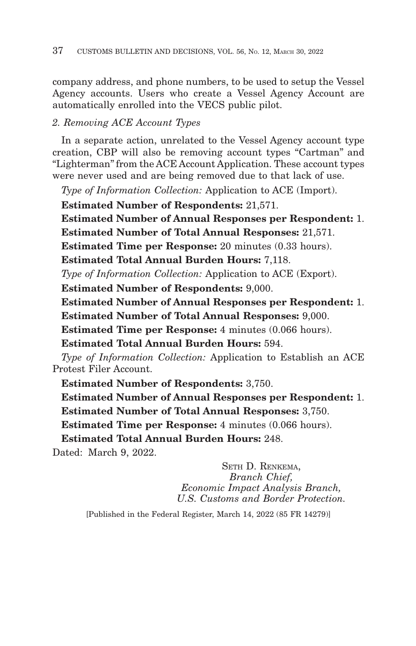company address, and phone numbers, to be used to setup the Vessel Agency accounts. Users who create a Vessel Agency Account are automatically enrolled into the VECS public pilot.

# *2. Removing ACE Account Types*

In a separate action, unrelated to the Vessel Agency account type creation, CBP will also be removing account types ''Cartman'' and ''Lighterman'' from the ACE Account Application. These account types were never used and are being removed due to that lack of use.

*Type of Information Collection:* Application to ACE (Import).

**Estimated Number of Respondents:** 21,571.

**Estimated Number of Annual Responses per Respondent:** 1. **Estimated Number of Total Annual Responses:** 21,571.

**Estimated Time per Response:** 20 minutes (0.33 hours).

**Estimated Total Annual Burden Hours:** 7,118.

*Type of Information Collection:* Application to ACE (Export).

**Estimated Number of Respondents:** 9,000.

**Estimated Number of Annual Responses per Respondent:** 1.

**Estimated Number of Total Annual Responses:** 9,000.

**Estimated Time per Response:** 4 minutes (0.066 hours).

**Estimated Total Annual Burden Hours:** 594.

*Type of Information Collection:* Application to Establish an ACE Protest Filer Account.

**Estimated Number of Respondents:** 3,750.

**Estimated Number of Annual Responses per Respondent:** 1. **Estimated Number of Total Annual Responses:** 3,750.

**Estimated Time per Response:** 4 minutes (0.066 hours).

**Estimated Total Annual Burden Hours:** 248.

Dated: March 9, 2022.

SETH D. RENKEMA, *Branch Chief, Economic Impact Analysis Branch, U.S. Customs and Border Protection.*

[Published in the Federal Register, March 14, 2022 (85 FR 14279)]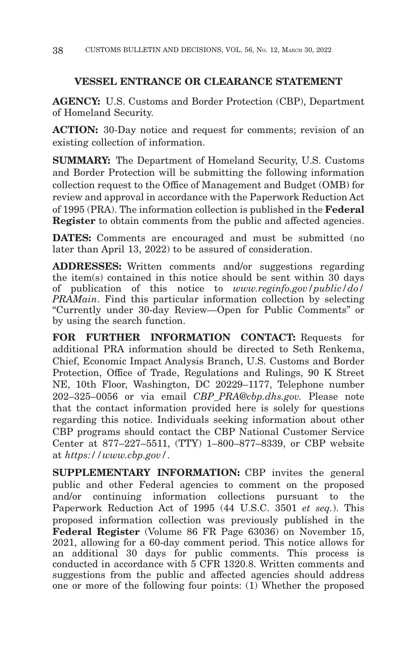# **VESSEL ENTRANCE OR CLEARANCE STATEMENT**

**AGENCY:** U.S. Customs and Border Protection (CBP), Department of Homeland Security.

**ACTION:** 30-Day notice and request for comments; revision of an existing collection of information.

**SUMMARY:** The Department of Homeland Security, U.S. Customs and Border Protection will be submitting the following information collection request to the Office of Management and Budget (OMB) for review and approval in accordance with the Paperwork Reduction Act of 1995 (PRA). The information collection is published in the **Federal Register** to obtain comments from the public and affected agencies.

**DATES:** Comments are encouraged and must be submitted (no later than April 13, 2022) to be assured of consideration.

**ADDRESSES:** Written comments and/or suggestions regarding the item(s) contained in this notice should be sent within 30 days of publication of this notice to *www.reginfo.gov/public/do/ PRAMain*. Find this particular information collection by selecting ''Currently under 30-day Review—Open for Public Comments'' or by using the search function.

**FOR FURTHER INFORMATION CONTACT:** Requests for additional PRA information should be directed to Seth Renkema, Chief, Economic Impact Analysis Branch, U.S. Customs and Border Protection, Office of Trade, Regulations and Rulings, 90 K Street NE, 10th Floor, Washington, DC 20229–1177, Telephone number 202–325–0056 or via email *CBP\_PRA@cbp.dhs.gov.* Please note that the contact information provided here is solely for questions regarding this notice. Individuals seeking information about other CBP programs should contact the CBP National Customer Service Center at 877–227–5511, (TTY) 1–800–877–8339, or CBP website at *https://www.cbp.gov/*.

**SUPPLEMENTARY INFORMATION:** CBP invites the general public and other Federal agencies to comment on the proposed and/or continuing information collections pursuant to the Paperwork Reduction Act of 1995 (44 U.S.C. 3501 *et seq.*). This proposed information collection was previously published in the **Federal Register** (Volume 86 FR Page 63036) on November 15, 2021, allowing for a 60-day comment period. This notice allows for an additional 30 days for public comments. This process is conducted in accordance with 5 CFR 1320.8. Written comments and suggestions from the public and affected agencies should address one or more of the following four points: (1) Whether the proposed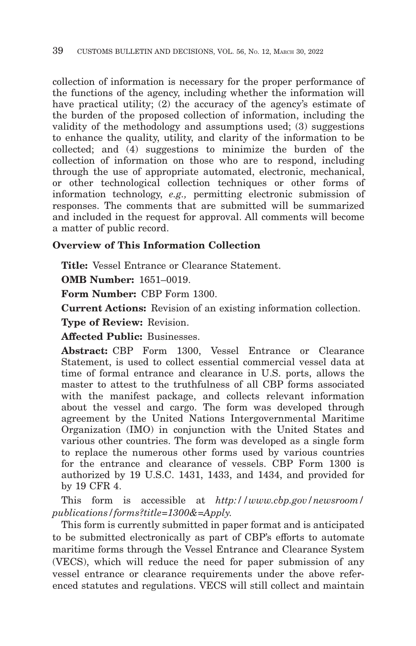collection of information is necessary for the proper performance of the functions of the agency, including whether the information will have practical utility; (2) the accuracy of the agency's estimate of the burden of the proposed collection of information, including the validity of the methodology and assumptions used; (3) suggestions to enhance the quality, utility, and clarity of the information to be collected; and (4) suggestions to minimize the burden of the collection of information on those who are to respond, including through the use of appropriate automated, electronic, mechanical, or other technological collection techniques or other forms of information technology, *e.g.,* permitting electronic submission of responses. The comments that are submitted will be summarized and included in the request for approval. All comments will become a matter of public record.

# **Overview of This Information Collection**

**Title:** Vessel Entrance or Clearance Statement.

**OMB Number:** 1651–0019.

**Form Number:** CBP Form 1300.

**Current Actions:** Revision of an existing information collection.

**Type of Review:** Revision.

**Affected Public:** Businesses.

**Abstract:** CBP Form 1300, Vessel Entrance or Clearance Statement, is used to collect essential commercial vessel data at time of formal entrance and clearance in U.S. ports, allows the master to attest to the truthfulness of all CBP forms associated with the manifest package, and collects relevant information about the vessel and cargo. The form was developed through agreement by the United Nations Intergovernmental Maritime Organization (IMO) in conjunction with the United States and various other countries. The form was developed as a single form to replace the numerous other forms used by various countries for the entrance and clearance of vessels. CBP Form 1300 is authorized by 19 U.S.C. 1431, 1433, and 1434, and provided for by 19 CFR 4.

This form is accessible at *http://www.cbp.gov/newsroom/ publications/forms?title=1300&=Apply.*

This form is currently submitted in paper format and is anticipated to be submitted electronically as part of CBP's efforts to automate maritime forms through the Vessel Entrance and Clearance System (VECS), which will reduce the need for paper submission of any vessel entrance or clearance requirements under the above referenced statutes and regulations. VECS will still collect and maintain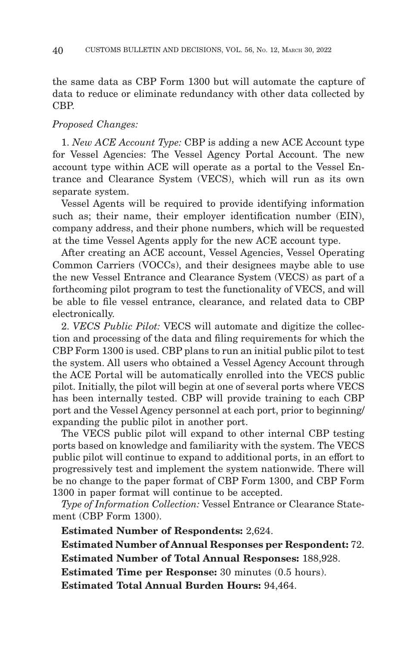the same data as CBP Form 1300 but will automate the capture of data to reduce or eliminate redundancy with other data collected by CBP.

#### *Proposed Changes:*

1. *New ACE Account Type:* CBP is adding a new ACE Account type for Vessel Agencies: The Vessel Agency Portal Account. The new account type within ACE will operate as a portal to the Vessel Entrance and Clearance System (VECS), which will run as its own separate system.

Vessel Agents will be required to provide identifying information such as; their name, their employer identification number (EIN), company address, and their phone numbers, which will be requested at the time Vessel Agents apply for the new ACE account type.

After creating an ACE account, Vessel Agencies, Vessel Operating Common Carriers (VOCCs), and their designees maybe able to use the new Vessel Entrance and Clearance System (VECS) as part of a forthcoming pilot program to test the functionality of VECS, and will be able to file vessel entrance, clearance, and related data to CBP electronically.

2. *VECS Public Pilot:* VECS will automate and digitize the collection and processing of the data and filing requirements for which the CBP Form 1300 is used. CBP plans to run an initial public pilot to test the system. All users who obtained a Vessel Agency Account through the ACE Portal will be automatically enrolled into the VECS public pilot. Initially, the pilot will begin at one of several ports where VECS has been internally tested. CBP will provide training to each CBP port and the Vessel Agency personnel at each port, prior to beginning/ expanding the public pilot in another port.

The VECS public pilot will expand to other internal CBP testing ports based on knowledge and familiarity with the system. The VECS public pilot will continue to expand to additional ports, in an effort to progressively test and implement the system nationwide. There will be no change to the paper format of CBP Form 1300, and CBP Form 1300 in paper format will continue to be accepted.

*Type of Information Collection:* Vessel Entrance or Clearance Statement (CBP Form 1300).

**Estimated Number of Respondents:** 2,624.

**Estimated Number of Annual Responses per Respondent:** 72. **Estimated Number of Total Annual Responses:** 188,928.

**Estimated Time per Response:** 30 minutes (0.5 hours).

**Estimated Total Annual Burden Hours:** 94,464.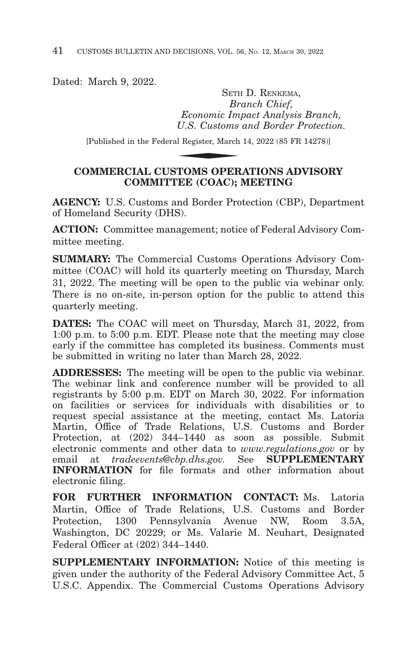Dated: March 9, 2022.

SETH D. RENKEMA, *Branch Chief, Economic Impact Analysis Branch, U.S. Customs and Border Protection.* SETH<br>*Br*<br>*Economic Im<sub>,</sub><br>U.S. Customs*<br>al Register, March<br>**TOMS OPFP** 

[Published in the Federal Register, March 14, 2022 (85 FR 14278)]

# **COMMERCIAL CUSTOMS OPERATIONS ADVISORY COMMITTEE (COAC); MEETING**

**AGENCY:** U.S. Customs and Border Protection (CBP), Department of Homeland Security (DHS).

**ACTION:** Committee management; notice of Federal Advisory Committee meeting.

**SUMMARY:** The Commercial Customs Operations Advisory Committee (COAC) will hold its quarterly meeting on Thursday, March 31, 2022. The meeting will be open to the public via webinar only. There is no on-site, in-person option for the public to attend this quarterly meeting.

**DATES:** The COAC will meet on Thursday, March 31, 2022, from 1:00 p.m. to 5:00 p.m. EDT. Please note that the meeting may close early if the committee has completed its business. Comments must be submitted in writing no later than March 28, 2022.

**ADDRESSES:** The meeting will be open to the public via webinar. The webinar link and conference number will be provided to all registrants by 5:00 p.m. EDT on March 30, 2022. For information on facilities or services for individuals with disabilities or to request special assistance at the meeting, contact Ms. Latoria Martin, Office of Trade Relations, U.S. Customs and Border Protection, at (202) 344–1440 as soon as possible. Submit electronic comments and other data to *www.regulations.gov* or by email at *tradeevents@cbp.dhs.gov.* See **SUPPLEMENTARY INFORMATION** for file formats and other information about electronic filing.

**FOR FURTHER INFORMATION CONTACT:** Ms. Latoria Martin, Office of Trade Relations, U.S. Customs and Border Protection, 1300 Pennsylvania Avenue NW, Room 3.5A, Washington, DC 20229; or Ms. Valarie M. Neuhart, Designated Federal Officer at (202) 344–1440.

**SUPPLEMENTARY INFORMATION:** Notice of this meeting is given under the authority of the Federal Advisory Committee Act, 5 U.S.C. Appendix. The Commercial Customs Operations Advisory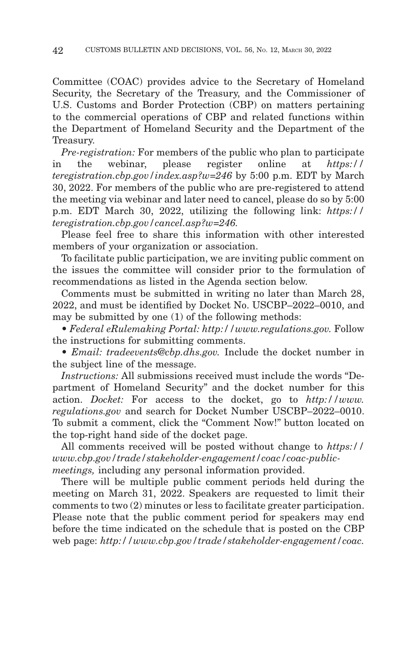Committee (COAC) provides advice to the Secretary of Homeland Security, the Secretary of the Treasury, and the Commissioner of U.S. Customs and Border Protection (CBP) on matters pertaining to the commercial operations of CBP and related functions within the Department of Homeland Security and the Department of the Treasury.

*Pre-registration:* For members of the public who plan to participate in the webinar, please register online at *https:// teregistration.cbp.gov/index.asp?w=246* by 5:00 p.m. EDT by March 30, 2022. For members of the public who are pre-registered to attend the meeting via webinar and later need to cancel, please do so by 5:00 p.m. EDT March 30, 2022, utilizing the following link: *https:// teregistration.cbp.gov/cancel.asp?w=246.*

Please feel free to share this information with other interested members of your organization or association.

To facilitate public participation, we are inviting public comment on the issues the committee will consider prior to the formulation of recommendations as listed in the Agenda section below.

Comments must be submitted in writing no later than March 28, 2022, and must be identified by Docket No. USCBP–2022–0010, and may be submitted by one (1) of the following methods:

• *Federal eRulemaking Portal: http://www.regulations.gov.* Follow the instructions for submitting comments.

• *Email: tradeevents@cbp.dhs.gov.* Include the docket number in the subject line of the message.

*Instructions:* All submissions received must include the words "Department of Homeland Security'' and the docket number for this action. *Docket:* For access to the docket, go to *http://www. regulations.gov* and search for Docket Number USCBP–2022–0010. To submit a comment, click the ''Comment Now!'' button located on the top-right hand side of the docket page.

All comments received will be posted without change to *https:// www.cbp.gov/trade/stakeholder-engagement/coac/coac-publicmeetings,* including any personal information provided.

There will be multiple public comment periods held during the meeting on March 31, 2022. Speakers are requested to limit their comments to two (2) minutes or less to facilitate greater participation. Please note that the public comment period for speakers may end before the time indicated on the schedule that is posted on the CBP web page: *http://www.cbp.gov/trade/stakeholder-engagement/coac.*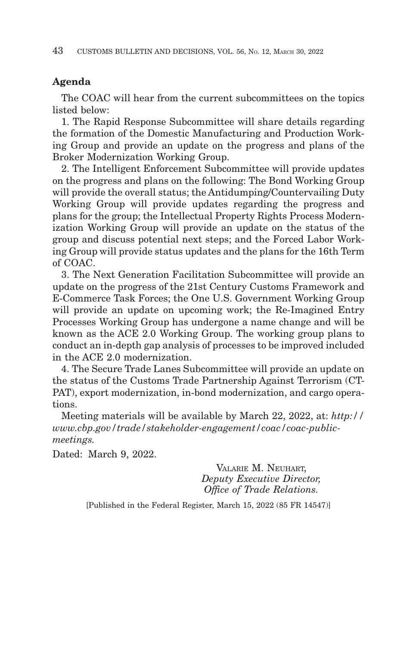# **Agenda**

The COAC will hear from the current subcommittees on the topics listed below:

1. The Rapid Response Subcommittee will share details regarding the formation of the Domestic Manufacturing and Production Working Group and provide an update on the progress and plans of the Broker Modernization Working Group.

2. The Intelligent Enforcement Subcommittee will provide updates on the progress and plans on the following: The Bond Working Group will provide the overall status; the Antidumping/Countervailing Duty Working Group will provide updates regarding the progress and plans for the group; the Intellectual Property Rights Process Modernization Working Group will provide an update on the status of the group and discuss potential next steps; and the Forced Labor Working Group will provide status updates and the plans for the 16th Term of COAC.

3. The Next Generation Facilitation Subcommittee will provide an update on the progress of the 21st Century Customs Framework and E-Commerce Task Forces; the One U.S. Government Working Group will provide an update on upcoming work; the Re-Imagined Entry Processes Working Group has undergone a name change and will be known as the ACE 2.0 Working Group. The working group plans to conduct an in-depth gap analysis of processes to be improved included in the ACE 2.0 modernization.

4. The Secure Trade Lanes Subcommittee will provide an update on the status of the Customs Trade Partnership Against Terrorism (CT-PAT), export modernization, in-bond modernization, and cargo operations.

Meeting materials will be available by March 22, 2022, at: *http:// www.cbp.gov/trade/stakeholder-engagement/coac/coac-publicmeetings.*

Dated: March 9, 2022.

VALARIE M. NEUHART, *Deputy Executive Director, Office of Trade Relations.*

[Published in the Federal Register, March 15, 2022 (85 FR 14547)]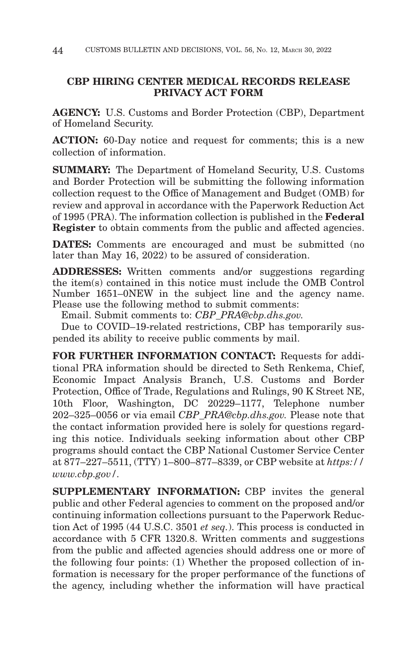# **CBP HIRING CENTER MEDICAL RECORDS RELEASE PRIVACY ACT FORM**

**AGENCY:** U.S. Customs and Border Protection (CBP), Department of Homeland Security.

**ACTION:** 60-Day notice and request for comments; this is a new collection of information.

**SUMMARY:** The Department of Homeland Security, U.S. Customs and Border Protection will be submitting the following information collection request to the Office of Management and Budget (OMB) for review and approval in accordance with the Paperwork Reduction Act of 1995 (PRA). The information collection is published in the **Federal Register** to obtain comments from the public and affected agencies.

**DATES:** Comments are encouraged and must be submitted (no later than May 16, 2022) to be assured of consideration.

**ADDRESSES:** Written comments and/or suggestions regarding the item(s) contained in this notice must include the OMB Control Number 1651–0NEW in the subject line and the agency name. Please use the following method to submit comments:

Email. Submit comments to: *CBP\_PRA@cbp.dhs.gov.*

Due to COVID–19-related restrictions, CBP has temporarily suspended its ability to receive public comments by mail.

**FOR FURTHER INFORMATION CONTACT:** Requests for additional PRA information should be directed to Seth Renkema, Chief, Economic Impact Analysis Branch, U.S. Customs and Border Protection, Office of Trade, Regulations and Rulings, 90 K Street NE, 10th Floor, Washington, DC 20229–1177, Telephone number 202–325–0056 or via email *CBP\_PRA@cbp.dhs.gov.* Please note that the contact information provided here is solely for questions regarding this notice. Individuals seeking information about other CBP programs should contact the CBP National Customer Service Center at 877–227–5511, (TTY) 1–800–877–8339, or CBP website at *https:// www.cbp.gov/.*

**SUPPLEMENTARY INFORMATION:** CBP invites the general public and other Federal agencies to comment on the proposed and/or continuing information collections pursuant to the Paperwork Reduction Act of 1995 (44 U.S.C. 3501 *et seq.*). This process is conducted in accordance with 5 CFR 1320.8. Written comments and suggestions from the public and affected agencies should address one or more of the following four points: (1) Whether the proposed collection of information is necessary for the proper performance of the functions of the agency, including whether the information will have practical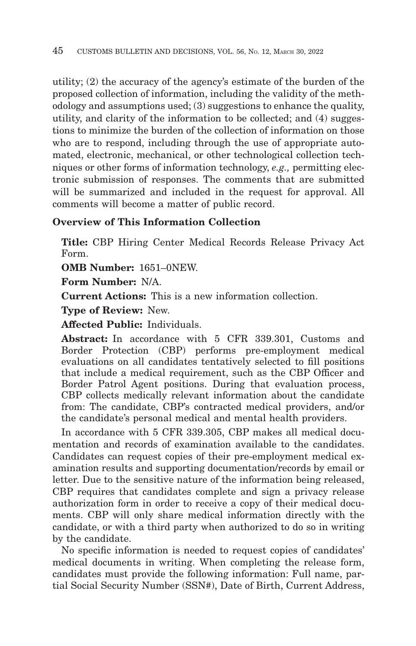utility; (2) the accuracy of the agency's estimate of the burden of the proposed collection of information, including the validity of the methodology and assumptions used; (3) suggestions to enhance the quality, utility, and clarity of the information to be collected; and (4) suggestions to minimize the burden of the collection of information on those who are to respond, including through the use of appropriate automated, electronic, mechanical, or other technological collection techniques or other forms of information technology, *e.g.,* permitting electronic submission of responses. The comments that are submitted will be summarized and included in the request for approval. All comments will become a matter of public record.

# **Overview of This Information Collection**

**Title:** CBP Hiring Center Medical Records Release Privacy Act Form.

**OMB Number:** 1651–0NEW.

**Form Number:** N/A.

**Current Actions:** This is a new information collection.

**Type of Review:** New.

**Affected Public:** Individuals.

**Abstract:** In accordance with 5 CFR 339.301, Customs and Border Protection (CBP) performs pre-employment medical evaluations on all candidates tentatively selected to fill positions that include a medical requirement, such as the CBP Officer and Border Patrol Agent positions. During that evaluation process, CBP collects medically relevant information about the candidate from: The candidate, CBP's contracted medical providers, and/or the candidate's personal medical and mental health providers.

In accordance with 5 CFR 339.305, CBP makes all medical documentation and records of examination available to the candidates. Candidates can request copies of their pre-employment medical examination results and supporting documentation/records by email or letter. Due to the sensitive nature of the information being released, CBP requires that candidates complete and sign a privacy release authorization form in order to receive a copy of their medical documents. CBP will only share medical information directly with the candidate, or with a third party when authorized to do so in writing by the candidate.

No specific information is needed to request copies of candidates' medical documents in writing. When completing the release form, candidates must provide the following information: Full name, partial Social Security Number (SSN#), Date of Birth, Current Address,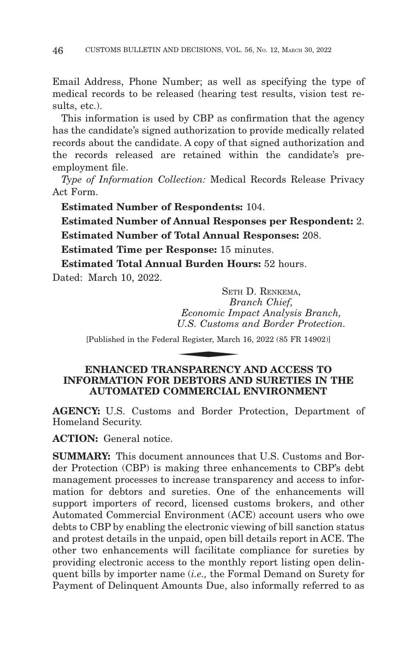Email Address, Phone Number; as well as specifying the type of medical records to be released (hearing test results, vision test results, etc.).

This information is used by CBP as confirmation that the agency has the candidate's signed authorization to provide medically related records about the candidate. A copy of that signed authorization and the records released are retained within the candidate's preemployment file.

*Type of Information Collection:* Medical Records Release Privacy Act Form.

**Estimated Number of Respondents:** 104.

**Estimated Number of Annual Responses per Respondent:** 2. **Estimated Number of Total Annual Responses:** 208.

**Estimated Time per Response:** 15 minutes.

**Estimated Total Annual Burden Hours:** 52 hours.

Dated: March 10, 2022.

SETH D. RENKEMA, *Branch Chief, Economic Impact Analysis Branch, U.S. Customs and Border Protection.* SETE<br> *Br*<br> *Economic Im*<br> *U.S. Customs*<br>
al Register, March<br>
MEDA BENCY

[Published in the Federal Register, March 16, 2022 (85 FR 14902)]

#### **ENHANCED TRANSPARENCY AND ACCESS TO INFORMATION FOR DEBTORS AND SURETIES IN THE AUTOMATED COMMERCIAL ENVIRONMENT**

**AGENCY:** U.S. Customs and Border Protection, Department of Homeland Security.

**ACTION:** General notice.

**SUMMARY:** This document announces that U.S. Customs and Border Protection (CBP) is making three enhancements to CBP's debt management processes to increase transparency and access to information for debtors and sureties. One of the enhancements will support importers of record, licensed customs brokers, and other Automated Commercial Environment (ACE) account users who owe debts to CBP by enabling the electronic viewing of bill sanction status and protest details in the unpaid, open bill details report in ACE. The other two enhancements will facilitate compliance for sureties by providing electronic access to the monthly report listing open delinquent bills by importer name (*i.e.,* the Formal Demand on Surety for Payment of Delinquent Amounts Due, also informally referred to as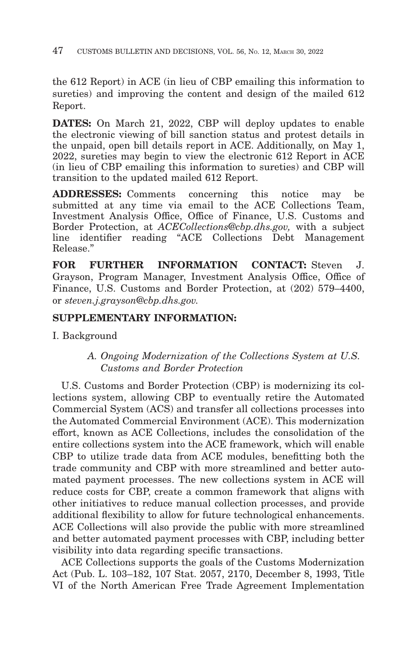the 612 Report) in ACE (in lieu of CBP emailing this information to sureties) and improving the content and design of the mailed 612 Report.

**DATES:** On March 21, 2022, CBP will deploy updates to enable the electronic viewing of bill sanction status and protest details in the unpaid, open bill details report in ACE. Additionally, on May 1, 2022, sureties may begin to view the electronic 612 Report in ACE (in lieu of CBP emailing this information to sureties) and CBP will transition to the updated mailed 612 Report.

**ADDRESSES:** Comments concerning this notice may be submitted at any time via email to the ACE Collections Team, Investment Analysis Office, Office of Finance, U.S. Customs and Border Protection, at *ACECollections@cbp.dhs.gov,* with a subject line identifier reading ''ACE Collections Debt Management Release.''

**FOR FURTHER INFORMATION CONTACT:** Steven J. Grayson, Program Manager, Investment Analysis Office, Office of Finance, U.S. Customs and Border Protection, at (202) 579–4400, or *steven.j.grayson@cbp.dhs.gov.*

# **SUPPLEMENTARY INFORMATION:**

I. Background

# *A. Ongoing Modernization of the Collections System at U.S. Customs and Border Protection*

U.S. Customs and Border Protection (CBP) is modernizing its collections system, allowing CBP to eventually retire the Automated Commercial System (ACS) and transfer all collections processes into the Automated Commercial Environment (ACE). This modernization effort, known as ACE Collections, includes the consolidation of the entire collections system into the ACE framework, which will enable CBP to utilize trade data from ACE modules, benefitting both the trade community and CBP with more streamlined and better automated payment processes. The new collections system in ACE will reduce costs for CBP, create a common framework that aligns with other initiatives to reduce manual collection processes, and provide additional flexibility to allow for future technological enhancements. ACE Collections will also provide the public with more streamlined and better automated payment processes with CBP, including better visibility into data regarding specific transactions.

ACE Collections supports the goals of the Customs Modernization Act (Pub. L. 103–182, 107 Stat. 2057, 2170, December 8, 1993, Title VI of the North American Free Trade Agreement Implementation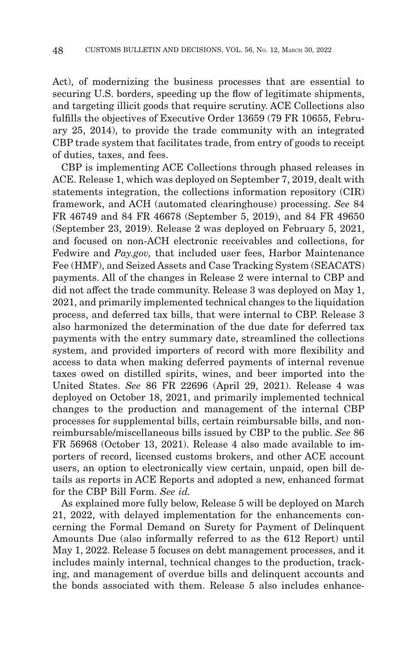Act), of modernizing the business processes that are essential to securing U.S. borders, speeding up the flow of legitimate shipments, and targeting illicit goods that require scrutiny. ACE Collections also fulfills the objectives of Executive Order 13659 (79 FR 10655, February 25, 2014), to provide the trade community with an integrated CBP trade system that facilitates trade, from entry of goods to receipt of duties, taxes, and fees.

CBP is implementing ACE Collections through phased releases in ACE. Release 1, which was deployed on September 7, 2019, dealt with statements integration, the collections information repository (CIR) framework, and ACH (automated clearinghouse) processing. *See* 84 FR 46749 and 84 FR 46678 (September 5, 2019), and 84 FR 49650 (September 23, 2019). Release 2 was deployed on February 5, 2021, and focused on non-ACH electronic receivables and collections, for Fedwire and *Pay.gov,* that included user fees, Harbor Maintenance Fee (HMF), and Seized Assets and Case Tracking System (SEACATS) payments. All of the changes in Release 2 were internal to CBP and did not affect the trade community. Release 3 was deployed on May 1, 2021, and primarily implemented technical changes to the liquidation process, and deferred tax bills, that were internal to CBP. Release 3 also harmonized the determination of the due date for deferred tax payments with the entry summary date, streamlined the collections system, and provided importers of record with more flexibility and access to data when making deferred payments of internal revenue taxes owed on distilled spirits, wines, and beer imported into the United States. *See* 86 FR 22696 (April 29, 2021). Release 4 was deployed on October 18, 2021, and primarily implemented technical changes to the production and management of the internal CBP processes for supplemental bills, certain reimbursable bills, and nonreimbursable/miscellaneous bills issued by CBP to the public. *See* 86 FR 56968 (October 13, 2021). Release 4 also made available to importers of record, licensed customs brokers, and other ACE account users, an option to electronically view certain, unpaid, open bill details as reports in ACE Reports and adopted a new, enhanced format for the CBP Bill Form. *See id.*

As explained more fully below, Release 5 will be deployed on March 21, 2022, with delayed implementation for the enhancements concerning the Formal Demand on Surety for Payment of Delinquent Amounts Due (also informally referred to as the 612 Report) until May 1, 2022. Release 5 focuses on debt management processes, and it includes mainly internal, technical changes to the production, tracking, and management of overdue bills and delinquent accounts and the bonds associated with them. Release 5 also includes enhance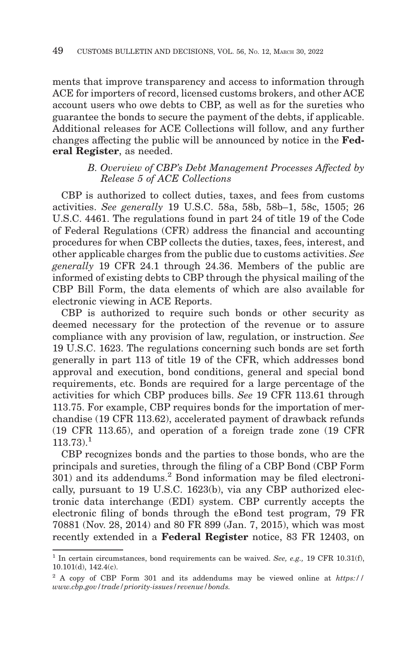ments that improve transparency and access to information through ACE for importers of record, licensed customs brokers, and other ACE account users who owe debts to CBP, as well as for the sureties who guarantee the bonds to secure the payment of the debts, if applicable. Additional releases for ACE Collections will follow, and any further changes affecting the public will be announced by notice in the **Federal Register**, as needed.

## *B. Overview of CBP's Debt Management Processes Affected by Release 5 of ACE Collections*

CBP is authorized to collect duties, taxes, and fees from customs activities. *See generally* 19 U.S.C. 58a, 58b, 58b–1, 58c, 1505; 26 U.S.C. 4461. The regulations found in part 24 of title 19 of the Code of Federal Regulations (CFR) address the financial and accounting procedures for when CBP collects the duties, taxes, fees, interest, and other applicable charges from the public due to customs activities. *See generally* 19 CFR 24.1 through 24.36. Members of the public are informed of existing debts to CBP through the physical mailing of the CBP Bill Form, the data elements of which are also available for electronic viewing in ACE Reports.

CBP is authorized to require such bonds or other security as deemed necessary for the protection of the revenue or to assure compliance with any provision of law, regulation, or instruction. *See* 19 U.S.C. 1623. The regulations concerning such bonds are set forth generally in part 113 of title 19 of the CFR, which addresses bond approval and execution, bond conditions, general and special bond requirements, etc. Bonds are required for a large percentage of the activities for which CBP produces bills. *See* 19 CFR 113.61 through 113.75. For example, CBP requires bonds for the importation of merchandise (19 CFR 113.62), accelerated payment of drawback refunds (19 CFR 113.65), and operation of a foreign trade zone (19 CFR  $113.73$ ).<sup>1</sup>

CBP recognizes bonds and the parties to those bonds, who are the principals and sureties, through the filing of a CBP Bond (CBP Form  $301$ ) and its addendums.<sup>2</sup> Bond information may be filed electronically, pursuant to 19 U.S.C. 1623(b), via any CBP authorized electronic data interchange (EDI) system. CBP currently accepts the electronic filing of bonds through the eBond test program, 79 FR 70881 (Nov. 28, 2014) and 80 FR 899 (Jan. 7, 2015), which was most recently extended in a **Federal Register** notice, 83 FR 12403, on

<sup>&</sup>lt;sup>1</sup> In certain circumstances, bond requirements can be waived. *See, e.g.*, 19 CFR 10.31(f), 10.101(d), 142.4(c).

<sup>2</sup> A copy of CBP Form 301 and its addendums may be viewed online at *https:// www.cbp.gov/trade/priority-issues/revenue/bonds.*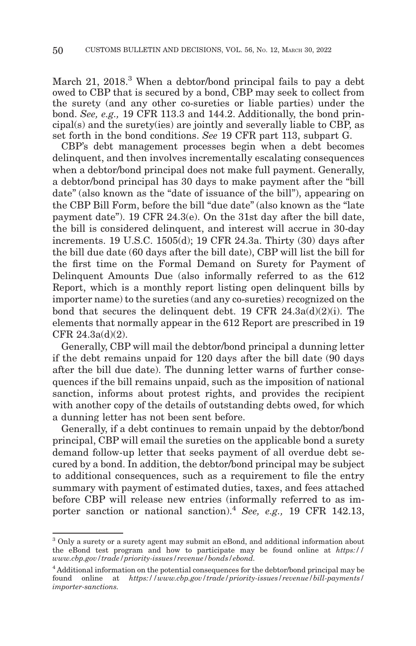March 21, 2018.<sup>3</sup> When a debtor/bond principal fails to pay a debt owed to CBP that is secured by a bond, CBP may seek to collect from the surety (and any other co-sureties or liable parties) under the bond. *See, e.g.,* 19 CFR 113.3 and 144.2. Additionally, the bond principal(s) and the surety(ies) are jointly and severally liable to CBP, as set forth in the bond conditions. *See* 19 CFR part 113, subpart G.

CBP's debt management processes begin when a debt becomes delinquent, and then involves incrementally escalating consequences when a debtor/bond principal does not make full payment. Generally, a debtor/bond principal has 30 days to make payment after the ''bill date" (also known as the "date of issuance of the bill"), appearing on the CBP Bill Form, before the bill "due date" (also known as the "late" payment date''). 19 CFR 24.3(e). On the 31st day after the bill date, the bill is considered delinquent, and interest will accrue in 30-day increments. 19 U.S.C. 1505(d); 19 CFR 24.3a. Thirty (30) days after the bill due date (60 days after the bill date), CBP will list the bill for the first time on the Formal Demand on Surety for Payment of Delinquent Amounts Due (also informally referred to as the 612 Report, which is a monthly report listing open delinquent bills by importer name) to the sureties (and any co-sureties) recognized on the bond that secures the delinquent debt. 19 CFR 24.3a(d)(2)(i). The elements that normally appear in the 612 Report are prescribed in 19 CFR 24.3a(d)(2).

Generally, CBP will mail the debtor/bond principal a dunning letter if the debt remains unpaid for 120 days after the bill date (90 days after the bill due date). The dunning letter warns of further consequences if the bill remains unpaid, such as the imposition of national sanction, informs about protest rights, and provides the recipient with another copy of the details of outstanding debts owed, for which a dunning letter has not been sent before.

Generally, if a debt continues to remain unpaid by the debtor/bond principal, CBP will email the sureties on the applicable bond a surety demand follow-up letter that seeks payment of all overdue debt secured by a bond. In addition, the debtor/bond principal may be subject to additional consequences, such as a requirement to file the entry summary with payment of estimated duties, taxes, and fees attached before CBP will release new entries (informally referred to as importer sanction or national sanction).4 *See, e.g.,* 19 CFR 142.13,

 $^3$  Only a surety or a surety agent may submit an eBond, and additional information about the eBond test program and how to participate may be found online at *https:// www.cbp.gov/trade/priority-issues/revenue/bonds/ebond.*

<sup>4</sup> Additional information on the potential consequences for the debtor/bond principal may be found online at *https://www.cbp.gov/trade/priority-issues/revenue/bill-payments/ importer-sanctions.*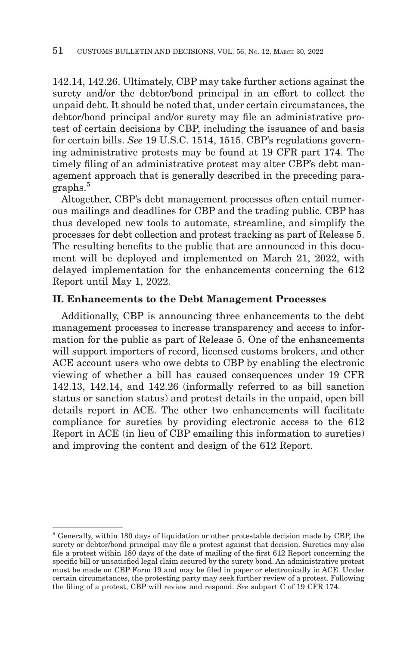142.14, 142.26. Ultimately, CBP may take further actions against the surety and/or the debtor/bond principal in an effort to collect the unpaid debt. It should be noted that, under certain circumstances, the debtor/bond principal and/or surety may file an administrative protest of certain decisions by CBP, including the issuance of and basis for certain bills. *See* 19 U.S.C. 1514, 1515. CBP's regulations governing administrative protests may be found at 19 CFR part 174. The timely filing of an administrative protest may alter CBP's debt management approach that is generally described in the preceding paragraphs.<sup>5</sup>

Altogether, CBP's debt management processes often entail numerous mailings and deadlines for CBP and the trading public. CBP has thus developed new tools to automate, streamline, and simplify the processes for debt collection and protest tracking as part of Release 5. The resulting benefits to the public that are announced in this document will be deployed and implemented on March 21, 2022, with delayed implementation for the enhancements concerning the 612 Report until May 1, 2022.

#### **II. Enhancements to the Debt Management Processes**

Additionally, CBP is announcing three enhancements to the debt management processes to increase transparency and access to information for the public as part of Release 5. One of the enhancements will support importers of record, licensed customs brokers, and other ACE account users who owe debts to CBP by enabling the electronic viewing of whether a bill has caused consequences under 19 CFR 142.13, 142.14, and 142.26 (informally referred to as bill sanction status or sanction status) and protest details in the unpaid, open bill details report in ACE. The other two enhancements will facilitate compliance for sureties by providing electronic access to the 612 Report in ACE (in lieu of CBP emailing this information to sureties) and improving the content and design of the 612 Report.

<sup>5</sup> Generally, within 180 days of liquidation or other protestable decision made by CBP, the surety or debtor/bond principal may file a protest against that decision. Sureties may also file a protest within 180 days of the date of mailing of the first 612 Report concerning the specific bill or unsatisfied legal claim secured by the surety bond. An administrative protest must be made on CBP Form 19 and may be filed in paper or electronically in ACE. Under certain circumstances, the protesting party may seek further review of a protest. Following the filing of a protest, CBP will review and respond. *See* subpart C of 19 CFR 174.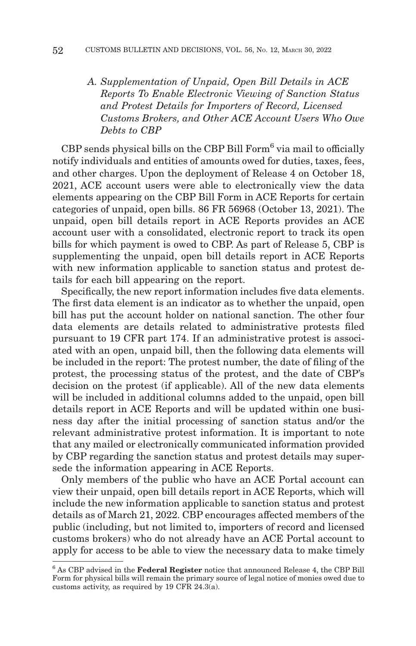*A. Supplementation of Unpaid, Open Bill Details in ACE Reports To Enable Electronic Viewing of Sanction Status and Protest Details for Importers of Record, Licensed Customs Brokers, and Other ACE Account Users Who Owe Debts to CBP*

CBP sends physical bills on the CBP Bill Form<sup>6</sup> via mail to officially notify individuals and entities of amounts owed for duties, taxes, fees, and other charges. Upon the deployment of Release 4 on October 18, 2021, ACE account users were able to electronically view the data elements appearing on the CBP Bill Form in ACE Reports for certain categories of unpaid, open bills. 86 FR 56968 (October 13, 2021). The unpaid, open bill details report in ACE Reports provides an ACE account user with a consolidated, electronic report to track its open bills for which payment is owed to CBP. As part of Release 5, CBP is supplementing the unpaid, open bill details report in ACE Reports with new information applicable to sanction status and protest details for each bill appearing on the report.

Specifically, the new report information includes five data elements. The first data element is an indicator as to whether the unpaid, open bill has put the account holder on national sanction. The other four data elements are details related to administrative protests filed pursuant to 19 CFR part 174. If an administrative protest is associated with an open, unpaid bill, then the following data elements will be included in the report: The protest number, the date of filing of the protest, the processing status of the protest, and the date of CBP's decision on the protest (if applicable). All of the new data elements will be included in additional columns added to the unpaid, open bill details report in ACE Reports and will be updated within one business day after the initial processing of sanction status and/or the relevant administrative protest information. It is important to note that any mailed or electronically communicated information provided by CBP regarding the sanction status and protest details may supersede the information appearing in ACE Reports.

Only members of the public who have an ACE Portal account can view their unpaid, open bill details report in ACE Reports, which will include the new information applicable to sanction status and protest details as of March 21, 2022. CBP encourages affected members of the public (including, but not limited to, importers of record and licensed customs brokers) who do not already have an ACE Portal account to apply for access to be able to view the necessary data to make timely

<sup>6</sup> As CBP advised in the **Federal Register** notice that announced Release 4, the CBP Bill Form for physical bills will remain the primary source of legal notice of monies owed due to customs activity, as required by 19 CFR 24.3(a).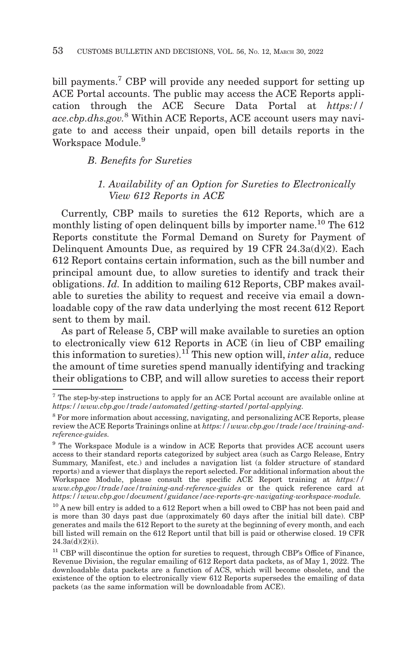bill payments.<sup>7</sup> CBP will provide any needed support for setting up ACE Portal accounts. The public may access the ACE Reports application through the ACE Secure Data Portal at *https:// ace.cbp.dhs.gov.*8 Within ACE Reports, ACE account users may navigate to and access their unpaid, open bill details reports in the Workspace Module.<sup>9</sup>

*B. Benefits for Sureties*

# *1. Availability of an Option for Sureties to Electronically View 612 Reports in ACE*

Currently, CBP mails to sureties the 612 Reports, which are a monthly listing of open delinquent bills by importer name.<sup>10</sup> The  $612$ Reports constitute the Formal Demand on Surety for Payment of Delinquent Amounts Due, as required by 19 CFR 24.3a(d)(2). Each 612 Report contains certain information, such as the bill number and principal amount due, to allow sureties to identify and track their obligations. *Id.* In addition to mailing 612 Reports, CBP makes available to sureties the ability to request and receive via email a downloadable copy of the raw data underlying the most recent 612 Report sent to them by mail.

As part of Release 5, CBP will make available to sureties an option to electronically view 612 Reports in ACE (in lieu of CBP emailing this information to sureties).11 This new option will, *inter alia,* reduce the amount of time sureties spend manually identifying and tracking their obligations to CBP, and will allow sureties to access their report

<sup>7</sup> The step-by-step instructions to apply for an ACE Portal account are available online at *https://www.cbp.gov/trade/automated/getting-started/portal-applying.*

<sup>8</sup> For more information about accessing, navigating, and personalizing ACE Reports, please review the ACE Reports Trainings online at *https://www.cbp.gov/trade/ace/training-andreference-guides.*

<sup>9</sup> The Workspace Module is a window in ACE Reports that provides ACE account users access to their standard reports categorized by subject area (such as Cargo Release, Entry Summary, Manifest, etc.) and includes a navigation list (a folder structure of standard reports) and a viewer that displays the report selected. For additional information about the Workspace Module, please consult the specific ACE Report training at *https:// www.cbp.gov/trade/ace/training-and-reference-guides* or the quick reference card at *https://www.cbp.gov/document/guidance/ace-reports-qrc-navigating-workspace-module.*

<sup>&</sup>lt;sup>10</sup> A new bill entry is added to a 612 Report when a bill owed to CBP has not been paid and is more than 30 days past due (approximately 60 days after the initial bill date). CBP generates and mails the 612 Report to the surety at the beginning of every month, and each bill listed will remain on the 612 Report until that bill is paid or otherwise closed. 19 CFR 24.3a(d)(2)(i).

 $11$  CBP will discontinue the option for sureties to request, through CBP's Office of Finance, Revenue Division, the regular emailing of 612 Report data packets, as of May 1, 2022. The downloadable data packets are a function of ACS, which will become obsolete, and the existence of the option to electronically view 612 Reports supersedes the emailing of data packets (as the same information will be downloadable from ACE).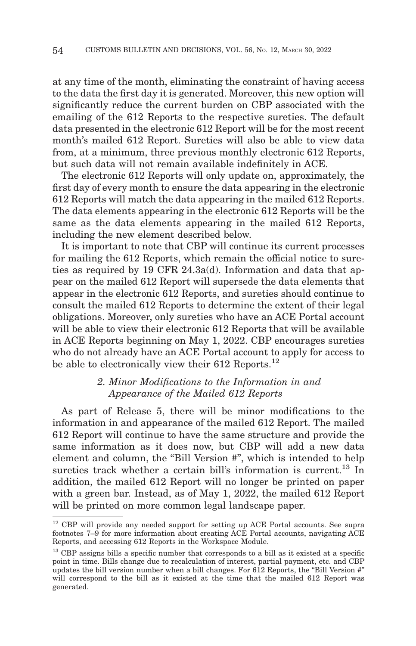at any time of the month, eliminating the constraint of having access to the data the first day it is generated. Moreover, this new option will significantly reduce the current burden on CBP associated with the emailing of the 612 Reports to the respective sureties. The default data presented in the electronic 612 Report will be for the most recent month's mailed 612 Report. Sureties will also be able to view data from, at a minimum, three previous monthly electronic 612 Reports, but such data will not remain available indefinitely in ACE.

The electronic 612 Reports will only update on, approximately, the first day of every month to ensure the data appearing in the electronic 612 Reports will match the data appearing in the mailed 612 Reports. The data elements appearing in the electronic 612 Reports will be the same as the data elements appearing in the mailed 612 Reports, including the new element described below.

It is important to note that CBP will continue its current processes for mailing the 612 Reports, which remain the official notice to sureties as required by 19 CFR 24.3a(d). Information and data that appear on the mailed 612 Report will supersede the data elements that appear in the electronic 612 Reports, and sureties should continue to consult the mailed 612 Reports to determine the extent of their legal obligations. Moreover, only sureties who have an ACE Portal account will be able to view their electronic 612 Reports that will be available in ACE Reports beginning on May 1, 2022. CBP encourages sureties who do not already have an ACE Portal account to apply for access to be able to electronically view their 612 Reports.<sup>12</sup>

# *2. Minor Modifications to the Information in and Appearance of the Mailed 612 Reports*

As part of Release 5, there will be minor modifications to the information in and appearance of the mailed 612 Report. The mailed 612 Report will continue to have the same structure and provide the same information as it does now, but CBP will add a new data element and column, the "Bill Version #", which is intended to help sureties track whether a certain bill's information is current. $^{13}$  In addition, the mailed 612 Report will no longer be printed on paper with a green bar. Instead, as of May 1, 2022, the mailed 612 Report will be printed on more common legal landscape paper.

 $12$  CBP will provide any needed support for setting up ACE Portal accounts. See supra footnotes 7–9 for more information about creating ACE Portal accounts, navigating ACE Reports, and accessing 612 Reports in the Workspace Module.

<sup>&</sup>lt;sup>13</sup> CBP assigns bills a specific number that corresponds to a bill as it existed at a specific point in time. Bills change due to recalculation of interest, partial payment, etc. and CBP updates the bill version number when a bill changes. For 612 Reports, the "Bill Version #" will correspond to the bill as it existed at the time that the mailed 612 Report was generated.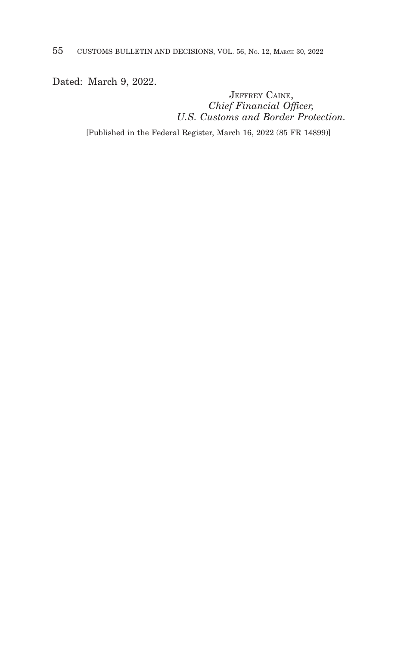Dated: March 9, 2022.

JEFFREY CAINE, *Chief Financial Officer, U.S. Customs and Border Protection.*

[Published in the Federal Register, March 16, 2022 (85 FR 14899)]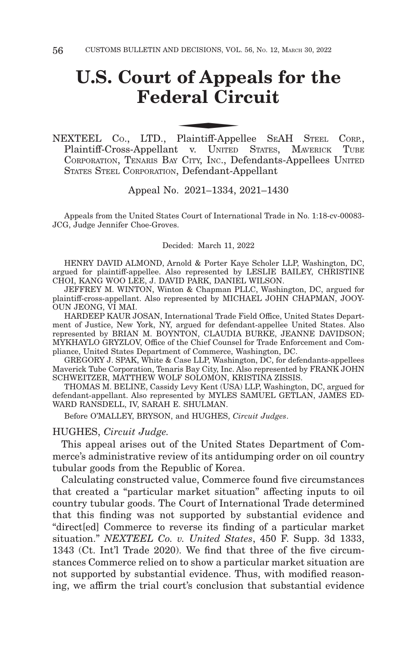# **U.S. Court of Appeals for the Federal Circuit** of Appenderal Circle Plaintiff-Appendence

NEXTEEL CO., LTD., Plaintiff-Appellee S EAH STEEL CORP., Plaintiff-Cross-Appellant v. UNITED STATES, MAVERICK TUBE CORPORATION, TENARIS BAY CITY, INC., Defendants-Appellees UNITED STATES STEEL CORPORATION, Defendant-Appellant

Appeal No. 2021–1334, 2021–1430

Appeals from the United States Court of International Trade in No. 1:18-cv-00083- JCG, Judge Jennifer Choe-Groves.

#### Decided: March 11, 2022

HENRY DAVID ALMOND, Arnold & Porter Kaye Scholer LLP, Washington, DC, argued for plaintiff-appellee. Also represented by LESLIE BAILEY, CHRISTINE CHOI, KANG WOO LEE, J. DAVID PARK, DANIEL WILSON.

JEFFREY M. WINTON, Winton & Chapman PLLC, Washington, DC, argued for plaintiff-cross-appellant. Also represented by MICHAEL JOHN CHAPMAN, JOOY-OUN JEONG, VI MAI.

HARDEEP KAUR JOSAN, International Trade Field Office, United States Department of Justice, New York, NY, argued for defendant-appellee United States. Also represented by BRIAN M. BOYNTON, CLAUDIA BURKE, JEANNE DAVIDSON; MYKHAYLO GRYZLOV, Office of the Chief Counsel for Trade Enforcement and Compliance, United States Department of Commerce, Washington, DC.

GREGORY J. SPAK, White & Case LLP, Washington, DC, for defendants-appellees Maverick Tube Corporation, Tenaris Bay City, Inc. Also represented by FRANK JOHN SCHWEITZER, MATTHEW WOLF SOLOMON, KRISTINA ZISSIS.

THOMAS M. BELINE, Cassidy Levy Kent (USA) LLP, Washington, DC, argued for defendant-appellant. Also represented by MYLES SAMUEL GETLAN, JAMES ED-WARD RANSDELL, IV, SARAH E. SHULMAN.

Before O'MALLEY, BRYSON, and HUGHES, *Circuit Judges*.

#### HUGHES, *Circuit Judge.*

This appeal arises out of the United States Department of Commerce's administrative review of its antidumping order on oil country tubular goods from the Republic of Korea.

Calculating constructed value, Commerce found five circumstances that created a "particular market situation" affecting inputs to oil country tubular goods. The Court of International Trade determined that this finding was not supported by substantial evidence and "direct[ed] Commerce to reverse its finding of a particular market situation." *NEXTEEL Co. v. United States*, 450 F. Supp. 3d 1333, 1343 (Ct. Int'l Trade 2020). We find that three of the five circumstances Commerce relied on to show a particular market situation are not supported by substantial evidence. Thus, with modified reasoning, we affirm the trial court's conclusion that substantial evidence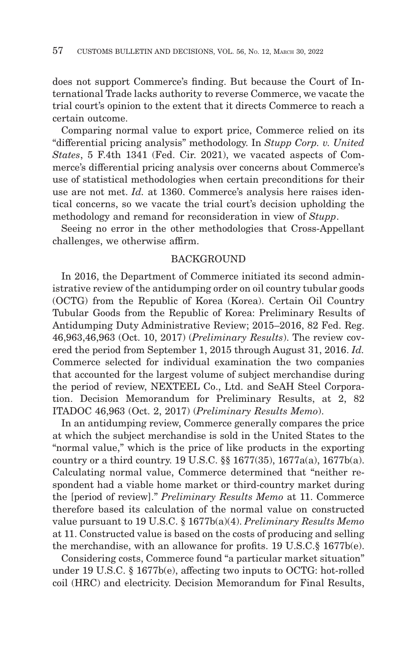does not support Commerce's finding. But because the Court of International Trade lacks authority to reverse Commerce, we vacate the trial court's opinion to the extent that it directs Commerce to reach a certain outcome.

Comparing normal value to export price, Commerce relied on its "differential pricing analysis" methodology. In *Stupp Corp. v. United States*, 5 F.4th 1341 (Fed. Cir. 2021), we vacated aspects of Commerce's differential pricing analysis over concerns about Commerce's use of statistical methodologies when certain preconditions for their use are not met. *Id.* at 1360. Commerce's analysis here raises identical concerns, so we vacate the trial court's decision upholding the methodology and remand for reconsideration in view of *Stupp*.

Seeing no error in the other methodologies that Cross-Appellant challenges, we otherwise affirm.

## BACKGROUND

In 2016, the Department of Commerce initiated its second administrative review of the antidumping order on oil country tubular goods (OCTG) from the Republic of Korea (Korea). Certain Oil Country Tubular Goods from the Republic of Korea: Preliminary Results of Antidumping Duty Administrative Review; 2015–2016, 82 Fed. Reg. 46,963,46,963 (Oct. 10, 2017) (*Preliminary Results*). The review covered the period from September 1, 2015 through August 31, 2016. *Id.* Commerce selected for individual examination the two companies that accounted for the largest volume of subject merchandise during the period of review, NEXTEEL Co., Ltd. and SeAH Steel Corporation. Decision Memorandum for Preliminary Results, at 2, 82 ITADOC 46,963 (Oct. 2, 2017) (*Preliminary Results Memo*).

In an antidumping review, Commerce generally compares the price at which the subject merchandise is sold in the United States to the "normal value," which is the price of like products in the exporting country or a third country. 19 U.S.C. §§ 1677(35), 1677a(a), 1677b(a). Calculating normal value, Commerce determined that "neither respondent had a viable home market or third-country market during the [period of review]." *Preliminary Results Memo* at 11. Commerce therefore based its calculation of the normal value on constructed value pursuant to 19 U.S.C. § 1677b(a)(4). *Preliminary Results Memo* at 11. Constructed value is based on the costs of producing and selling the merchandise, with an allowance for profits. 19 U.S.C.§ 1677b(e).

Considering costs, Commerce found "a particular market situation" under 19 U.S.C. § 1677b(e), affecting two inputs to OCTG: hot-rolled coil (HRC) and electricity. Decision Memorandum for Final Results,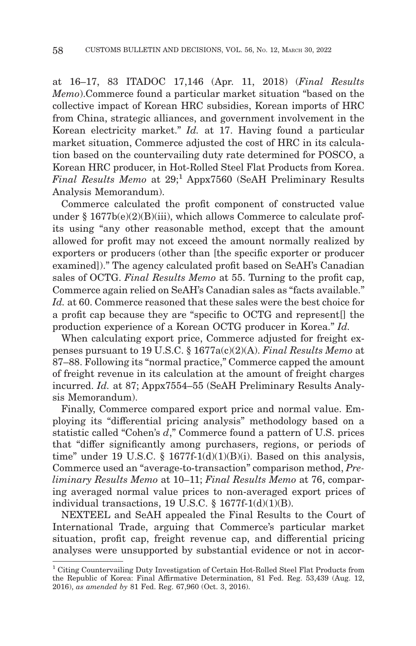at 16–17, 83 ITADOC 17,146 (Apr. 11, 2018) (*Final Results Memo*).Commerce found a particular market situation "based on the collective impact of Korean HRC subsidies, Korean imports of HRC from China, strategic alliances, and government involvement in the Korean electricity market." *Id.* at 17. Having found a particular market situation, Commerce adjusted the cost of HRC in its calculation based on the countervailing duty rate determined for POSCO, a Korean HRC producer, in Hot-Rolled Steel Flat Products from Korea. *Final Results Memo* at 29;<sup>1</sup> Appx7560 (SeAH Preliminary Results Analysis Memorandum).

Commerce calculated the profit component of constructed value under  $§ 1677b(e)(2)(B)(iii)$ , which allows Commerce to calculate profits using "any other reasonable method, except that the amount allowed for profit may not exceed the amount normally realized by exporters or producers (other than [the specific exporter or producer examined])." The agency calculated profit based on SeAH's Canadian sales of OCTG. *Final Results Memo* at 55. Turning to the profit cap, Commerce again relied on SeAH's Canadian sales as "facts available." *Id.* at 60. Commerce reasoned that these sales were the best choice for a profit cap because they are "specific to OCTG and represent[] the production experience of a Korean OCTG producer in Korea." *Id.*

When calculating export price, Commerce adjusted for freight expenses pursuant to 19 U.S.C. § 1677a(c)(2)(A). *Final Results Memo* at 87–88. Following its "normal practice," Commerce capped the amount of freight revenue in its calculation at the amount of freight charges incurred. *Id.* at 87; Appx7554–55 (SeAH Preliminary Results Analysis Memorandum).

Finally, Commerce compared export price and normal value. Employing its "differential pricing analysis" methodology based on a statistic called "Cohen's *d*," Commerce found a pattern of U.S. prices that "differ significantly among purchasers, regions, or periods of time" under 19 U.S.C. § 1677f-1(d)(1)(B)(i). Based on this analysis, Commerce used an "average-to-transaction" comparison method, *Preliminary Results Memo* at 10–11; *Final Results Memo* at 76, comparing averaged normal value prices to non-averaged export prices of individual transactions, 19 U.S.C.  $\S$  1677f-1(d)(1)(B).

NEXTEEL and SeAH appealed the Final Results to the Court of International Trade, arguing that Commerce's particular market situation, profit cap, freight revenue cap, and differential pricing analyses were unsupported by substantial evidence or not in accor-

<sup>1</sup> Citing Countervailing Duty Investigation of Certain Hot-Rolled Steel Flat Products from the Republic of Korea: Final Affirmative Determination, 81 Fed. Reg. 53,439 (Aug. 12, 2016), *as amended by* 81 Fed. Reg. 67,960 (Oct. 3, 2016).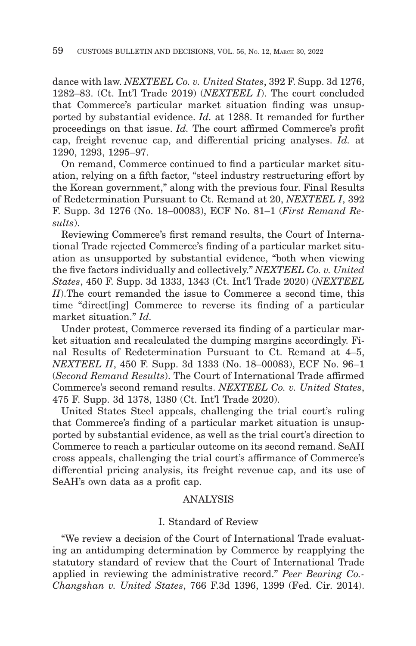dance with law. *NEXTEEL Co. v. United States*, 392 F. Supp. 3d 1276, 1282–83. (Ct. Int'l Trade 2019) (*NEXTEEL I*). The court concluded that Commerce's particular market situation finding was unsupported by substantial evidence. *Id.* at 1288. It remanded for further proceedings on that issue. *Id.* The court affirmed Commerce's profit cap, freight revenue cap, and differential pricing analyses. *Id.* at 1290, 1293, 1295–97.

On remand, Commerce continued to find a particular market situation, relying on a fifth factor, "steel industry restructuring effort by the Korean government," along with the previous four. Final Results of Redetermination Pursuant to Ct. Remand at 20, *NEXTEEL I*, 392 F. Supp. 3d 1276 (No. 18–00083), ECF No. 81–1 (*First Remand Results*).

Reviewing Commerce's first remand results, the Court of International Trade rejected Commerce's finding of a particular market situation as unsupported by substantial evidence, "both when viewing the five factors individually and collectively." *NEXTEEL Co. v. United States*, 450 F. Supp. 3d 1333, 1343 (Ct. Int'l Trade 2020) (*NEXTEEL II*).The court remanded the issue to Commerce a second time, this time "direct[ing] Commerce to reverse its finding of a particular market situation." *Id.*

Under protest, Commerce reversed its finding of a particular market situation and recalculated the dumping margins accordingly. Final Results of Redetermination Pursuant to Ct. Remand at 4–5, *NEXTEEL II*, 450 F. Supp. 3d 1333 (No. 18–00083), ECF No. 96–1 (*Second Remand Results*). The Court of International Trade affirmed Commerce's second remand results. *NEXTEEL Co. v. United States*, 475 F. Supp. 3d 1378, 1380 (Ct. Int'l Trade 2020).

United States Steel appeals, challenging the trial court's ruling that Commerce's finding of a particular market situation is unsupported by substantial evidence, as well as the trial court's direction to Commerce to reach a particular outcome on its second remand. SeAH cross appeals, challenging the trial court's affirmance of Commerce's differential pricing analysis, its freight revenue cap, and its use of SeAH's own data as a profit cap.

### ANALYSIS

#### I. Standard of Review

"We review a decision of the Court of International Trade evaluating an antidumping determination by Commerce by reapplying the statutory standard of review that the Court of International Trade applied in reviewing the administrative record." *Peer Bearing Co.- Changshan v. United States*, 766 F.3d 1396, 1399 (Fed. Cir. 2014).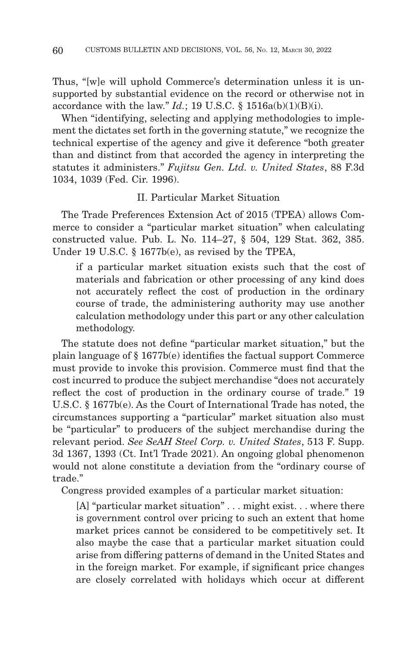Thus, "[w]e will uphold Commerce's determination unless it is unsupported by substantial evidence on the record or otherwise not in accordance with the law."  $Id$ ; 19 U.S.C. § 1516a(b)(1)(B)(i).

When "identifying, selecting and applying methodologies to implement the dictates set forth in the governing statute," we recognize the technical expertise of the agency and give it deference "both greater than and distinct from that accorded the agency in interpreting the statutes it administers." *Fujitsu Gen. Ltd. v. United States*, 88 F.3d 1034, 1039 (Fed. Cir. 1996).

# II. Particular Market Situation

The Trade Preferences Extension Act of 2015 (TPEA) allows Commerce to consider a "particular market situation" when calculating constructed value. Pub. L. No. 114–27, § 504, 129 Stat. 362, 385. Under 19 U.S.C. § 1677b(e), as revised by the TPEA,

if a particular market situation exists such that the cost of materials and fabrication or other processing of any kind does not accurately reflect the cost of production in the ordinary course of trade, the administering authority may use another calculation methodology under this part or any other calculation methodology.

The statute does not define "particular market situation," but the plain language of § 1677b(e) identifies the factual support Commerce must provide to invoke this provision. Commerce must find that the cost incurred to produce the subject merchandise "does not accurately reflect the cost of production in the ordinary course of trade." 19 U.S.C. § 1677b(e). As the Court of International Trade has noted, the circumstances supporting a "particular" market situation also must be "particular" to producers of the subject merchandise during the relevant period. *See SeAH Steel Corp. v. United States*, 513 F. Supp. 3d 1367, 1393 (Ct. Int'l Trade 2021). An ongoing global phenomenon would not alone constitute a deviation from the "ordinary course of trade."

Congress provided examples of a particular market situation:

[A] "particular market situation" . . . might exist. . . where there is government control over pricing to such an extent that home market prices cannot be considered to be competitively set. It also maybe the case that a particular market situation could arise from differing patterns of demand in the United States and in the foreign market. For example, if significant price changes are closely correlated with holidays which occur at different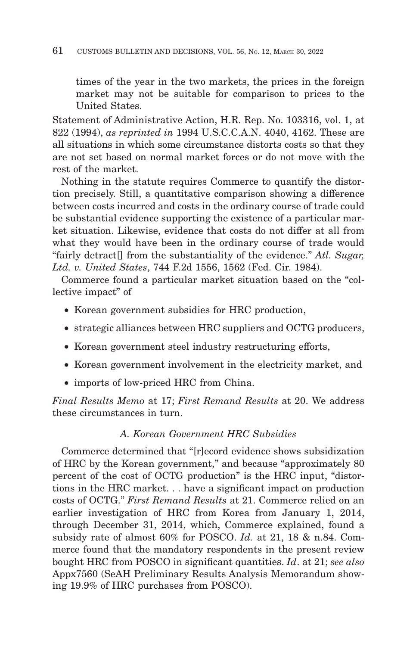times of the year in the two markets, the prices in the foreign market may not be suitable for comparison to prices to the United States.

Statement of Administrative Action, H.R. Rep. No. 103316, vol. 1, at 822 (1994), *as reprinted in* 1994 U.S.C.C.A.N. 4040, 4162. These are all situations in which some circumstance distorts costs so that they are not set based on normal market forces or do not move with the rest of the market.

Nothing in the statute requires Commerce to quantify the distortion precisely. Still, a quantitative comparison showing a difference between costs incurred and costs in the ordinary course of trade could be substantial evidence supporting the existence of a particular market situation. Likewise, evidence that costs do not differ at all from what they would have been in the ordinary course of trade would "fairly detract[] from the substantiality of the evidence." *Atl. Sugar, Ltd. v. United States*, 744 F.2d 1556, 1562 (Fed. Cir. 1984).

Commerce found a particular market situation based on the "collective impact" of

- Korean government subsidies for HRC production,
- strategic alliances between HRC suppliers and OCTG producers,
- Korean government steel industry restructuring efforts,
- Korean government involvement in the electricity market, and
- imports of low-priced HRC from China.

*Final Results Memo* at 17; *First Remand Results* at 20. We address these circumstances in turn.

# *A. Korean Government HRC Subsidies*

Commerce determined that "[r]ecord evidence shows subsidization of HRC by the Korean government," and because "approximately 80 percent of the cost of OCTG production" is the HRC input, "distortions in the HRC market. . . have a significant impact on production costs of OCTG." *First Remand Results* at 21. Commerce relied on an earlier investigation of HRC from Korea from January 1, 2014, through December 31, 2014, which, Commerce explained, found a subsidy rate of almost 60% for POSCO. *Id.* at 21, 18 & n.84. Commerce found that the mandatory respondents in the present review bought HRC from POSCO in significant quantities. *Id*. at 21; *see also* Appx7560 (SeAH Preliminary Results Analysis Memorandum showing 19.9% of HRC purchases from POSCO).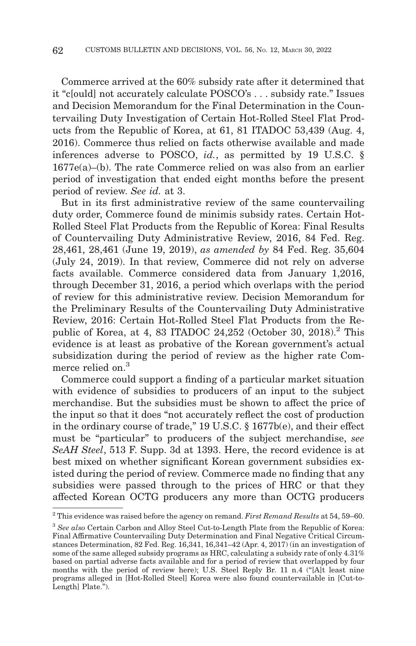Commerce arrived at the 60% subsidy rate after it determined that it "c[ould] not accurately calculate POSCO's . . . subsidy rate." Issues and Decision Memorandum for the Final Determination in the Countervailing Duty Investigation of Certain Hot-Rolled Steel Flat Products from the Republic of Korea, at 61, 81 ITADOC 53,439 (Aug. 4, 2016). Commerce thus relied on facts otherwise available and made inferences adverse to POSCO, *id.*, as permitted by 19 U.S.C. § 1677e(a)–(b). The rate Commerce relied on was also from an earlier period of investigation that ended eight months before the present period of review. *See id.* at 3.

But in its first administrative review of the same countervailing duty order, Commerce found de minimis subsidy rates. Certain Hot-Rolled Steel Flat Products from the Republic of Korea: Final Results of Countervailing Duty Administrative Review, 2016, 84 Fed. Reg. 28,461, 28,461 (June 19, 2019), *as amended by* 84 Fed. Reg. 35,604 (July 24, 2019). In that review, Commerce did not rely on adverse facts available. Commerce considered data from January 1,2016, through December 31, 2016, a period which overlaps with the period of review for this administrative review. Decision Memorandum for the Preliminary Results of the Countervailing Duty Administrative Review, 2016: Certain Hot-Rolled Steel Flat Products from the Republic of Korea, at 4, 83 ITADOC 24,252 (October 30, 2018).<sup>2</sup> This evidence is at least as probative of the Korean government's actual subsidization during the period of review as the higher rate Commerce relied on.<sup>3</sup>

Commerce could support a finding of a particular market situation with evidence of subsidies to producers of an input to the subject merchandise. But the subsidies must be shown to affect the price of the input so that it does "not accurately reflect the cost of production in the ordinary course of trade," 19 U.S.C. § 1677b(e), and their effect must be "particular" to producers of the subject merchandise, *see SeAH Steel*, 513 F. Supp. 3d at 1393. Here, the record evidence is at best mixed on whether significant Korean government subsidies existed during the period of review. Commerce made no finding that any subsidies were passed through to the prices of HRC or that they affected Korean OCTG producers any more than OCTG producers

<sup>2</sup> This evidence was raised before the agency on remand. *First Remand Results* at 54, 59–60.

<sup>3</sup>*See also* Certain Carbon and Alloy Steel Cut-to-Length Plate from the Republic of Korea: Final Affirmative Countervailing Duty Determination and Final Negative Critical Circumstances Determination, 82 Fed. Reg. 16,341, 16,341–42 (Apr. 4, 2017) (in an investigation of some of the same alleged subsidy programs as HRC, calculating a subsidy rate of only 4.31% based on partial adverse facts available and for a period of review that overlapped by four months with the period of review here); U.S. Steel Reply Br. 11 n.4 ("[A]t least nine programs alleged in [Hot-Rolled Steel] Korea were also found countervailable in [Cut-to-Length] Plate.").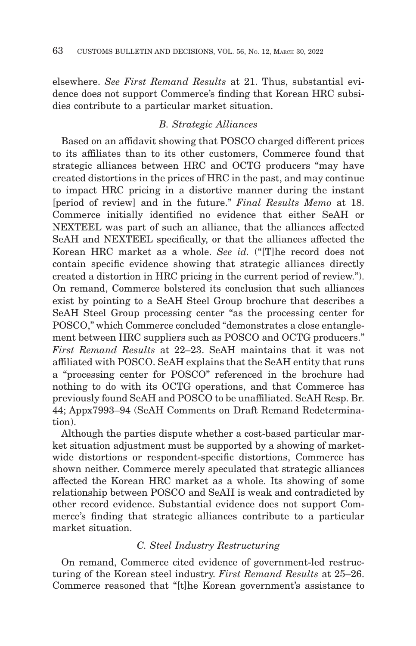elsewhere. *See First Remand Results* at 21. Thus, substantial evidence does not support Commerce's finding that Korean HRC subsidies contribute to a particular market situation.

# *B. Strategic Alliances*

Based on an affidavit showing that POSCO charged different prices to its affiliates than to its other customers, Commerce found that strategic alliances between HRC and OCTG producers "may have created distortions in the prices of HRC in the past, and may continue to impact HRC pricing in a distortive manner during the instant [period of review] and in the future." *Final Results Memo* at 18. Commerce initially identified no evidence that either SeAH or NEXTEEL was part of such an alliance, that the alliances affected SeAH and NEXTEEL specifically, or that the alliances affected the Korean HRC market as a whole. *See id.* ("[T]he record does not contain specific evidence showing that strategic alliances directly created a distortion in HRC pricing in the current period of review."). On remand, Commerce bolstered its conclusion that such alliances exist by pointing to a SeAH Steel Group brochure that describes a SeAH Steel Group processing center "as the processing center for POSCO," which Commerce concluded "demonstrates a close entanglement between HRC suppliers such as POSCO and OCTG producers." *First Remand Results* at 22–23. SeAH maintains that it was not affiliated with POSCO. SeAH explains that the SeAH entity that runs a "processing center for POSCO" referenced in the brochure had nothing to do with its OCTG operations, and that Commerce has previously found SeAH and POSCO to be unaffiliated. SeAH Resp. Br. 44; Appx7993–94 (SeAH Comments on Draft Remand Redetermination).

Although the parties dispute whether a cost-based particular market situation adjustment must be supported by a showing of marketwide distortions or respondent-specific distortions, Commerce has shown neither. Commerce merely speculated that strategic alliances affected the Korean HRC market as a whole. Its showing of some relationship between POSCO and SeAH is weak and contradicted by other record evidence. Substantial evidence does not support Commerce's finding that strategic alliances contribute to a particular market situation.

### *C. Steel Industry Restructuring*

On remand, Commerce cited evidence of government-led restructuring of the Korean steel industry. *First Remand Results* at 25–26. Commerce reasoned that "[t]he Korean government's assistance to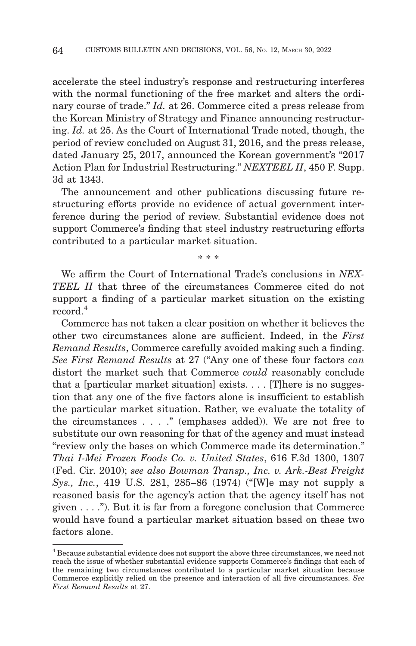accelerate the steel industry's response and restructuring interferes with the normal functioning of the free market and alters the ordinary course of trade." *Id.* at 26. Commerce cited a press release from the Korean Ministry of Strategy and Finance announcing restructuring. *Id.* at 25. As the Court of International Trade noted, though, the period of review concluded on August 31, 2016, and the press release, dated January 25, 2017, announced the Korean government's "2017 Action Plan for Industrial Restructuring." *NEXTEEL II*, 450 F. Supp. 3d at 1343.

The announcement and other publications discussing future restructuring efforts provide no evidence of actual government interference during the period of review. Substantial evidence does not support Commerce's finding that steel industry restructuring efforts contributed to a particular market situation.

\* \* \*

We affirm the Court of International Trade's conclusions in *NEX-TEEL II* that three of the circumstances Commerce cited do not support a finding of a particular market situation on the existing record.4

Commerce has not taken a clear position on whether it believes the other two circumstances alone are sufficient. Indeed, in the *First Remand Results*, Commerce carefully avoided making such a finding. *See First Remand Results* at 27 ("Any one of these four factors *can* distort the market such that Commerce *could* reasonably conclude that a [particular market situation] exists.  $\ldots$  [T] here is no suggestion that any one of the five factors alone is insufficient to establish the particular market situation. Rather, we evaluate the totality of the circumstances . . . ." (emphases added)). We are not free to substitute our own reasoning for that of the agency and must instead "review only the bases on which Commerce made its determination." *Thai I-Mei Frozen Foods Co. v. United States*, 616 F.3d 1300, 1307 (Fed. Cir. 2010); *see also Bowman Transp., Inc. v. Ark.-Best Freight Sys., Inc.*, 419 U.S. 281, 285–86 (1974) ("[W]e may not supply a reasoned basis for the agency's action that the agency itself has not given  $\dots$ ."). But it is far from a foregone conclusion that Commerce would have found a particular market situation based on these two factors alone.

<sup>4</sup> Because substantial evidence does not support the above three circumstances, we need not reach the issue of whether substantial evidence supports Commerce's findings that each of the remaining two circumstances contributed to a particular market situation because Commerce explicitly relied on the presence and interaction of all five circumstances. *See First Remand Results* at 27.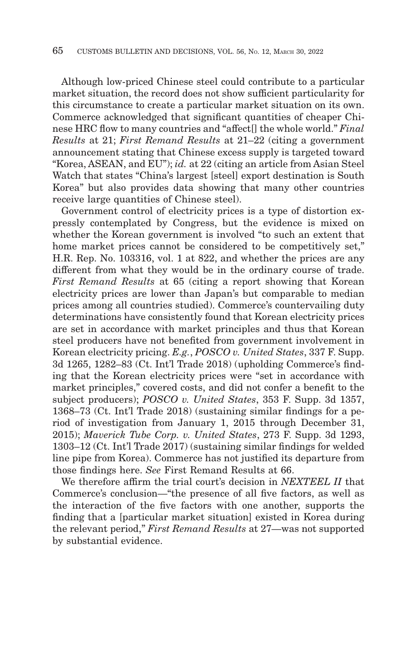Although low-priced Chinese steel could contribute to a particular market situation, the record does not show sufficient particularity for this circumstance to create a particular market situation on its own. Commerce acknowledged that significant quantities of cheaper Chinese HRC flow to many countries and "affect[] the whole world." *Final Results* at 21; *First Remand Results* at 21–22 (citing a government announcement stating that Chinese excess supply is targeted toward "Korea, ASEAN, and EU"); *id.* at 22 (citing an article from Asian Steel Watch that states "China's largest [steel] export destination is South Korea" but also provides data showing that many other countries receive large quantities of Chinese steel).

Government control of electricity prices is a type of distortion expressly contemplated by Congress, but the evidence is mixed on whether the Korean government is involved "to such an extent that home market prices cannot be considered to be competitively set," H.R. Rep. No. 103316, vol. 1 at 822, and whether the prices are any different from what they would be in the ordinary course of trade. *First Remand Results* at 65 (citing a report showing that Korean electricity prices are lower than Japan's but comparable to median prices among all countries studied). Commerce's countervailing duty determinations have consistently found that Korean electricity prices are set in accordance with market principles and thus that Korean steel producers have not benefited from government involvement in Korean electricity pricing. *E.g.*, *POSCO v. United States*, 337 F. Supp. 3d 1265, 1282–83 (Ct. Int'l Trade 2018) (upholding Commerce's finding that the Korean electricity prices were "set in accordance with market principles," covered costs, and did not confer a benefit to the subject producers); *POSCO v. United States*, 353 F. Supp. 3d 1357, 1368–73 (Ct. Int'l Trade 2018) (sustaining similar findings for a period of investigation from January 1, 2015 through December 31, 2015); *Maverick Tube Corp. v. United States*, 273 F. Supp. 3d 1293, 1303–12 (Ct. Int'l Trade 2017) (sustaining similar findings for welded line pipe from Korea). Commerce has not justified its departure from those findings here. *See* First Remand Results at 66.

We therefore affirm the trial court's decision in *NEXTEEL II* that Commerce's conclusion—"the presence of all five factors, as well as the interaction of the five factors with one another, supports the finding that a [particular market situation] existed in Korea during the relevant period," *First Remand Results* at 27—was not supported by substantial evidence.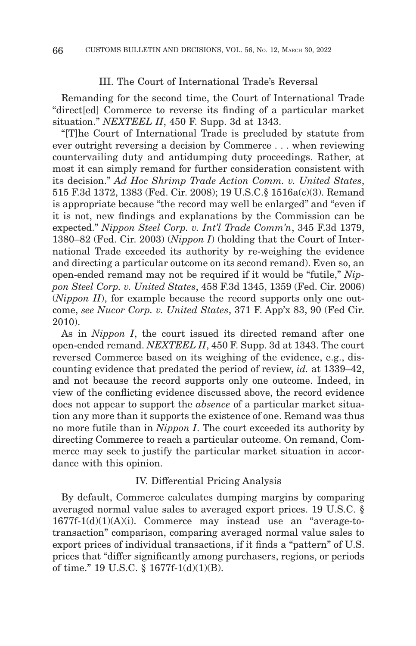#### III. The Court of International Trade's Reversal

Remanding for the second time, the Court of International Trade "direct[ed] Commerce to reverse its finding of a particular market situation." *NEXTEEL II*, 450 F. Supp. 3d at 1343.

"[T]he Court of International Trade is precluded by statute from ever outright reversing a decision by Commerce . . . when reviewing countervailing duty and antidumping duty proceedings. Rather, at most it can simply remand for further consideration consistent with its decision." *Ad Hoc Shrimp Trade Action Comm. v. United States*, 515 F.3d 1372, 1383 (Fed. Cir. 2008); 19 U.S.C.§ 1516a(c)(3). Remand is appropriate because "the record may well be enlarged" and "even if it is not, new findings and explanations by the Commission can be expected." *Nippon Steel Corp. v. Int'l Trade Comm'n*, 345 F.3d 1379, 1380–82 (Fed. Cir. 2003) (*Nippon I*) (holding that the Court of International Trade exceeded its authority by re-weighing the evidence and directing a particular outcome on its second remand). Even so, an open-ended remand may not be required if it would be "futile," *Nippon Steel Corp. v. United States*, 458 F.3d 1345, 1359 (Fed. Cir. 2006) (*Nippon II*), for example because the record supports only one outcome, *see Nucor Corp. v. United States*, 371 F. App'x 83, 90 (Fed Cir. 2010).

As in *Nippon I*, the court issued its directed remand after one open-ended remand. *NEXTEEL II*, 450 F. Supp. 3d at 1343. The court reversed Commerce based on its weighing of the evidence, e.g., discounting evidence that predated the period of review, *id.* at 1339–42, and not because the record supports only one outcome. Indeed, in view of the conflicting evidence discussed above, the record evidence does not appear to support the *absence* of a particular market situation any more than it supports the existence of one. Remand was thus no more futile than in *Nippon I*. The court exceeded its authority by directing Commerce to reach a particular outcome. On remand, Commerce may seek to justify the particular market situation in accordance with this opinion.

#### IV. Differential Pricing Analysis

By default, Commerce calculates dumping margins by comparing averaged normal value sales to averaged export prices. 19 U.S.C. § 1677f-1(d)(1)(A)(i). Commerce may instead use an "average-totransaction" comparison, comparing averaged normal value sales to export prices of individual transactions, if it finds a "pattern" of U.S. prices that "differ significantly among purchasers, regions, or periods of time." 19 U.S.C. § 1677f-1(d)(1)(B).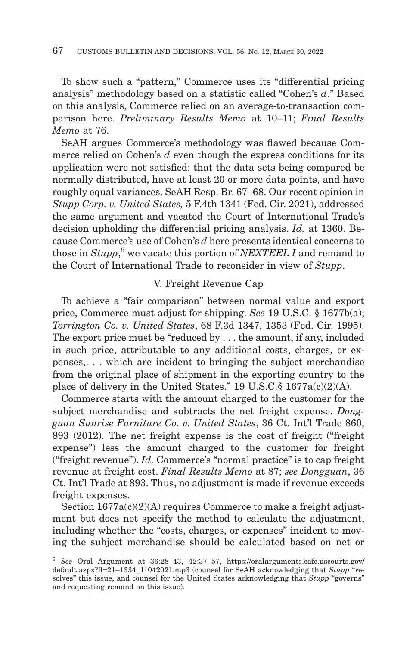To show such a "pattern," Commerce uses its "differential pricing analysis" methodology based on a statistic called "Cohen's *d*." Based on this analysis, Commerce relied on an average-to-transaction comparison here. *Preliminary Results Memo* at 10–11; *Final Results Memo* at 76.

SeAH argues Commerce's methodology was flawed because Commerce relied on Cohen's *d* even though the express conditions for its application were not satisfied: that the data sets being compared be normally distributed, have at least 20 or more data points, and have roughly equal variances. SeAH Resp. Br. 67–68. Our recent opinion in *Stupp Corp. v. United States,* 5 F.4th 1341 (Fed. Cir. 2021), addressed the same argument and vacated the Court of International Trade's decision upholding the differential pricing analysis. *Id.* at 1360. Because Commerce's use of Cohen's *d* here presents identical concerns to those in *Stupp*, 5 we vacate this portion of *NEXTEEL I* and remand to the Court of International Trade to reconsider in view of *Stupp*.

#### V. Freight Revenue Cap

To achieve a "fair comparison" between normal value and export price, Commerce must adjust for shipping. *See* 19 U.S.C. § 1677b(a); *Torrington Co. v. United States*, 68 F.3d 1347, 1353 (Fed. Cir. 1995). The export price must be "reduced by . . . the amount, if any, included in such price, attributable to any additional costs, charges, or expenses,. . . which are incident to bringing the subject merchandise from the original place of shipment in the exporting country to the place of delivery in the United States." 19 U.S.C.§ 1677a(c)(2)(A).

Commerce starts with the amount charged to the customer for the subject merchandise and subtracts the net freight expense. *Dongguan Sunrise Furniture Co. v. United States*, 36 Ct. Int'l Trade 860, 893 (2012). The net freight expense is the cost of freight ("freight expense") less the amount charged to the customer for freight ("freight revenue"). *Id.* Commerce's "normal practice" is to cap freight revenue at freight cost. *Final Results Memo* at 87; *see Dongguan*, 36 Ct. Int'l Trade at 893. Thus, no adjustment is made if revenue exceeds freight expenses.

Section  $1677a(c)(2)(A)$  requires Commerce to make a freight adjustment but does not specify the method to calculate the adjustment, including whether the "costs, charges, or expenses" incident to moving the subject merchandise should be calculated based on net or

<sup>5</sup>*See* Oral Argument at 36:28–43, 42:37–57, https://oralarguments.cafc.uscourts.gov/ default.aspx?fl=21–1334\_11042021.mp3 (counsel for SeAH acknowledging that *Stupp* "resolves" this issue, and counsel for the United States acknowledging that *Stupp* "governs" and requesting remand on this issue).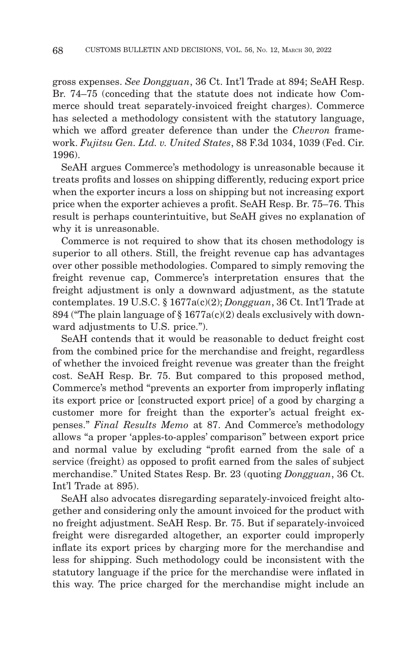gross expenses. *See Dongguan*, 36 Ct. Int'l Trade at 894; SeAH Resp. Br. 74–75 (conceding that the statute does not indicate how Commerce should treat separately-invoiced freight charges). Commerce has selected a methodology consistent with the statutory language, which we afford greater deference than under the *Chevron* framework. *Fujitsu Gen. Ltd. v. United States*, 88 F.3d 1034, 1039 (Fed. Cir. 1996).

SeAH argues Commerce's methodology is unreasonable because it treats profits and losses on shipping differently, reducing export price when the exporter incurs a loss on shipping but not increasing export price when the exporter achieves a profit. SeAH Resp. Br. 75–76. This result is perhaps counterintuitive, but SeAH gives no explanation of why it is unreasonable.

Commerce is not required to show that its chosen methodology is superior to all others. Still, the freight revenue cap has advantages over other possible methodologies. Compared to simply removing the freight revenue cap, Commerce's interpretation ensures that the freight adjustment is only a downward adjustment, as the statute contemplates. 19 U.S.C. § 1677a(c)(2); *Dongguan*, 36 Ct. Int'l Trade at 894 ("The plain language of  $\S 1677a(c)(2)$  deals exclusively with downward adjustments to U.S. price.").

SeAH contends that it would be reasonable to deduct freight cost from the combined price for the merchandise and freight, regardless of whether the invoiced freight revenue was greater than the freight cost. SeAH Resp. Br. 75. But compared to this proposed method, Commerce's method "prevents an exporter from improperly inflating its export price or [constructed export price] of a good by charging a customer more for freight than the exporter's actual freight expenses." *Final Results Memo* at 87. And Commerce's methodology allows "a proper 'apples-to-apples' comparison" between export price and normal value by excluding "profit earned from the sale of a service (freight) as opposed to profit earned from the sales of subject merchandise." United States Resp. Br. 23 (quoting *Dongguan*, 36 Ct. Int'l Trade at 895).

SeAH also advocates disregarding separately-invoiced freight altogether and considering only the amount invoiced for the product with no freight adjustment. SeAH Resp. Br. 75. But if separately-invoiced freight were disregarded altogether, an exporter could improperly inflate its export prices by charging more for the merchandise and less for shipping. Such methodology could be inconsistent with the statutory language if the price for the merchandise were inflated in this way. The price charged for the merchandise might include an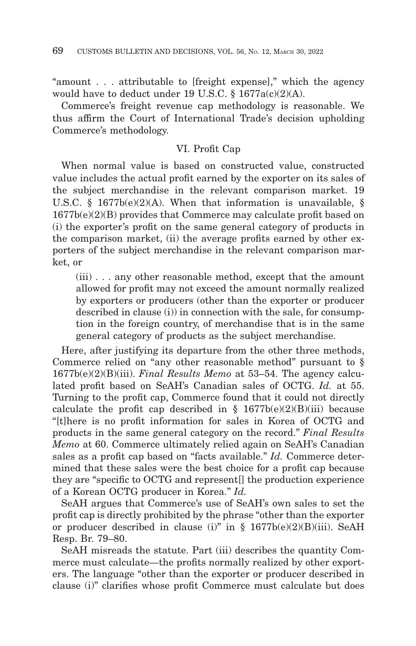"amount . . . attributable to [freight expense]," which the agency would have to deduct under 19 U.S.C. § 1677a(c)(2)(A).

Commerce's freight revenue cap methodology is reasonable. We thus affirm the Court of International Trade's decision upholding Commerce's methodology.

#### VI. Profit Cap

When normal value is based on constructed value, constructed value includes the actual profit earned by the exporter on its sales of the subject merchandise in the relevant comparison market. 19 U.S.C. § 1677b(e)(2)(A). When that information is unavailable, § 1677b(e)(2)(B) provides that Commerce may calculate profit based on (i) the exporter's profit on the same general category of products in the comparison market, (ii) the average profits earned by other exporters of the subject merchandise in the relevant comparison market, or

(iii) . . . any other reasonable method, except that the amount allowed for profit may not exceed the amount normally realized by exporters or producers (other than the exporter or producer described in clause (i)) in connection with the sale, for consumption in the foreign country, of merchandise that is in the same general category of products as the subject merchandise.

Here, after justifying its departure from the other three methods, Commerce relied on "any other reasonable method" pursuant to § 1677b(e)(2)(B)(iii). *Final Results Memo* at 53–54. The agency calculated profit based on SeAH's Canadian sales of OCTG. *Id.* at 55. Turning to the profit cap, Commerce found that it could not directly calculate the profit cap described in  $\S$  1677b(e)(2)(B)(iii) because "[t]here is no profit information for sales in Korea of OCTG and products in the same general category on the record." *Final Results Memo* at 60. Commerce ultimately relied again on SeAH's Canadian sales as a profit cap based on "facts available." *Id.* Commerce determined that these sales were the best choice for a profit cap because they are "specific to OCTG and represent[] the production experience of a Korean OCTG producer in Korea." *Id.*

SeAH argues that Commerce's use of SeAH's own sales to set the profit cap is directly prohibited by the phrase "other than the exporter or producer described in clause (i)" in § 1677b(e)(2)(B)(iii). SeAH Resp. Br. 79–80.

SeAH misreads the statute. Part (iii) describes the quantity Commerce must calculate—the profits normally realized by other exporters. The language "other than the exporter or producer described in clause (i)" clarifies whose profit Commerce must calculate but does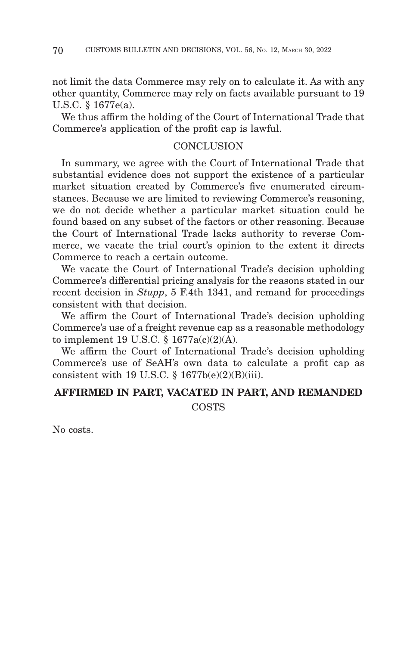not limit the data Commerce may rely on to calculate it. As with any other quantity, Commerce may rely on facts available pursuant to 19 U.S.C. § 1677e(a).

We thus affirm the holding of the Court of International Trade that Commerce's application of the profit cap is lawful.

#### **CONCLUSION**

In summary, we agree with the Court of International Trade that substantial evidence does not support the existence of a particular market situation created by Commerce's five enumerated circumstances. Because we are limited to reviewing Commerce's reasoning, we do not decide whether a particular market situation could be found based on any subset of the factors or other reasoning. Because the Court of International Trade lacks authority to reverse Commerce, we vacate the trial court's opinion to the extent it directs Commerce to reach a certain outcome.

We vacate the Court of International Trade's decision upholding Commerce's differential pricing analysis for the reasons stated in our recent decision in *Stupp*, 5 F.4th 1341, and remand for proceedings consistent with that decision.

We affirm the Court of International Trade's decision upholding Commerce's use of a freight revenue cap as a reasonable methodology to implement 19 U.S.C. § 1677a(c)(2)(A).

We affirm the Court of International Trade's decision upholding Commerce's use of SeAH's own data to calculate a profit cap as consistent with 19 U.S.C.  $\S$  1677b(e)(2)(B)(iii).

# **AFFIRMED IN PART, VACATED IN PART, AND REMANDED** COSTS

No costs.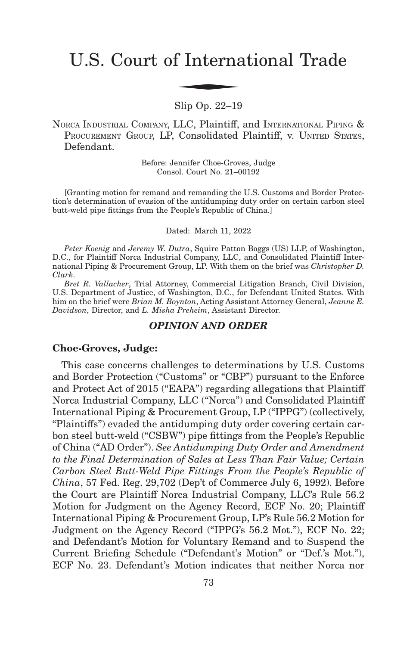# U.S. Court of International Trade f Interna

Slip Op. 22–19

NORCA INDUSTRIAL COMPANY, LLC, Plaintiff, and INTERNATIONAL PIPING & PROCUREMENT GROUP, LP, Consolidated Plaintiff, v. UNITED STATES, Defendant.

> Before: Jennifer Choe-Groves, Judge Consol. Court No. 21–00192

[Granting motion for remand and remanding the U.S. Customs and Border Protection's determination of evasion of the antidumping duty order on certain carbon steel butt-weld pipe fittings from the People's Republic of China.]

Dated: March 11, 2022

*Peter Koenig* and *Jeremy W. Dutra*, Squire Patton Boggs (US) LLP, of Washington, D.C., for Plaintiff Norca Industrial Company, LLC, and Consolidated Plaintiff International Piping & Procurement Group, LP. With them on the brief was *Christopher D. Clark*.

*Bret R. Vallacher*, Trial Attorney, Commercial Litigation Branch, Civil Division, U.S. Department of Justice, of Washington, D.C., for Defendant United States. With him on the brief were *Brian M. Boynton*, Acting Assistant Attorney General, *Jeanne E. Davidson*, Director, and *L. Misha Preheim*, Assistant Director.

#### *OPINION AND ORDER*

#### **Choe-Groves, Judge:**

This case concerns challenges to determinations by U.S. Customs and Border Protection ("Customs" or "CBP") pursuant to the Enforce and Protect Act of 2015 ("EAPA") regarding allegations that Plaintiff Norca Industrial Company, LLC ("Norca") and Consolidated Plaintiff International Piping & Procurement Group, LP ("IPPG") (collectively, "Plaintiffs") evaded the antidumping duty order covering certain carbon steel butt-weld ("CSBW") pipe fittings from the People's Republic of China ("AD Order"). *See Antidumping Duty Order and Amendment to the Final Determination of Sales at Less Than Fair Value; Certain Carbon Steel Butt-Weld Pipe Fittings From the People's Republic of China*, 57 Fed. Reg. 29,702 (Dep't of Commerce July 6, 1992). Before the Court are Plaintiff Norca Industrial Company, LLC's Rule 56.2 Motion for Judgment on the Agency Record, ECF No. 20; Plaintiff International Piping & Procurement Group, LP's Rule 56.2 Motion for Judgment on the Agency Record ("IPPG's 56.2 Mot."), ECF No. 22; and Defendant's Motion for Voluntary Remand and to Suspend the Current Briefing Schedule ("Defendant's Motion" or "Def.'s Mot."), ECF No. 23. Defendant's Motion indicates that neither Norca nor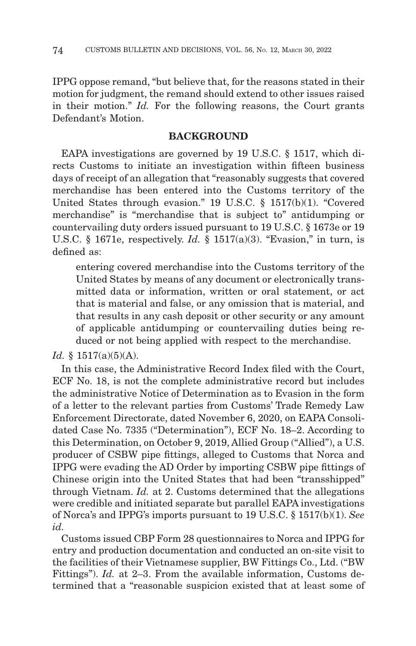IPPG oppose remand, "but believe that, for the reasons stated in their motion for judgment, the remand should extend to other issues raised in their motion." *Id.* For the following reasons, the Court grants Defendant's Motion.

# **BACKGROUND**

EAPA investigations are governed by 19 U.S.C. § 1517, which directs Customs to initiate an investigation within fifteen business days of receipt of an allegation that "reasonably suggests that covered merchandise has been entered into the Customs territory of the United States through evasion." 19 U.S.C. § 1517(b)(1). "Covered merchandise" is "merchandise that is subject to" antidumping or countervailing duty orders issued pursuant to 19 U.S.C. § 1673e or 19 U.S.C. § 1671e, respectively. *Id.* § 1517(a)(3). "Evasion," in turn, is defined as:

entering covered merchandise into the Customs territory of the United States by means of any document or electronically transmitted data or information, written or oral statement, or act that is material and false, or any omission that is material, and that results in any cash deposit or other security or any amount of applicable antidumping or countervailing duties being reduced or not being applied with respect to the merchandise.

*Id.* § 1517(a)(5)(A).

In this case, the Administrative Record Index filed with the Court, ECF No. 18, is not the complete administrative record but includes the administrative Notice of Determination as to Evasion in the form of a letter to the relevant parties from Customs' Trade Remedy Law Enforcement Directorate, dated November 6, 2020, on EAPA Consolidated Case No. 7335 ("Determination"), ECF No. 18–2. According to this Determination, on October 9, 2019, Allied Group ("Allied"), a U.S. producer of CSBW pipe fittings, alleged to Customs that Norca and IPPG were evading the AD Order by importing CSBW pipe fittings of Chinese origin into the United States that had been "transshipped" through Vietnam. *Id.* at 2. Customs determined that the allegations were credible and initiated separate but parallel EAPA investigations of Norca's and IPPG's imports pursuant to 19 U.S.C. § 1517(b)(1). *See id.*

Customs issued CBP Form 28 questionnaires to Norca and IPPG for entry and production documentation and conducted an on-site visit to the facilities of their Vietnamese supplier, BW Fittings Co., Ltd. ("BW Fittings"). *Id.* at 2–3. From the available information, Customs determined that a "reasonable suspicion existed that at least some of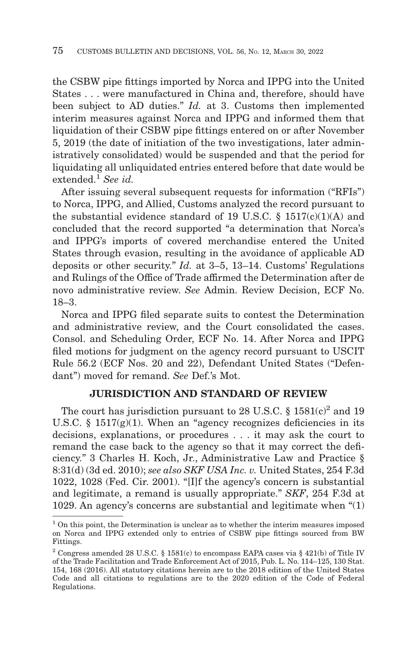the CSBW pipe fittings imported by Norca and IPPG into the United States . . . were manufactured in China and, therefore, should have been subject to AD duties." *Id.* at 3. Customs then implemented interim measures against Norca and IPPG and informed them that liquidation of their CSBW pipe fittings entered on or after November 5, 2019 (the date of initiation of the two investigations, later administratively consolidated) would be suspended and that the period for liquidating all unliquidated entries entered before that date would be extended.1 *See id.*

After issuing several subsequent requests for information ("RFIs") to Norca, IPPG, and Allied, Customs analyzed the record pursuant to the substantial evidence standard of 19 U.S.C.  $\S$  1517(c)(1)(A) and concluded that the record supported "a determination that Norca's and IPPG's imports of covered merchandise entered the United States through evasion, resulting in the avoidance of applicable AD deposits or other security." *Id.* at 3–5, 13–14. Customs' Regulations and Rulings of the Office of Trade affirmed the Determination after de novo administrative review. *See* Admin. Review Decision, ECF No. 18–3.

Norca and IPPG filed separate suits to contest the Determination and administrative review, and the Court consolidated the cases. Consol. and Scheduling Order, ECF No. 14. After Norca and IPPG filed motions for judgment on the agency record pursuant to USCIT Rule 56.2 (ECF Nos. 20 and 22), Defendant United States ("Defendant") moved for remand. *See* Def.'s Mot.

### **JURISDICTION AND STANDARD OF REVIEW**

The court has jurisdiction pursuant to 28 U.S.C.  $\S 1581(c)^2$  and 19 U.S.C.  $\S$  1517(g)(1). When an "agency recognizes deficiencies in its decisions, explanations, or procedures . . . it may ask the court to remand the case back to the agency so that it may correct the deficiency." 3 Charles H. Koch, Jr., Administrative Law and Practice § 8:31(d) (3d ed. 2010); *see also SKF USA Inc. v.* United States, 254 F.3d 1022, 1028 (Fed. Cir. 2001). "[I]f the agency's concern is substantial and legitimate, a remand is usually appropriate." *SKF*, 254 F.3d at 1029. An agency's concerns are substantial and legitimate when "(1)

 $<sup>1</sup>$  On this point, the Determination is unclear as to whether the interim measures imposed</sup> on Norca and IPPG extended only to entries of CSBW pipe fittings sourced from BW Fittings.

<sup>&</sup>lt;sup>2</sup> Congress amended 28 U.S.C. § 1581(c) to encompass EAPA cases via § 421(b) of Title IV of the Trade Facilitation and Trade Enforcement Act of 2015, Pub. L. No. 114–125, 130 Stat. 154, 168 (2016). All statutory citations herein are to the 2018 edition of the United States Code and all citations to regulations are to the 2020 edition of the Code of Federal Regulations.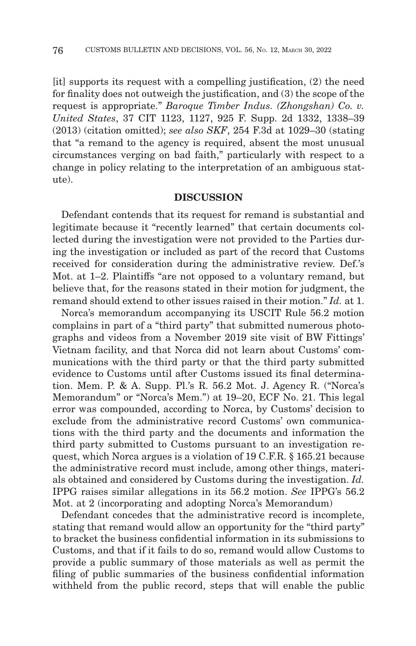[it] supports its request with a compelling justification, (2) the need for finality does not outweigh the justification, and (3) the scope of the request is appropriate." *Baroque Timber Indus. (Zhongshan) Co. v. United States*, 37 CIT 1123, 1127, 925 F. Supp. 2d 1332, 1338–39 (2013) (citation omitted); *see also SKF*, 254 F.3d at 1029–30 (stating that "a remand to the agency is required, absent the most unusual circumstances verging on bad faith," particularly with respect to a change in policy relating to the interpretation of an ambiguous statute).

### **DISCUSSION**

Defendant contends that its request for remand is substantial and legitimate because it "recently learned" that certain documents collected during the investigation were not provided to the Parties during the investigation or included as part of the record that Customs received for consideration during the administrative review. Def.'s Mot. at 1–2. Plaintiffs "are not opposed to a voluntary remand, but believe that, for the reasons stated in their motion for judgment, the remand should extend to other issues raised in their motion." *Id.* at 1.

Norca's memorandum accompanying its USCIT Rule 56.2 motion complains in part of a "third party" that submitted numerous photographs and videos from a November 2019 site visit of BW Fittings' Vietnam facility, and that Norca did not learn about Customs' communications with the third party or that the third party submitted evidence to Customs until after Customs issued its final determination. Mem. P. & A. Supp. Pl.'s R. 56.2 Mot. J. Agency R. ("Norca's Memorandum" or "Norca's Mem.") at 19–20, ECF No. 21. This legal error was compounded, according to Norca, by Customs' decision to exclude from the administrative record Customs' own communications with the third party and the documents and information the third party submitted to Customs pursuant to an investigation request, which Norca argues is a violation of 19 C.F.R. § 165.21 because the administrative record must include, among other things, materials obtained and considered by Customs during the investigation. *Id.* IPPG raises similar allegations in its 56.2 motion. *See* IPPG's 56.2 Mot. at 2 (incorporating and adopting Norca's Memorandum)

Defendant concedes that the administrative record is incomplete, stating that remand would allow an opportunity for the "third party" to bracket the business confidential information in its submissions to Customs, and that if it fails to do so, remand would allow Customs to provide a public summary of those materials as well as permit the filing of public summaries of the business confidential information withheld from the public record, steps that will enable the public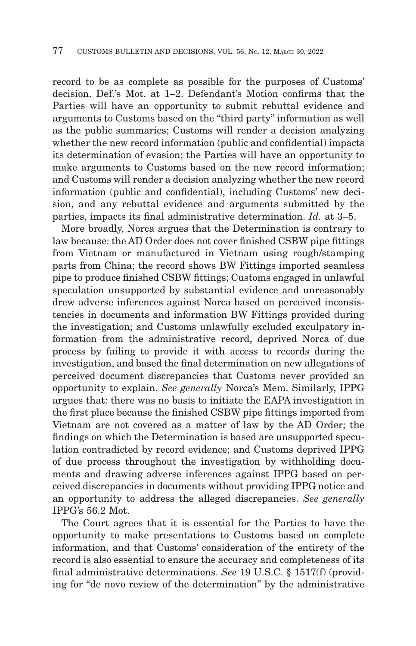record to be as complete as possible for the purposes of Customs' decision. Def.'s Mot. at 1–2. Defendant's Motion confirms that the Parties will have an opportunity to submit rebuttal evidence and arguments to Customs based on the "third party" information as well as the public summaries; Customs will render a decision analyzing whether the new record information (public and confidential) impacts its determination of evasion; the Parties will have an opportunity to make arguments to Customs based on the new record information; and Customs will render a decision analyzing whether the new record information (public and confidential), including Customs' new decision, and any rebuttal evidence and arguments submitted by the parties, impacts its final administrative determination. *Id.* at 3–5.

More broadly, Norca argues that the Determination is contrary to law because: the AD Order does not cover finished CSBW pipe fittings from Vietnam or manufactured in Vietnam using rough/stamping parts from China; the record shows BW Fittings imported seamless pipe to produce finished CSBW fittings; Customs engaged in unlawful speculation unsupported by substantial evidence and unreasonably drew adverse inferences against Norca based on perceived inconsistencies in documents and information BW Fittings provided during the investigation; and Customs unlawfully excluded exculpatory information from the administrative record, deprived Norca of due process by failing to provide it with access to records during the investigation, and based the final determination on new allegations of perceived document discrepancies that Customs never provided an opportunity to explain. *See generally* Norca's Mem. Similarly, IPPG argues that: there was no basis to initiate the EAPA investigation in the first place because the finished CSBW pipe fittings imported from Vietnam are not covered as a matter of law by the AD Order; the findings on which the Determination is based are unsupported speculation contradicted by record evidence; and Customs deprived IPPG of due process throughout the investigation by withholding documents and drawing adverse inferences against IPPG based on perceived discrepancies in documents without providing IPPG notice and an opportunity to address the alleged discrepancies. *See generally* IPPG's 56.2 Mot.

The Court agrees that it is essential for the Parties to have the opportunity to make presentations to Customs based on complete information, and that Customs' consideration of the entirety of the record is also essential to ensure the accuracy and completeness of its final administrative determinations. *See* 19 U.S.C. § 1517(f) (providing for "de novo review of the determination" by the administrative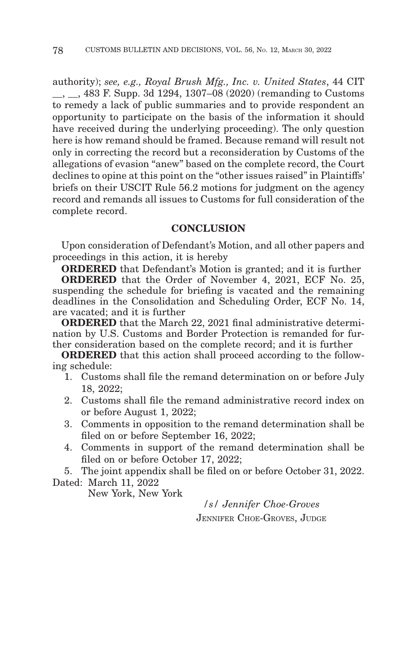authority); *see, e.g., Royal Brush Mfg., Inc. v. United States*, 44 CIT \_\_, \_\_, 483 F. Supp. 3d 1294, 1307–08 (2020) (remanding to Customs to remedy a lack of public summaries and to provide respondent an opportunity to participate on the basis of the information it should have received during the underlying proceeding). The only question here is how remand should be framed. Because remand will result not only in correcting the record but a reconsideration by Customs of the allegations of evasion "anew" based on the complete record, the Court declines to opine at this point on the "other issues raised" in Plaintiffs' briefs on their USCIT Rule 56.2 motions for judgment on the agency record and remands all issues to Customs for full consideration of the complete record.

### **CONCLUSION**

Upon consideration of Defendant's Motion, and all other papers and proceedings in this action, it is hereby

**ORDERED** that Defendant's Motion is granted; and it is further

**ORDERED** that the Order of November 4, 2021, ECF No. 25, suspending the schedule for briefing is vacated and the remaining deadlines in the Consolidation and Scheduling Order, ECF No. 14, are vacated; and it is further

**ORDERED** that the March 22, 2021 final administrative determination by U.S. Customs and Border Protection is remanded for further consideration based on the complete record; and it is further

**ORDERED** that this action shall proceed according to the following schedule:

- 1. Customs shall file the remand determination on or before July 18, 2022;
- 2. Customs shall file the remand administrative record index on or before August 1, 2022;
- 3. Comments in opposition to the remand determination shall be filed on or before September 16, 2022;
- 4. Comments in support of the remand determination shall be filed on or before October 17, 2022;

5. The joint appendix shall be filed on or before October 31, 2022.

Dated: March 11, 2022

New York, New York

*/s/ Jennifer Choe-Groves* JENNIFER CHOE-GROVES, JUDGE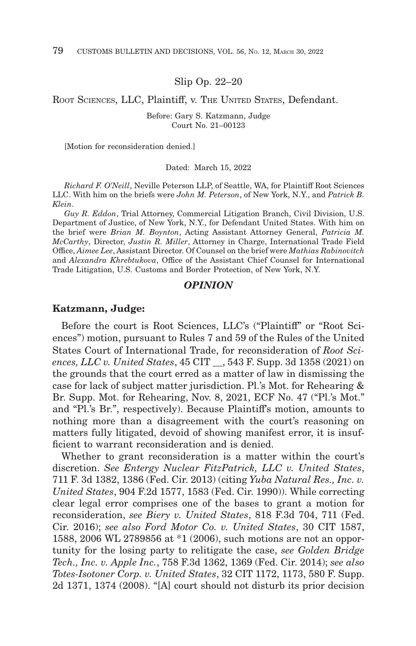Slip Op. 22–20

ROOT SCIENCES, LLC, Plaintiff, v. THE UNITED STATES, Defendant.

Before: Gary S. Katzmann, Judge Court No. 21–00123

[Motion for reconsideration denied.]

Dated: March 15, 2022

*Richard F. O'Neill*, Neville Peterson LLP, of Seattle, WA, for Plaintiff Root Sciences LLC. With him on the briefs were *John M. Peterson*, of New York, N.Y., and *Patrick B. Klein*.

*Guy R. Eddon*, Trial Attorney, Commercial Litigation Branch, Civil Division, U.S. Department of Justice, of New York, N.Y., for Defendant United States. With him on the brief were *Brian M. Boynton*, Acting Assistant Attorney General, *Patricia M. McCarthy*, Director, *Justin R. Miller*, Attorney in Charge, International Trade Field Office, *Aimee Lee*, Assistant Director. Of Counsel on the brief were *Mathias Rabinovitch* and *Alexandra Khrebtukova*, Office of the Assistant Chief Counsel for International Trade Litigation, U.S. Customs and Border Protection, of New York, N.Y.

### *OPINION*

#### **Katzmann, Judge:**

Before the court is Root Sciences, LLC's ("Plaintiff" or "Root Sciences") motion, pursuant to Rules 7 and 59 of the Rules of the United States Court of International Trade, for reconsideration of *Root Sciences, LLC v. United States*, 45 CIT \_\_, 543 F. Supp. 3d 1358 (2021) on the grounds that the court erred as a matter of law in dismissing the case for lack of subject matter jurisdiction. Pl.'s Mot. for Rehearing & Br. Supp. Mot. for Rehearing, Nov. 8, 2021, ECF No. 47 ("Pl.'s Mot." and "Pl.'s Br.", respectively). Because Plaintiff's motion, amounts to nothing more than a disagreement with the court's reasoning on matters fully litigated, devoid of showing manifest error, it is insufficient to warrant reconsideration and is denied.

Whether to grant reconsideration is a matter within the court's discretion. *See Entergy Nuclear FitzPatrick, LLC v. United States*, 711 F. 3d 1382, 1386 (Fed. Cir. 2013) (citing *Yuba Natural Res., Inc. v. United States*, 904 F.2d 1577, 1583 (Fed. Cir. 1990)). While correcting clear legal error comprises one of the bases to grant a motion for reconsideration, *see Biery v. United States*, 818 F.3d 704, 711 (Fed. Cir. 2016); *see also Ford Motor Co. v. United States*, 30 CIT 1587, 1588, 2006 WL 2789856 at \*1 (2006), such motions are not an opportunity for the losing party to relitigate the case, *see Golden Bridge Tech., Inc. v. Apple Inc.*, 758 F.3d 1362, 1369 (Fed. Cir. 2014); *see also Totes-Isotoner Corp. v. United States*, 32 CIT 1172, 1173, 580 F. Supp. 2d 1371, 1374 (2008). "[A] court should not disturb its prior decision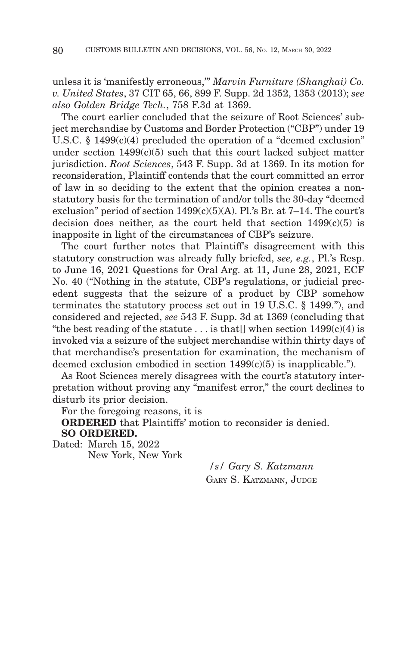unless it is 'manifestly erroneous,'" *Marvin Furniture (Shanghai) Co. v. United States*, 37 CIT 65, 66, 899 F. Supp. 2d 1352, 1353 (2013); *see also Golden Bridge Tech.*, 758 F.3d at 1369.

The court earlier concluded that the seizure of Root Sciences' subject merchandise by Customs and Border Protection ("CBP") under 19 U.S.C. § 1499(c)(4) precluded the operation of a "deemed exclusion" under section  $1499(c)(5)$  such that this court lacked subject matter jurisdiction. *Root Sciences*, 543 F. Supp. 3d at 1369. In its motion for reconsideration, Plaintiff contends that the court committed an error of law in so deciding to the extent that the opinion creates a nonstatutory basis for the termination of and/or tolls the 30-day "deemed exclusion" period of section  $1499(c)(5)(A)$ . Pl.'s Br. at 7-14. The court's decision does neither, as the court held that section  $1499(c)(5)$  is inapposite in light of the circumstances of CBP's seizure.

The court further notes that Plaintiff's disagreement with this statutory construction was already fully briefed, *see, e.g.*, Pl.'s Resp. to June 16, 2021 Questions for Oral Arg. at 11, June 28, 2021, ECF No. 40 ("Nothing in the statute, CBP's regulations, or judicial precedent suggests that the seizure of a product by CBP somehow terminates the statutory process set out in 19 U.S.C. § 1499."), and considered and rejected, *see* 543 F. Supp. 3d at 1369 (concluding that "the best reading of the statute ... is that  $\vert \vert$  when section 1499(c)(4) is invoked via a seizure of the subject merchandise within thirty days of that merchandise's presentation for examination, the mechanism of deemed exclusion embodied in section 1499(c)(5) is inapplicable.").

As Root Sciences merely disagrees with the court's statutory interpretation without proving any "manifest error," the court declines to disturb its prior decision.

For the foregoing reasons, it is

**ORDERED** that Plaintiffs' motion to reconsider is denied. **SO ORDERED.**

Dated: March 15, 2022 New York, New York

*/s/ Gary S. Katzmann* GARY S. KATZMANN, JUDGE